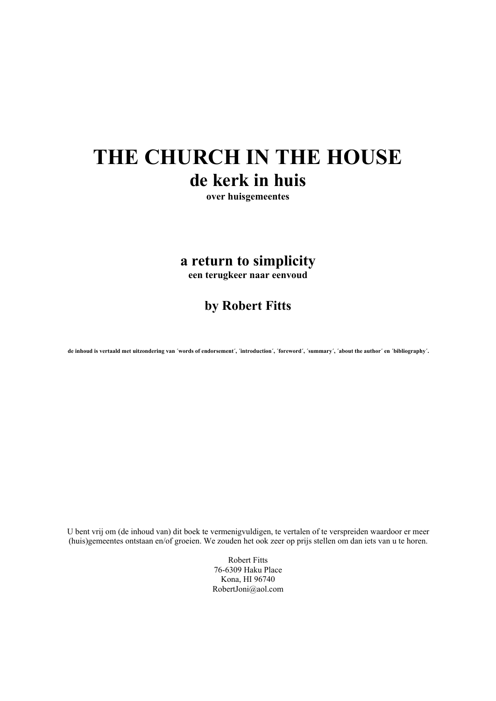# **THE CHURCH IN THE HOUSE de kerk in huis**

**over huisgemeentes** 

## **a return to simplicity**

**een terugkeer naar eenvoud** 

## **by Robert Fitts**

**de inhoud is vertaald met uitzondering van ´words of endorsement´, ´introduction´, ´foreword´, ´summary´, ´about the author´ en ´bibliography´.** 

U bent vrij om (de inhoud van) dit boek te vermenigvuldigen, te vertalen of te verspreiden waardoor er meer (huis)gemeentes ontstaan en/of groeien. We zouden het ook zeer op prijs stellen om dan iets van u te horen.

> Robert Fitts 76-6309 Haku Place Kona, HI 96740 RobertJoni@aol.com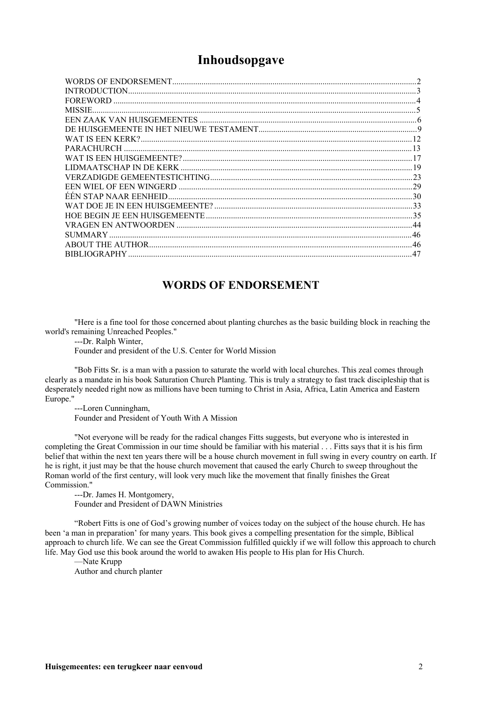## **Inhoudsopgave**

| <b>MISSIE</b>    |    |
|------------------|----|
|                  |    |
|                  |    |
| WAT IS EEN KERK? |    |
| PARACHURCH       |    |
|                  |    |
|                  |    |
|                  | 23 |
|                  | 29 |
|                  | 30 |
|                  | 33 |
|                  | 35 |
|                  | 44 |
| SUMMARY -        |    |
|                  | 46 |
| BIBLIOGRAPHY     |    |

## **WORDS OF ENDORSEMENT**

"Here is a fine tool for those concerned about planting churches as the basic building block in reaching the world's remaining Unreached Peoples."

---Dr. Ralph Winter,

Founder and president of the U.S. Center for World Mission

"Bob Fitts Sr. is a man with a passion to saturate the world with local churches. This zeal comes through clearly as a mandate in his book Saturation Church Planting. This is truly a strategy to fast track discipleship that is desperately needed right now as millions have been turning to Christ in Asia, Africa, Latin America and Eastern Europe."

---Loren Cunningham, Founder and President of Youth With A Mission

"Not everyone will be ready for the radical changes Fitts suggests, but everyone who is interested in completing the Great Commission in our time should be familiar with his material . . . Fitts says that it is his firm belief that within the next ten years there will be a house church movement in full swing in every country on earth. If he is right, it just may be that the house church movement that caused the early Church to sweep throughout the Roman world of the first century, will look very much like the movement that finally finishes the Great Commission."

---Dr. James H. Montgomery, Founder and President of DAWN Ministries

"Robert Fitts is one of God's growing number of voices today on the subject of the house church. He has been 'a man in preparation' for many years. This book gives a compelling presentation for the simple, Biblical approach to church life. We can see the Great Commission fulfilled quickly if we will follow this approach to church life. May God use this book around the world to awaken His people to His plan for His Church.

—Nate Krupp Author and church planter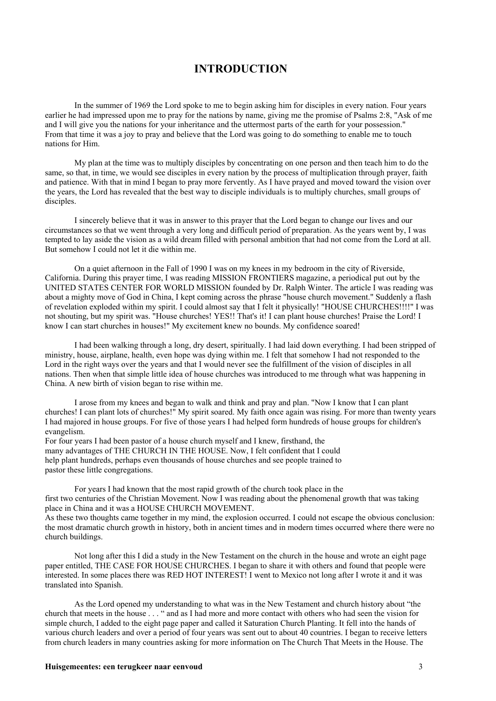## **INTRODUCTION**

In the summer of 1969 the Lord spoke to me to begin asking him for disciples in every nation. Four years earlier he had impressed upon me to pray for the nations by name, giving me the promise of Psalms 2:8, "Ask of me and I will give you the nations for your inheritance and the uttermost parts of the earth for your possession." From that time it was a joy to pray and believe that the Lord was going to do something to enable me to touch nations for Him.

My plan at the time was to multiply disciples by concentrating on one person and then teach him to do the same, so that, in time, we would see disciples in every nation by the process of multiplication through prayer, faith and patience. With that in mind I began to pray more fervently. As I have prayed and moved toward the vision over the years, the Lord has revealed that the best way to disciple individuals is to multiply churches, small groups of disciples.

I sincerely believe that it was in answer to this prayer that the Lord began to change our lives and our circumstances so that we went through a very long and difficult period of preparation. As the years went by, I was tempted to lay aside the vision as a wild dream filled with personal ambition that had not come from the Lord at all. But somehow I could not let it die within me.

On a quiet afternoon in the Fall of 1990 I was on my knees in my bedroom in the city of Riverside, California. During this prayer time, I was reading MISSION FRONTIERS magazine, a periodical put out by the UNITED STATES CENTER FOR WORLD MISSION founded by Dr. Ralph Winter. The article I was reading was about a mighty move of God in China, I kept coming across the phrase "house church movement." Suddenly a flash of revelation exploded within my spirit. I could almost say that I felt it physically! "HOUSE CHURCHES!!!!" I was not shouting, but my spirit was. "House churches! YES!! That's it! I can plant house churches! Praise the Lord! I know I can start churches in houses!" My excitement knew no bounds. My confidence soared!

I had been walking through a long, dry desert, spiritually. I had laid down everything. I had been stripped of ministry, house, airplane, health, even hope was dying within me. I felt that somehow I had not responded to the Lord in the right ways over the years and that I would never see the fulfillment of the vision of disciples in all nations. Then when that simple little idea of house churches was introduced to me through what was happening in China. A new birth of vision began to rise within me.

I arose from my knees and began to walk and think and pray and plan. "Now I know that I can plant churches! I can plant lots of churches!" My spirit soared. My faith once again was rising. For more than twenty years I had majored in house groups. For five of those years I had helped form hundreds of house groups for children's evangelism.

For four years I had been pastor of a house church myself and I knew, firsthand, the many advantages of THE CHURCH IN THE HOUSE. Now, I felt confident that I could help plant hundreds, perhaps even thousands of house churches and see people trained to pastor these little congregations.

For years I had known that the most rapid growth of the church took place in the first two centuries of the Christian Movement. Now I was reading about the phenomenal growth that was taking place in China and it was a HOUSE CHURCH MOVEMENT. As these two thoughts came together in my mind, the explosion occurred. I could not escape the obvious conclusion:

the most dramatic church growth in history, both in ancient times and in modern times occurred where there were no church buildings.

Not long after this I did a study in the New Testament on the church in the house and wrote an eight page paper entitled, THE CASE FOR HOUSE CHURCHES. I began to share it with others and found that people were interested. In some places there was RED HOT INTEREST! I went to Mexico not long after I wrote it and it was translated into Spanish.

As the Lord opened my understanding to what was in the New Testament and church history about "the church that meets in the house . . . " and as I had more and more contact with others who had seen the vision for simple church, I added to the eight page paper and called it Saturation Church Planting. It fell into the hands of various church leaders and over a period of four years was sent out to about 40 countries. I began to receive letters from church leaders in many countries asking for more information on The Church That Meets in the House. The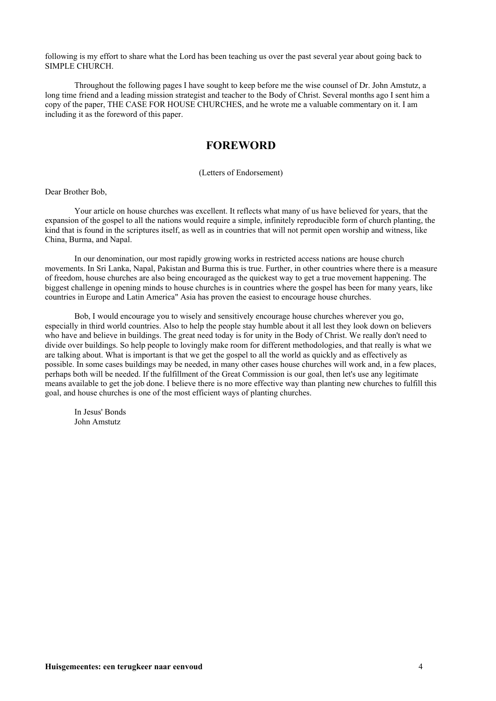following is my effort to share what the Lord has been teaching us over the past several year about going back to SIMPLE CHURCH.

Throughout the following pages I have sought to keep before me the wise counsel of Dr. John Amstutz, a long time friend and a leading mission strategist and teacher to the Body of Christ. Several months ago I sent him a copy of the paper, THE CASE FOR HOUSE CHURCHES, and he wrote me a valuable commentary on it. I am including it as the foreword of this paper.

## **FOREWORD**

(Letters of Endorsement)

Dear Brother Bob,

Your article on house churches was excellent. It reflects what many of us have believed for years, that the expansion of the gospel to all the nations would require a simple, infinitely reproducible form of church planting, the kind that is found in the scriptures itself, as well as in countries that will not permit open worship and witness, like China, Burma, and Napal.

In our denomination, our most rapidly growing works in restricted access nations are house church movements. In Sri Lanka, Napal, Pakistan and Burma this is true. Further, in other countries where there is a measure of freedom, house churches are also being encouraged as the quickest way to get a true movement happening. The biggest challenge in opening minds to house churches is in countries where the gospel has been for many years, like countries in Europe and Latin America" Asia has proven the easiest to encourage house churches.

Bob, I would encourage you to wisely and sensitively encourage house churches wherever you go, especially in third world countries. Also to help the people stay humble about it all lest they look down on believers who have and believe in buildings. The great need today is for unity in the Body of Christ. We really don't need to divide over buildings. So help people to lovingly make room for different methodologies, and that really is what we are talking about. What is important is that we get the gospel to all the world as quickly and as effectively as possible. In some cases buildings may be needed, in many other cases house churches will work and, in a few places, perhaps both will be needed. If the fulfillment of the Great Commission is our goal, then let's use any legitimate means available to get the job done. I believe there is no more effective way than planting new churches to fulfill this goal, and house churches is one of the most efficient ways of planting churches.

In Jesus' Bonds John Amstutz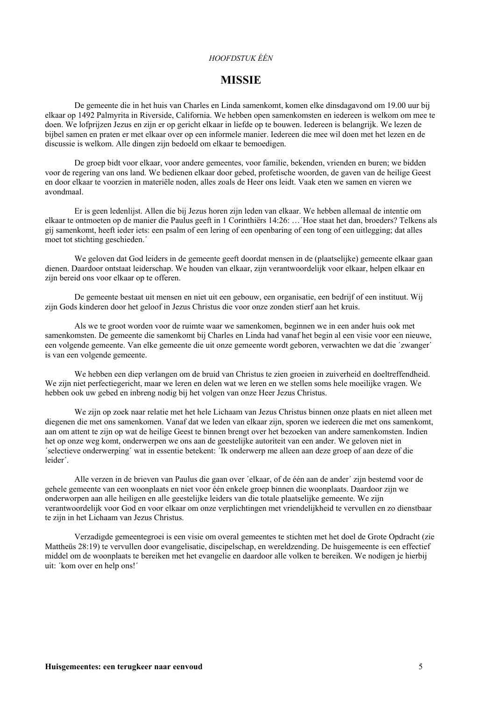#### *HOOFDSTUK ÉÉN*

## **MISSIE**

De gemeente die in het huis van Charles en Linda samenkomt, komen elke dinsdagavond om 19.00 uur bij elkaar op 1492 Palmyrita in Riverside, California. We hebben open samenkomsten en iedereen is welkom om mee te doen. We lofprijzen Jezus en zijn er op gericht elkaar in liefde op te bouwen. Iedereen is belangrijk. We lezen de bijbel samen en praten er met elkaar over op een informele manier. Iedereen die mee wil doen met het lezen en de discussie is welkom. Alle dingen zijn bedoeld om elkaar te bemoedigen.

De groep bidt voor elkaar, voor andere gemeentes, voor familie, bekenden, vrienden en buren; we bidden voor de regering van ons land. We bedienen elkaar door gebed, profetische woorden, de gaven van de heilige Geest en door elkaar te voorzien in materiële noden, alles zoals de Heer ons leidt. Vaak eten we samen en vieren we avondmaal.

Er is geen ledenlijst. Allen die bij Jezus horen zijn leden van elkaar. We hebben allemaal de intentie om elkaar te ontmoeten op de manier die Paulus geeft in 1 Corinthiërs 14:26: …´Hoe staat het dan, broeders? Telkens als gij samenkomt, heeft ieder iets: een psalm of een lering of een openbaring of een tong of een uitlegging; dat alles moet tot stichting geschieden.´

We geloven dat God leiders in de gemeente geeft doordat mensen in de (plaatselijke) gemeente elkaar gaan dienen. Daardoor ontstaat leiderschap. We houden van elkaar, zijn verantwoordelijk voor elkaar, helpen elkaar en zijn bereid ons voor elkaar op te offeren.

De gemeente bestaat uit mensen en niet uit een gebouw, een organisatie, een bedrijf of een instituut. Wij zijn Gods kinderen door het geloof in Jezus Christus die voor onze zonden stierf aan het kruis.

Als we te groot worden voor de ruimte waar we samenkomen, beginnen we in een ander huis ook met samenkomsten. De gemeente die samenkomt bij Charles en Linda had vanaf het begin al een visie voor een nieuwe, een volgende gemeente. Van elke gemeente die uit onze gemeente wordt geboren, verwachten we dat die ´zwanger´ is van een volgende gemeente.

We hebben een diep verlangen om de bruid van Christus te zien groeien in zuiverheid en doeltreffendheid. We zijn niet perfectiegericht, maar we leren en delen wat we leren en we stellen soms hele moeilijke vragen. We hebben ook uw gebed en inbreng nodig bij het volgen van onze Heer Jezus Christus.

We zijn op zoek naar relatie met het hele Lichaam van Jezus Christus binnen onze plaats en niet alleen met diegenen die met ons samenkomen. Vanaf dat we leden van elkaar zijn, sporen we iedereen die met ons samenkomt, aan om attent te zijn op wat de heilige Geest te binnen brengt over het bezoeken van andere samenkomsten. Indien het op onze weg komt, onderwerpen we ons aan de geestelijke autoriteit van een ander. We geloven niet in ´selectieve onderwerping´ wat in essentie betekent: ´Ik onderwerp me alleen aan deze groep of aan deze of die leider´.

Alle verzen in de brieven van Paulus die gaan over ´elkaar, of de één aan de ander´ zijn bestemd voor de gehele gemeente van een woonplaats en niet voor één enkele groep binnen die woonplaats. Daardoor zijn we onderworpen aan alle heiligen en alle geestelijke leiders van die totale plaatselijke gemeente. We zijn verantwoordelijk voor God en voor elkaar om onze verplichtingen met vriendelijkheid te vervullen en zo dienstbaar te zijn in het Lichaam van Jezus Christus.

Verzadigde gemeentegroei is een visie om overal gemeentes te stichten met het doel de Grote Opdracht (zie Mattheüs 28:19) te vervullen door evangelisatie, discipelschap, en wereldzending. De huisgemeente is een effectief middel om de woonplaats te bereiken met het evangelie en daardoor alle volken te bereiken. We nodigen je hierbij uit: ´kom over en help ons!´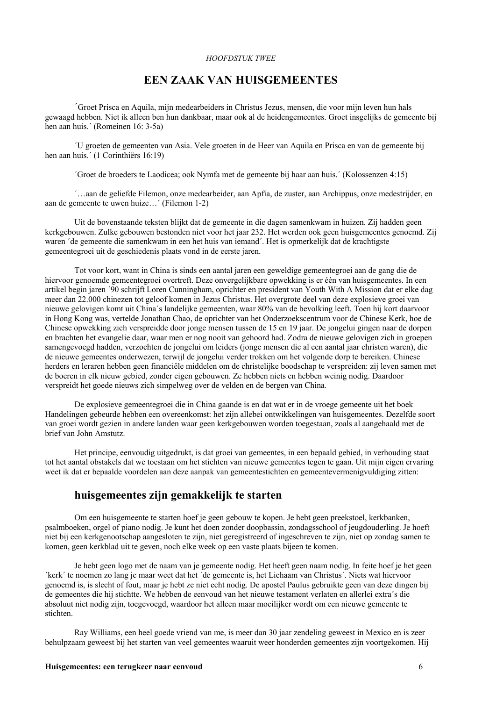#### *HOOFDSTUK TWEE*

## **EEN ZAAK VAN HUISGEMEENTES**

 ´Groet Prisca en Aquila, mijn medearbeiders in Christus Jezus, mensen, die voor mijn leven hun hals gewaagd hebben. Niet ik alleen ben hun dankbaar, maar ook al de heidengemeentes. Groet insgelijks de gemeente bij hen aan huis.´ (Romeinen 16: 3-5a)

´U groeten de gemeenten van Asia. Vele groeten in de Heer van Aquila en Prisca en van de gemeente bij hen aan huis.´ (1 Corinthiërs 16:19)

´Groet de broeders te Laodicea; ook Nymfa met de gemeente bij haar aan huis.´ (Kolossenzen 4:15)

´…aan de geliefde Filemon, onze medearbeider, aan Apfia, de zuster, aan Archippus, onze medestrijder, en aan de gemeente te uwen huize…´ (Filemon 1-2)

Uit de bovenstaande teksten blijkt dat de gemeente in die dagen samenkwam in huizen. Zij hadden geen kerkgebouwen. Zulke gebouwen bestonden niet voor het jaar 232. Het werden ook geen huisgemeentes genoemd. Zij waren ´de gemeente die samenkwam in een het huis van iemand´. Het is opmerkelijk dat de krachtigste gemeentegroei uit de geschiedenis plaats vond in de eerste jaren.

Tot voor kort, want in China is sinds een aantal jaren een geweldige gemeentegroei aan de gang die de hiervoor genoemde gemeentegroei overtreft. Deze onvergelijkbare opwekking is er één van huisgemeentes. In een artikel begin jaren ´90 schrijft Loren Cunningham, oprichter en president van Youth With A Mission dat er elke dag meer dan 22.000 chinezen tot geloof komen in Jezus Christus. Het overgrote deel van deze explosieve groei van nieuwe gelovigen komt uit China´s landelijke gemeenten, waar 80% van de bevolking leeft. Toen hij kort daarvoor in Hong Kong was, vertelde Jonathan Chao, de oprichter van het Onderzoekscentrum voor de Chinese Kerk, hoe de Chinese opwekking zich verspreidde door jonge mensen tussen de 15 en 19 jaar. De jongelui gingen naar de dorpen en brachten het evangelie daar, waar men er nog nooit van gehoord had. Zodra de nieuwe gelovigen zich in groepen samengevoegd hadden, verzochten de jongelui om leiders (jonge mensen die al een aantal jaar christen waren), die de nieuwe gemeentes onderwezen, terwijl de jongelui verder trokken om het volgende dorp te bereiken. Chinese herders en leraren hebben geen financiële middelen om de christelijke boodschap te verspreiden: zij leven samen met de boeren in elk nieuw gebied, zonder eigen gebouwen. Ze hebben niets en hebben weinig nodig. Daardoor verspreidt het goede nieuws zich simpelweg over de velden en de bergen van China.

De explosieve gemeentegroei die in China gaande is en dat wat er in de vroege gemeente uit het boek Handelingen gebeurde hebben een overeenkomst: het zijn allebei ontwikkelingen van huisgemeentes. Dezelfde soort van groei wordt gezien in andere landen waar geen kerkgebouwen worden toegestaan, zoals al aangehaald met de brief van John Amstutz.

Het principe, eenvoudig uitgedrukt, is dat groei van gemeentes, in een bepaald gebied, in verhouding staat tot het aantal obstakels dat we toestaan om het stichten van nieuwe gemeentes tegen te gaan. Uit mijn eigen ervaring weet ik dat er bepaalde voordelen aan deze aanpak van gemeentestichten en gemeentevermenigvuldiging zitten:

## **huisgemeentes zijn gemakkelijk te starten**

Om een huisgemeente te starten hoef je geen gebouw te kopen. Je hebt geen preekstoel, kerkbanken, psalmboeken, orgel of piano nodig. Je kunt het doen zonder doopbassin, zondagsschool of jeugdouderling. Je hoeft niet bij een kerkgenootschap aangesloten te zijn, niet geregistreerd of ingeschreven te zijn, niet op zondag samen te komen, geen kerkblad uit te geven, noch elke week op een vaste plaats bijeen te komen.

Je hebt geen logo met de naam van je gemeente nodig. Het heeft geen naam nodig. In feite hoef je het geen ´kerk´ te noemen zo lang je maar weet dat het ´de gemeente is, het Lichaam van Christus´. Niets wat hiervoor genoemd is, is slecht of fout, maar je hebt ze niet echt nodig. De apostel Paulus gebruikte geen van deze dingen bij de gemeentes die hij stichtte. We hebben de eenvoud van het nieuwe testament verlaten en allerlei extra´s die absoluut niet nodig zijn, toegevoegd, waardoor het alleen maar moeilijker wordt om een nieuwe gemeente te stichten.

Ray Williams, een heel goede vriend van me, is meer dan 30 jaar zendeling geweest in Mexico en is zeer behulpzaam geweest bij het starten van veel gemeentes waaruit weer honderden gemeentes zijn voortgekomen. Hij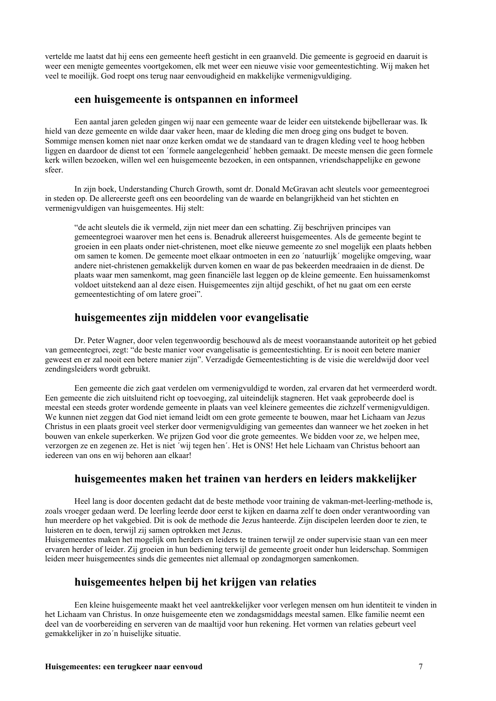vertelde me laatst dat hij eens een gemeente heeft gesticht in een graanveld. Die gemeente is gegroeid en daaruit is weer een menigte gemeentes voortgekomen, elk met weer een nieuwe visie voor gemeentestichting. Wij maken het veel te moeilijk. God roept ons terug naar eenvoudigheid en makkelijke vermenigvuldiging.

## **een huisgemeente is ontspannen en informeel**

Een aantal jaren geleden gingen wij naar een gemeente waar de leider een uitstekende bijbelleraar was. Ik hield van deze gemeente en wilde daar vaker heen, maar de kleding die men droeg ging ons budget te boven. Sommige mensen komen niet naar onze kerken omdat we de standaard van te dragen kleding veel te hoog hebben liggen en daardoor de dienst tot een ´formele aangelegenheid´ hebben gemaakt. De meeste mensen die geen formele kerk willen bezoeken, willen wel een huisgemeente bezoeken, in een ontspannen, vriendschappelijke en gewone sfeer.

In zijn boek, Understanding Church Growth, somt dr. Donald McGravan acht sleutels voor gemeentegroei in steden op. De allereerste geeft ons een beoordeling van de waarde en belangrijkheid van het stichten en vermenigvuldigen van huisgemeentes. Hij stelt:

"de acht sleutels die ik vermeld, zijn niet meer dan een schatting. Zij beschrijven principes van gemeentegroei waarover men het eens is. Benadruk allereerst huisgemeentes. Als de gemeente begint te groeien in een plaats onder niet-christenen, moet elke nieuwe gemeente zo snel mogelijk een plaats hebben om samen te komen. De gemeente moet elkaar ontmoeten in een zo ´natuurlijk´ mogelijke omgeving, waar andere niet-christenen gemakkelijk durven komen en waar de pas bekeerden meedraaien in de dienst. De plaats waar men samenkomt, mag geen financiële last leggen op de kleine gemeente. Een huissamenkomst voldoet uitstekend aan al deze eisen. Huisgemeentes zijn altijd geschikt, of het nu gaat om een eerste gemeentestichting of om latere groei".

## **huisgemeentes zijn middelen voor evangelisatie**

Dr. Peter Wagner, door velen tegenwoordig beschouwd als de meest vooraanstaande autoriteit op het gebied van gemeentegroei, zegt: "de beste manier voor evangelisatie is gemeentestichting. Er is nooit een betere manier geweest en er zal nooit een betere manier zijn". Verzadigde Gemeentestichting is de visie die wereldwijd door veel zendingsleiders wordt gebruikt.

Een gemeente die zich gaat verdelen om vermenigvuldigd te worden, zal ervaren dat het vermeerderd wordt. Een gemeente die zich uitsluitend richt op toevoeging, zal uiteindelijk stagneren. Het vaak geprobeerde doel is meestal een steeds groter wordende gemeente in plaats van veel kleinere gemeentes die zichzelf vermenigvuldigen. We kunnen niet zeggen dat God niet iemand leidt om een grote gemeente te bouwen, maar het Lichaam van Jezus Christus in een plaats groeit veel sterker door vermenigvuldiging van gemeentes dan wanneer we het zoeken in het bouwen van enkele superkerken. We prijzen God voor die grote gemeentes. We bidden voor ze, we helpen mee, verzorgen ze en zegenen ze. Het is niet ´wij tegen hen´. Het is ONS! Het hele Lichaam van Christus behoort aan iedereen van ons en wij behoren aan elkaar!

## **huisgemeentes maken het trainen van herders en leiders makkelijker**

Heel lang is door docenten gedacht dat de beste methode voor training de vakman-met-leerling-methode is, zoals vroeger gedaan werd. De leerling leerde door eerst te kijken en daarna zelf te doen onder verantwoording van hun meerdere op het vakgebied. Dit is ook de methode die Jezus hanteerde. Zijn discipelen leerden door te zien, te luisteren en te doen, terwijl zij samen optrokken met Jezus.

Huisgemeentes maken het mogelijk om herders en leiders te trainen terwijl ze onder supervisie staan van een meer ervaren herder of leider. Zij groeien in hun bediening terwijl de gemeente groeit onder hun leiderschap. Sommigen leiden meer huisgemeentes sinds die gemeentes niet allemaal op zondagmorgen samenkomen.

## **huisgemeentes helpen bij het krijgen van relaties**

Een kleine huisgemeente maakt het veel aantrekkelijker voor verlegen mensen om hun identiteit te vinden in het Lichaam van Christus. In onze huisgemeente eten we zondagsmiddags meestal samen. Elke familie neemt een deel van de voorbereiding en serveren van de maaltijd voor hun rekening. Het vormen van relaties gebeurt veel gemakkelijker in zo´n huiselijke situatie.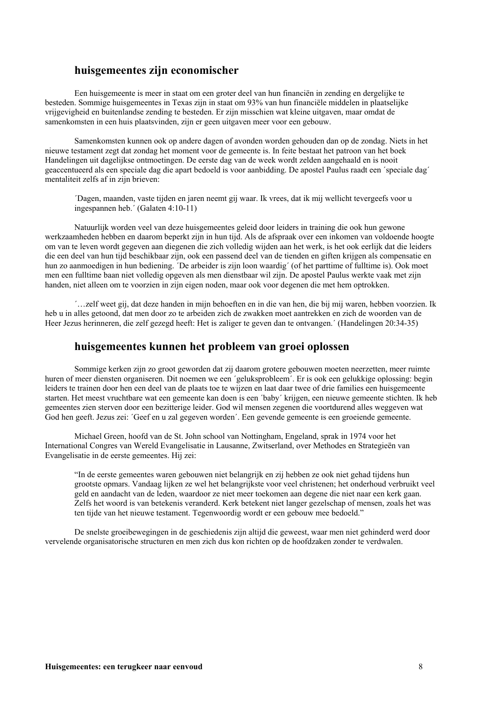## **huisgemeentes zijn economischer**

Een huisgemeente is meer in staat om een groter deel van hun financiën in zending en dergelijke te besteden. Sommige huisgemeentes in Texas zijn in staat om 93% van hun financiële middelen in plaatselijke vrijgevigheid en buitenlandse zending te besteden. Er zijn misschien wat kleine uitgaven, maar omdat de samenkomsten in een huis plaatsvinden, zijn er geen uitgaven meer voor een gebouw.

Samenkomsten kunnen ook op andere dagen of avonden worden gehouden dan op de zondag. Niets in het nieuwe testament zegt dat zondag het moment voor de gemeente is. In feite bestaat het patroon van het boek Handelingen uit dagelijkse ontmoetingen. De eerste dag van de week wordt zelden aangehaald en is nooit geaccentueerd als een speciale dag die apart bedoeld is voor aanbidding. De apostel Paulus raadt een ´speciale dag´ mentaliteit zelfs af in zijn brieven:

´Dagen, maanden, vaste tijden en jaren neemt gij waar. Ik vrees, dat ik mij wellicht tevergeefs voor u ingespannen heb.´ (Galaten 4:10-11)

Natuurlijk worden veel van deze huisgemeentes geleid door leiders in training die ook hun gewone werkzaamheden hebben en daarom beperkt zijn in hun tijd. Als de afspraak over een inkomen van voldoende hoogte om van te leven wordt gegeven aan diegenen die zich volledig wijden aan het werk, is het ook eerlijk dat die leiders die een deel van hun tijd beschikbaar zijn, ook een passend deel van de tienden en giften krijgen als compensatie en hun zo aanmoedigen in hun bediening. <sup>The</sup> arbeider is zijn loon waardig' (of het parttime of fulltime is). Ook moet men een fulltime baan niet volledig opgeven als men dienstbaar wil zijn. De apostel Paulus werkte vaak met zijn handen, niet alleen om te voorzien in zijn eigen noden, maar ook voor degenen die met hem optrokken.

´…zelf weet gij, dat deze handen in mijn behoeften en in die van hen, die bij mij waren, hebben voorzien. Ik heb u in alles getoond, dat men door zo te arbeiden zich de zwakken moet aantrekken en zich de woorden van de Heer Jezus herinneren, die zelf gezegd heeft: Het is zaliger te geven dan te ontvangen.´ (Handelingen 20:34-35)

## **huisgemeentes kunnen het probleem van groei oplossen**

Sommige kerken zijn zo groot geworden dat zij daarom grotere gebouwen moeten neerzetten, meer ruimte huren of meer diensten organiseren. Dit noemen we een ´geluksprobleem´. Er is ook een gelukkige oplossing: begin leiders te trainen door hen een deel van de plaats toe te wijzen en laat daar twee of drie families een huisgemeente starten. Het meest vruchtbare wat een gemeente kan doen is een ´baby´ krijgen, een nieuwe gemeente stichten. Ik heb gemeentes zien sterven door een bezitterige leider. God wil mensen zegenen die voortdurend alles weggeven wat God hen geeft. Jezus zei: ´Geef en u zal gegeven worden´. Een gevende gemeente is een groeiende gemeente.

Michael Green, hoofd van de St. John school van Nottingham, Engeland, sprak in 1974 voor het International Congres van Wereld Evangelisatie in Lausanne, Zwitserland, over Methodes en Strategieën van Evangelisatie in de eerste gemeentes. Hij zei:

"In de eerste gemeentes waren gebouwen niet belangrijk en zij hebben ze ook niet gehad tijdens hun grootste opmars. Vandaag lijken ze wel het belangrijkste voor veel christenen; het onderhoud verbruikt veel geld en aandacht van de leden, waardoor ze niet meer toekomen aan degene die niet naar een kerk gaan. Zelfs het woord is van betekenis veranderd. Kerk betekent niet langer gezelschap of mensen, zoals het was ten tijde van het nieuwe testament. Tegenwoordig wordt er een gebouw mee bedoeld."

De snelste groeibewegingen in de geschiedenis zijn altijd die geweest, waar men niet gehinderd werd door vervelende organisatorische structuren en men zich dus kon richten op de hoofdzaken zonder te verdwalen.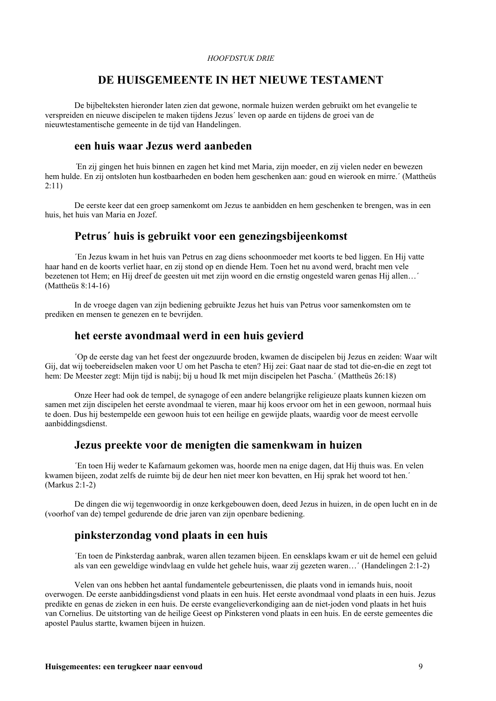#### *HOOFDSTUK DRIE*

## **DE HUISGEMEENTE IN HET NIEUWE TESTAMENT**

De bijbelteksten hieronder laten zien dat gewone, normale huizen werden gebruikt om het evangelie te verspreiden en nieuwe discipelen te maken tijdens Jezus´ leven op aarde en tijdens de groei van de nieuwtestamentische gemeente in de tijd van Handelingen.

## **een huis waar Jezus werd aanbeden**

 *´*En zij gingen het huis binnen en zagen het kind met Maria, zijn moeder, en zij vielen neder en bewezen hem hulde. En zij ontsloten hun kostbaarheden en boden hem geschenken aan: goud en wierook en mirre.´ (Mattheüs 2:11)

De eerste keer dat een groep samenkomt om Jezus te aanbidden en hem geschenken te brengen, was in een huis, het huis van Maria en Jozef.

## **Petrus´ huis is gebruikt voor een genezingsbijeenkomst**

´En Jezus kwam in het huis van Petrus en zag diens schoonmoeder met koorts te bed liggen. En Hij vatte haar hand en de koorts verliet haar, en zij stond op en diende Hem. Toen het nu avond werd, bracht men vele bezetenen tot Hem; en Hij dreef de geesten uit met zijn woord en die ernstig ongesteld waren genas Hij allen…´ (Mattheüs 8:14-16)

In de vroege dagen van zijn bediening gebruikte Jezus het huis van Petrus voor samenkomsten om te prediken en mensen te genezen en te bevrijden.

### **het eerste avondmaal werd in een huis gevierd**

´Op de eerste dag van het feest der ongezuurde broden, kwamen de discipelen bij Jezus en zeiden: Waar wilt Gij, dat wij toebereidselen maken voor U om het Pascha te eten? Hij zei: Gaat naar de stad tot die-en-die en zegt tot hem: De Meester zegt: Mijn tijd is nabij; bij u houd Ik met mijn discipelen het Pascha.´ (Mattheüs 26:18)

Onze Heer had ook de tempel, de synagoge of een andere belangrijke religieuze plaats kunnen kiezen om samen met zijn discipelen het eerste avondmaal te vieren, maar hij koos ervoor om het in een gewoon, normaal huis te doen. Dus hij bestempelde een gewoon huis tot een heilige en gewijde plaats, waardig voor de meest eervolle aanbiddingsdienst.

## **Jezus preekte voor de menigten die samenkwam in huizen**

´En toen Hij weder te Kafarnaum gekomen was, hoorde men na enige dagen, dat Hij thuis was. En velen kwamen bijeen, zodat zelfs de ruimte bij de deur hen niet meer kon bevatten, en Hij sprak het woord tot hen.´ (Markus 2:1-2)

De dingen die wij tegenwoordig in onze kerkgebouwen doen, deed Jezus in huizen, in de open lucht en in de (voorhof van de) tempel gedurende de drie jaren van zijn openbare bediening.

## **pinksterzondag vond plaats in een huis**

´En toen de Pinksterdag aanbrak, waren allen tezamen bijeen. En eensklaps kwam er uit de hemel een geluid als van een geweldige windvlaag en vulde het gehele huis, waar zij gezeten waren…´ (Handelingen 2:1-2)

Velen van ons hebben het aantal fundamentele gebeurtenissen, die plaats vond in iemands huis, nooit overwogen. De eerste aanbiddingsdienst vond plaats in een huis. Het eerste avondmaal vond plaats in een huis. Jezus predikte en genas de zieken in een huis. De eerste evangelieverkondiging aan de niet-joden vond plaats in het huis van Cornelius. De uitstorting van de heilige Geest op Pinksteren vond plaats in een huis. En de eerste gemeentes die apostel Paulus startte, kwamen bijeen in huizen.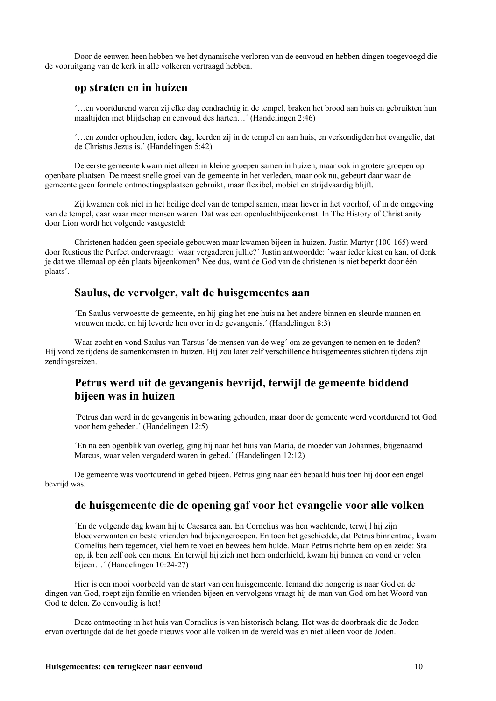Door de eeuwen heen hebben we het dynamische verloren van de eenvoud en hebben dingen toegevoegd die de vooruitgang van de kerk in alle volkeren vertraagd hebben.

## **op straten en in huizen**

´…en voortdurend waren zij elke dag eendrachtig in de tempel, braken het brood aan huis en gebruikten hun maaltijden met blijdschap en eenvoud des harten…´ (Handelingen 2:46)

´…en zonder ophouden, iedere dag, leerden zij in de tempel en aan huis, en verkondigden het evangelie, dat de Christus Jezus is.´ (Handelingen 5:42)

De eerste gemeente kwam niet alleen in kleine groepen samen in huizen, maar ook in grotere groepen op openbare plaatsen. De meest snelle groei van de gemeente in het verleden, maar ook nu, gebeurt daar waar de gemeente geen formele ontmoetingsplaatsen gebruikt, maar flexibel, mobiel en strijdvaardig blijft.

Zij kwamen ook niet in het heilige deel van de tempel samen, maar liever in het voorhof, of in de omgeving van de tempel, daar waar meer mensen waren. Dat was een openluchtbijeenkomst. In The History of Christianity door Lion wordt het volgende vastgesteld:

Christenen hadden geen speciale gebouwen maar kwamen bijeen in huizen. Justin Martyr (100-165) werd door Rusticus the Perfect ondervraagt: ´waar vergaderen jullie?´ Justin antwoordde: ´waar ieder kiest en kan, of denk je dat we allemaal op één plaats bijeenkomen? Nee dus, want de God van de christenen is niet beperkt door één plaats´.

## **Saulus, de vervolger, valt de huisgemeentes aan**

´En Saulus verwoestte de gemeente, en hij ging het ene huis na het andere binnen en sleurde mannen en vrouwen mede, en hij leverde hen over in de gevangenis.´ (Handelingen 8:3)

Waar zocht en vond Saulus van Tarsus ´de mensen van de weg´ om ze gevangen te nemen en te doden? Hij vond ze tijdens de samenkomsten in huizen. Hij zou later zelf verschillende huisgemeentes stichten tijdens zijn zendingsreizen.

## **Petrus werd uit de gevangenis bevrijd, terwijl de gemeente biddend bijeen was in huizen**

´Petrus dan werd in de gevangenis in bewaring gehouden, maar door de gemeente werd voortdurend tot God voor hem gebeden.´ (Handelingen 12:5)

´En na een ogenblik van overleg, ging hij naar het huis van Maria, de moeder van Johannes, bijgenaamd Marcus, waar velen vergaderd waren in gebed.´ (Handelingen 12:12)

De gemeente was voortdurend in gebed bijeen. Petrus ging naar één bepaald huis toen hij door een engel bevrijd was.

## **de huisgemeente die de opening gaf voor het evangelie voor alle volken**

´En de volgende dag kwam hij te Caesarea aan. En Cornelius was hen wachtende, terwijl hij zijn bloedverwanten en beste vrienden had bijeengeroepen. En toen het geschiedde, dat Petrus binnentrad, kwam Cornelius hem tegemoet, viel hem te voet en bewees hem hulde. Maar Petrus richtte hem op en zeide: Sta op, ik ben zelf ook een mens. En terwijl hij zich met hem onderhield, kwam hij binnen en vond er velen bijeen…´ (Handelingen 10:24-27)

Hier is een mooi voorbeeld van de start van een huisgemeente. Iemand die hongerig is naar God en de dingen van God, roept zijn familie en vrienden bijeen en vervolgens vraagt hij de man van God om het Woord van God te delen. Zo eenvoudig is het!

Deze ontmoeting in het huis van Cornelius is van historisch belang. Het was de doorbraak die de Joden ervan overtuigde dat de het goede nieuws voor alle volken in de wereld was en niet alleen voor de Joden.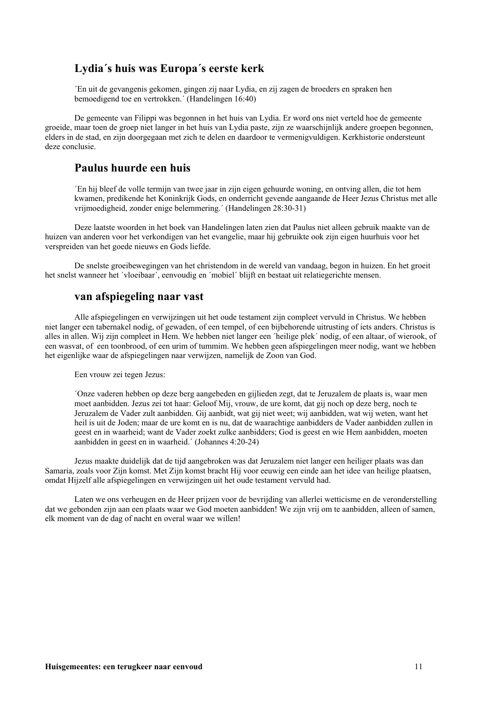## **Lydia´s huis was Europa´s eerste kerk**

´En uit de gevangenis gekomen, gingen zij naar Lydia, en zij zagen de broeders en spraken hen bemoedigend toe en vertrokken.´ (Handelingen 16:40)

De gemeente van Filippi was begonnen in het huis van Lydia. Er word ons niet verteld hoe de gemeente groeide, maar toen de groep niet langer in het huis van Lydia paste, zijn ze waarschijnlijk andere groepen begonnen, elders in de stad, en zijn doorgegaan met zich te delen en daardoor te vermenigvuldigen. Kerkhistorie ondersteunt deze conclusie.

## **Paulus huurde een huis**

´En hij bleef de volle termijn van twee jaar in zijn eigen gehuurde woning, en ontving allen, die tot hem kwamen, predikende het Koninkrijk Gods, en onderricht gevende aangaande de Heer Jezus Christus met alle vrijmoedigheid, zonder enige belemmering.´ (Handelingen 28:30-31)

Deze laatste woorden in het boek van Handelingen laten zien dat Paulus niet alleen gebruik maakte van de huizen van anderen voor het verkondigen van het evangelie, maar hij gebruikte ook zijn eigen huurhuis voor het verspreiden van het goede nieuws en Gods liefde.

De snelste groeibewegingen van het christendom in de wereld van vandaag, begon in huizen. En het groeit het snelst wanneer het ´vloeibaar´, eenvoudig en ´mobiel´ blijft en bestaat uit relatiegerichte mensen.

## **van afspiegeling naar vast**

Alle afspiegelingen en verwijzingen uit het oude testament zijn compleet vervuld in Christus. We hebben niet langer een tabernakel nodig, of gewaden, of een tempel, of een bijbehorende uitrusting of iets anders. Christus is alles in allen. Wij zijn compleet in Hem. We hebben niet langer een ´heilige plek´ nodig, of een altaar, of wierook, of een wasvat, of een toonbrood, of een urim of tummim. We hebben geen afspiegelingen meer nodig, want we hebben het eigenlijke waar de afspiegelingen naar verwijzen, namelijk de Zoon van God.

Een vrouw zei tegen Jezus:

´Onze vaderen hebben op deze berg aangebeden en gijlieden zegt, dat te Jeruzalem de plaats is, waar men moet aanbidden. Jezus zei tot haar: Geloof Mij, vrouw, de ure komt, dat gij noch op deze berg, noch te Jeruzalem de Vader zult aanbidden. Gij aanbidt, wat gij niet weet; wij aanbidden, wat wij weten, want het heil is uit de Joden; maar de ure komt en is nu, dat de waarachtige aanbidders de Vader aanbidden zullen in geest en in waarheid; want de Vader zoekt zulke aanbidders; God is geest en wie Hem aanbidden, moeten aanbidden in geest en in waarheid.´ (Johannes 4:20-24)

Jezus maakte duidelijk dat de tijd aangebroken was dat Jeruzalem niet langer een heiliger plaats was dan Samaria, zoals voor Zijn komst. Met Zijn komst bracht Hij voor eeuwig een einde aan het idee van heilige plaatsen, omdat Hijzelf alle afspiegelingen en verwijzingen uit het oude testament vervuld had.

Laten we ons verheugen en de Heer prijzen voor de bevrijding van allerlei wetticisme en de veronderstelling dat we gebonden zijn aan een plaats waar we God moeten aanbidden! We zijn vrij om te aanbidden, alleen of samen, elk moment van de dag of nacht en overal waar we willen!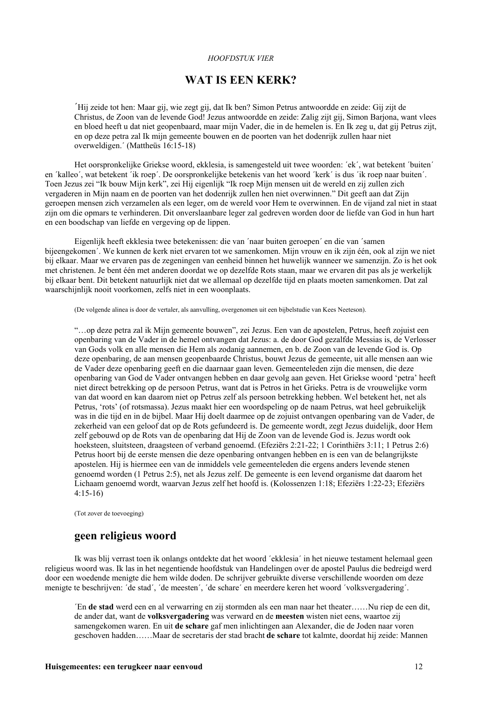#### *HOOFDSTUK VIER*

## **WAT IS EEN KERK?**

´Hij zeide tot hen: Maar gij, wie zegt gij, dat Ik ben? Simon Petrus antwoordde en zeide: Gij zijt de Christus, de Zoon van de levende God! Jezus antwoordde en zeide: Zalig zijt gij, Simon Barjona, want vlees en bloed heeft u dat niet geopenbaard, maar mijn Vader, die in de hemelen is. En Ik zeg u, dat gij Petrus zijt, en op deze petra zal Ik mijn gemeente bouwen en de poorten van het dodenrijk zullen haar niet overweldigen.´ (Mattheüs 16:15-18)

Het oorspronkelijke Griekse woord, ekklesia, is samengesteld uit twee woorden: ´ek´, wat betekent ´buiten´ en ´kalleo´, wat betekent ´ik roep´. De oorspronkelijke betekenis van het woord ´kerk´ is dus ´ik roep naar buiten´. Toen Jezus zei "Ik bouw Mijn kerk", zei Hij eigenlijk "Ik roep Mijn mensen uit de wereld en zij zullen zich vergaderen in Mijn naam en de poorten van het dodenrijk zullen hen niet overwinnen." Dit geeft aan dat Zijn geroepen mensen zich verzamelen als een leger, om de wereld voor Hem te overwinnen. En de vijand zal niet in staat zijn om die opmars te verhinderen. Dit onverslaanbare leger zal gedreven worden door de liefde van God in hun hart en een boodschap van liefde en vergeving op de lippen.

Eigenlijk heeft ekklesia twee betekenissen: die van ´naar buiten geroepen´ en die van ´samen bijeengekomen´. We kunnen de kerk niet ervaren tot we samenkomen. Mijn vrouw en ik zijn één, ook al zijn we niet bij elkaar. Maar we ervaren pas de zegeningen van eenheid binnen het huwelijk wanneer we samenzijn. Zo is het ook met christenen. Je bent één met anderen doordat we op dezelfde Rots staan, maar we ervaren dit pas als je werkelijk bij elkaar bent. Dit betekent natuurlijk niet dat we allemaal op dezelfde tijd en plaats moeten samenkomen. Dat zal waarschijnlijk nooit voorkomen, zelfs niet in een woonplaats.

(De volgende alinea is door de vertaler, als aanvulling, overgenomen uit een bijbelstudie van Kees Neeteson).

"…op deze petra zal ik Mijn gemeente bouwen", zei Jezus. Een van de apostelen, Petrus, heeft zojuist een openbaring van de Vader in de hemel ontvangen dat Jezus: a. de door God gezalfde Messias is, de Verlosser van Gods volk en alle mensen die Hem als zodanig aannemen, en b. de Zoon van de levende God is. Op deze openbaring, de aan mensen geopenbaarde Christus, bouwt Jezus de gemeente, uit alle mensen aan wie de Vader deze openbaring geeft en die daarnaar gaan leven. Gemeenteleden zijn die mensen, die deze openbaring van God de Vader ontvangen hebben en daar gevolg aan geven. Het Griekse woord 'petra' heeft niet direct betrekking op de persoon Petrus, want dat is Petros in het Grieks. Petra is de vrouwelijke vorm van dat woord en kan daarom niet op Petrus zelf als persoon betrekking hebben. Wel betekent het, net als Petrus, 'rots' (of rotsmassa). Jezus maakt hier een woordspeling op de naam Petrus, wat heel gebruikelijk was in die tijd en in de bijbel. Maar Hij doelt daarmee op de zojuist ontvangen openbaring van de Vader, de zekerheid van een geloof dat op de Rots gefundeerd is. De gemeente wordt, zegt Jezus duidelijk, door Hem zelf gebouwd op de Rots van de openbaring dat Hij de Zoon van de levende God is. Jezus wordt ook hoeksteen, sluitsteen, draagsteen of verband genoemd. (Efeziërs 2:21-22; 1 Corinthiërs 3:11; 1 Petrus 2:6) Petrus hoort bij de eerste mensen die deze openbaring ontvangen hebben en is een van de belangrijkste apostelen. Hij is hiermee een van de inmiddels vele gemeenteleden die ergens anders levende stenen genoemd worden (1 Petrus 2:5), net als Jezus zelf. De gemeente is een levend organisme dat daarom het Lichaam genoemd wordt, waarvan Jezus zelf het hoofd is. (Kolossenzen 1:18; Efeziërs 1:22-23; Efeziërs 4:15-16)

(Tot zover de toevoeging)

## **geen religieus woord**

Ik was blij verrast toen ik onlangs ontdekte dat het woord ´ekklesia´ in het nieuwe testament helemaal geen religieus woord was. Ik las in het negentiende hoofdstuk van Handelingen over de apostel Paulus die bedreigd werd door een woedende menigte die hem wilde doden. De schrijver gebruikte diverse verschillende woorden om deze menigte te beschrijven: ´de stad´, ´de meesten´, ´de schare´ en meerdere keren het woord ´volksvergadering´.

´En **de stad** werd een en al verwarring en zij stormden als een man naar het theater……Nu riep de een dit, de ander dat, want de **volksvergadering** was verward en de **meesten** wisten niet eens, waartoe zij samengekomen waren. En uit **de schare** gaf men inlichtingen aan Alexander, die de Joden naar voren geschoven hadden……Maar de secretaris der stad bracht **de schare** tot kalmte, doordat hij zeide: Mannen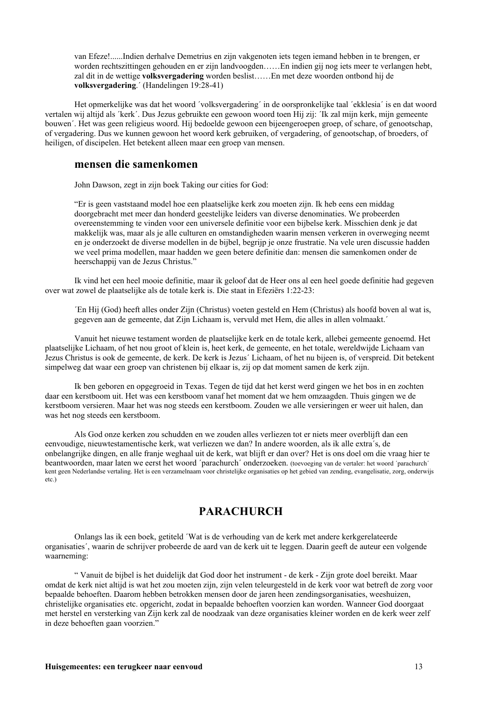van Efeze!......Indien derhalve Demetrius en zijn vakgenoten iets tegen iemand hebben in te brengen, er worden rechtszittingen gehouden en er zijn landvoogden……En indien gij nog iets meer te verlangen hebt, zal dit in de wettige **volksvergadering** worden beslist……En met deze woorden ontbond hij de **volksvergadering**.´ (Handelingen 19:28-41)

Het opmerkelijke was dat het woord ´volksvergadering´ in de oorspronkelijke taal ´ekklesia´ is en dat woord vertalen wij altijd als ´kerk´. Dus Jezus gebruikte een gewoon woord toen Hij zij: ´Ik zal mijn kerk, mijn gemeente bouwen´. Het was geen religieus woord. Hij bedoelde gewoon een bijeengeroepen groep, of schare, of genootschap, of vergadering. Dus we kunnen gewoon het woord kerk gebruiken, of vergadering, of genootschap, of broeders, of heiligen, of discipelen. Het betekent alleen maar een groep van mensen.

### **mensen die samenkomen**

John Dawson, zegt in zijn boek Taking our cities for God:

"Er is geen vaststaand model hoe een plaatselijke kerk zou moeten zijn. Ik heb eens een middag doorgebracht met meer dan honderd geestelijke leiders van diverse denominaties. We probeerden overeenstemming te vinden voor een universele definitie voor een bijbelse kerk. Misschien denk je dat makkelijk was, maar als je alle culturen en omstandigheden waarin mensen verkeren in overweging neemt en je onderzoekt de diverse modellen in de bijbel, begrijp je onze frustratie. Na vele uren discussie hadden we veel prima modellen, maar hadden we geen betere definitie dan: mensen die samenkomen onder de heerschappij van de Jezus Christus."

Ik vind het een heel mooie definitie, maar ik geloof dat de Heer ons al een heel goede definitie had gegeven over wat zowel de plaatselijke als de totale kerk is. Die staat in Efeziërs 1:22-23:

´En Hij (God) heeft alles onder Zijn (Christus) voeten gesteld en Hem (Christus) als hoofd boven al wat is, gegeven aan de gemeente, dat Zijn Lichaam is, vervuld met Hem, die alles in allen volmaakt.´

Vanuit het nieuwe testament worden de plaatselijke kerk en de totale kerk, allebei gemeente genoemd. Het plaatselijke Lichaam, of het nou groot of klein is, heet kerk, de gemeente, en het totale, wereldwijde Lichaam van Jezus Christus is ook de gemeente, de kerk. De kerk is Jezus´ Lichaam, of het nu bijeen is, of verspreid. Dit betekent simpelweg dat waar een groep van christenen bij elkaar is, zij op dat moment samen de kerk zijn.

Ik ben geboren en opgegroeid in Texas. Tegen de tijd dat het kerst werd gingen we het bos in en zochten daar een kerstboom uit. Het was een kerstboom vanaf het moment dat we hem omzaagden. Thuis gingen we de kerstboom versieren. Maar het was nog steeds een kerstboom. Zouden we alle versieringen er weer uit halen, dan was het nog steeds een kerstboom.

Als God onze kerken zou schudden en we zouden alles verliezen tot er niets meer overblijft dan een eenvoudige, nieuwtestamentische kerk, wat verliezen we dan? In andere woorden, als ik alle extra´s, de onbelangrijke dingen, en alle franje weghaal uit de kerk, wat blijft er dan over? Het is ons doel om die vraag hier te beantwoorden, maar laten we eerst het woord ´parachurch´ onderzoeken. (toevoeging van de vertaler: het woord ´parachurch´ kent geen Nederlandse vertaling. Het is een verzamelnaam voor christelijke organisaties op het gebied van zending, evangelisatie, zorg, onderwijs etc.)

## **PARACHURCH**

Onlangs las ik een boek, getiteld ´Wat is de verhouding van de kerk met andere kerkgerelateerde organisaties´, waarin de schrijver probeerde de aard van de kerk uit te leggen. Daarin geeft de auteur een volgende waarneming:

" Vanuit de bijbel is het duidelijk dat God door het instrument - de kerk - Zijn grote doel bereikt. Maar omdat de kerk niet altijd is wat het zou moeten zijn, zijn velen teleurgesteld in de kerk voor wat betreft de zorg voor bepaalde behoeften. Daarom hebben betrokken mensen door de jaren heen zendingsorganisaties, weeshuizen, christelijke organisaties etc. opgericht, zodat in bepaalde behoeften voorzien kan worden. Wanneer God doorgaat met herstel en versterking van Zijn kerk zal de noodzaak van deze organisaties kleiner worden en de kerk weer zelf in deze behoeften gaan voorzien."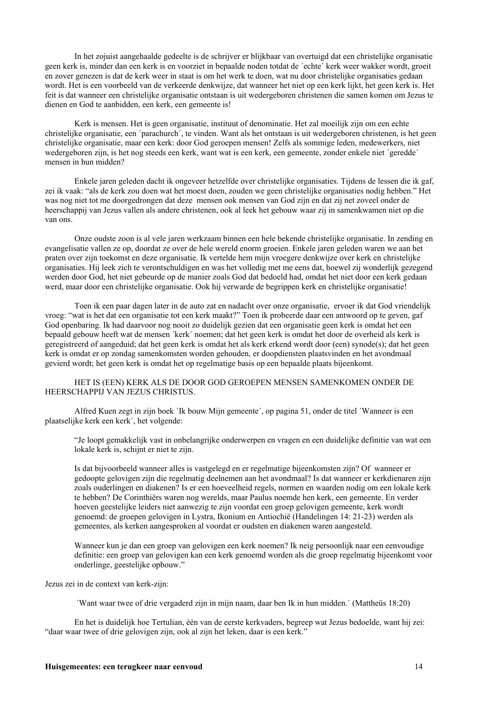In het zojuist aangehaalde gedeelte is de schrijver er blijkbaar van overtuigd dat een christelijke organisatie geen kerk is, minder dan een kerk is en voorziet in bepaalde noden totdat de ´echte´ kerk weer wakker wordt, groeit en zover genezen is dat de kerk weer in staat is om het werk te doen, wat nu door christelijke organisaties gedaan wordt. Het is een voorbeeld van de verkeerde denkwijze, dat wanneer het niet op een kerk lijkt, het geen kerk is. Het feit is dat wanneer een christelijke organisatie ontstaan is uit wedergeboren christenen die samen komen om Jezus te dienen en God te aanbidden, een kerk, een gemeente is!

Kerk is mensen. Het is geen organisatie, instituut of denominatie. Het zal moeilijk zijn om een echte christelijke organisatie, een ´parachurch´, te vinden. Want als het ontstaan is uit wedergeboren christenen, is het geen christelijke organisatie, maar een kerk: door God geroepen mensen! Zelfs als sommige leden, medewerkers, niet wedergeboren zijn, is het nog steeds een kerk, want wat is een kerk, een gemeente, zonder enkele niet ´geredde´ mensen in hun midden?

Enkele jaren geleden dacht ik ongeveer hetzelfde over christelijke organisaties. Tijdens de lessen die ik gaf, zei ik vaak: "als de kerk zou doen wat het moest doen, zouden we geen christelijke organisaties nodig hebben." Het was nog niet tot me doorgedrongen dat deze mensen ook mensen van God zijn en dat zij net zoveel onder de heerschappij van Jezus vallen als andere christenen, ook al leek het gebouw waar zij in samenkwamen niet op die van ons.

Onze oudste zoon is al vele jaren werkzaam binnen een hele bekende christelijke organisatie. In zending en evangelisatie vallen ze op, doordat ze over de hele wereld enorm groeien. Enkele jaren geleden waren we aan het praten over zijn toekomst en deze organisatie. Ik vertelde hem mijn vroegere denkwijze over kerk en christelijke organisaties. Hij leek zich te verontschuldigen en was het volledig met me eens dat, hoewel zij wonderlijk gezegend werden door God, het niet gebeurde op de manier zoals God dat bedoeld had, omdat het niet door een kerk gedaan werd, maar door een christelijke organisatie. Ook hij verwarde de begrippen kerk en christelijke organisatie!

Toen ik een paar dagen later in de auto zat en nadacht over onze organisatie, ervoer ik dat God vriendelijk vroeg: "wat is het dat een organisatie tot een kerk maakt?" Toen ik probeerde daar een antwoord op te geven, gaf God openbaring. Ik had daarvoor nog nooit zo duidelijk gezien dat een organisatie geen kerk is omdat het een bepaald gebouw heeft wat de mensen ´kerk´ noemen; dat het geen kerk is omdat het door de overheid als kerk is geregistreerd of aangeduid; dat het geen kerk is omdat het als kerk erkend wordt door (een) synode(s); dat het geen kerk is omdat er op zondag samenkomsten worden gehouden, er doopdiensten plaatsvinden en het avondmaal gevierd wordt; het geen kerk is omdat het op regelmatige basis op een bepaalde plaats bijeenkomt.

#### HET IS (EEN) KERK ALS DE DOOR GOD GEROEPEN MENSEN SAMENKOMEN ONDER DE HEERSCHAPPIJ VAN JEZUS CHRISTUS.

Alfred Kuen zegt in zijn boek ´Ik bouw Mijn gemeente´, op pagina 51, onder de titel ´Wanneer is een plaatselijke kerk een kerk´, het volgende:

"Je loopt gemakkelijk vast in onbelangrijke onderwerpen en vragen en een duidelijke definitie van wat een lokale kerk is, schijnt er niet te zijn.

Is dat bijvoorbeeld wanneer alles is vastgelegd en er regelmatige bijeenkomsten zijn? Of wanneer er gedoopte gelovigen zijn die regelmatig deelnemen aan het avondmaal? Is dat wanneer er kerkdienaren zijn zoals ouderlingen en diakenen? Is er een hoeveelheid regels, normen en waarden nodig om een lokale kerk te hebben? De Corinthiërs waren nog werelds, maar Paulus noemde hen kerk, een gemeente. En verder hoeven geestelijke leiders niet aanwezig te zijn voordat een groep gelovigen gemeente, kerk wordt genoemd: de groepen gelovigen in Lystra, Ikonium en Antiochië (Handelingen 14: 21-23) werden als gemeentes, als kerken aangesproken al voordat er oudsten en diakenen waren aangesteld.

Wanneer kun je dan een groep van gelovigen een kerk noemen? Ik neig persoonlijk naar een eenvoudige definitie: een groep van gelovigen kan een kerk genoemd worden als die groep regelmatig bijeenkomt voor onderlinge, geestelijke opbouw."

Jezus zei in de context van kerk-zijn:

´Want waar twee of drie vergaderd zijn in mijn naam, daar ben Ik in hun midden.´ (Mattheüs 18:20)

En het is duidelijk hoe Tertulian, één van de eerste kerkvaders, begreep wat Jezus bedoelde, want hij zei: "daar waar twee of drie gelovigen zijn, ook al zijn het leken, daar is een kerk."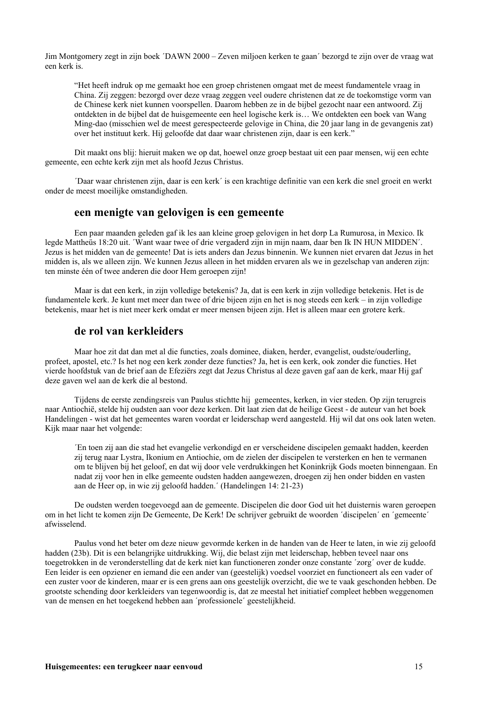Jim Montgomery zegt in zijn boek ´DAWN 2000 – Zeven miljoen kerken te gaan´ bezorgd te zijn over de vraag wat een kerk is.

"Het heeft indruk op me gemaakt hoe een groep christenen omgaat met de meest fundamentele vraag in China. Zij zeggen: bezorgd over deze vraag zeggen veel oudere christenen dat ze de toekomstige vorm van de Chinese kerk niet kunnen voorspellen. Daarom hebben ze in de bijbel gezocht naar een antwoord. Zij ontdekten in de bijbel dat de huisgemeente een heel logische kerk is… We ontdekten een boek van Wang Ming-dao (misschien wel de meest gerespecteerde gelovige in China, die 20 jaar lang in de gevangenis zat) over het instituut kerk. Hij geloofde dat daar waar christenen zijn, daar is een kerk."

Dit maakt ons blij: hieruit maken we op dat, hoewel onze groep bestaat uit een paar mensen, wij een echte gemeente, een echte kerk zijn met als hoofd Jezus Christus.

´Daar waar christenen zijn, daar is een kerk´ is een krachtige definitie van een kerk die snel groeit en werkt onder de meest moeilijke omstandigheden.

## **een menigte van gelovigen is een gemeente**

Een paar maanden geleden gaf ik les aan kleine groep gelovigen in het dorp La Rumurosa, in Mexico. Ik legde Mattheüs 18:20 uit. ´Want waar twee of drie vergaderd zijn in mijn naam, daar ben Ik IN HUN MIDDEN´. Jezus is het midden van de gemeente! Dat is iets anders dan Jezus binnenin. We kunnen niet ervaren dat Jezus in het midden is, als we alleen zijn. We kunnen Jezus alleen in het midden ervaren als we in gezelschap van anderen zijn: ten minste één of twee anderen die door Hem geroepen zijn!

Maar is dat een kerk, in zijn volledige betekenis? Ja, dat is een kerk in zijn volledige betekenis. Het is de fundamentele kerk. Je kunt met meer dan twee of drie bijeen zijn en het is nog steeds een kerk – in zijn volledige betekenis, maar het is niet meer kerk omdat er meer mensen bijeen zijn. Het is alleen maar een grotere kerk.

## **de rol van kerkleiders**

Maar hoe zit dat dan met al die functies, zoals dominee, diaken, herder, evangelist, oudste/ouderling, profeet, apostel, etc.? Is het nog een kerk zonder deze functies? Ja, het is een kerk, ook zonder die functies. Het vierde hoofdstuk van de brief aan de Efeziërs zegt dat Jezus Christus al deze gaven gaf aan de kerk, maar Hij gaf deze gaven wel aan de kerk die al bestond.

Tijdens de eerste zendingsreis van Paulus stichtte hij gemeentes, kerken, in vier steden. Op zijn terugreis naar Antiochië, stelde hij oudsten aan voor deze kerken. Dit laat zien dat de heilige Geest - de auteur van het boek Handelingen - wist dat het gemeentes waren voordat er leiderschap werd aangesteld. Hij wil dat ons ook laten weten. Kijk maar naar het volgende:

´En toen zij aan die stad het evangelie verkondigd en er verscheidene discipelen gemaakt hadden, keerden zij terug naar Lystra, Ikonium en Antiochie, om de zielen der discipelen te versterken en hen te vermanen om te blijven bij het geloof, en dat wij door vele verdrukkingen het Koninkrijk Gods moeten binnengaan. En nadat zij voor hen in elke gemeente oudsten hadden aangewezen, droegen zij hen onder bidden en vasten aan de Heer op, in wie zij geloofd hadden.´ (Handelingen 14: 21-23)

De oudsten werden toegevoegd aan de gemeente. Discipelen die door God uit het duisternis waren geroepen om in het licht te komen zijn De Gemeente, De Kerk! De schrijver gebruikt de woorden ´discipelen´ en ´gemeente´ afwisselend.

Paulus vond het beter om deze nieuw gevormde kerken in de handen van de Heer te laten, in wie zij geloofd hadden (23b). Dit is een belangrijke uitdrukking. Wij, die belast zijn met leiderschap, hebben teveel naar ons toegetrokken in de veronderstelling dat de kerk niet kan functioneren zonder onze constante ´zorg´ over de kudde. Een leider is een opziener en iemand die een ander van (geestelijk) voedsel voorziet en functioneert als een vader of een zuster voor de kinderen, maar er is een grens aan ons geestelijk overzicht, die we te vaak geschonden hebben. De grootste schending door kerkleiders van tegenwoordig is, dat ze meestal het initiatief compleet hebben weggenomen van de mensen en het toegekend hebben aan ´professionele´ geestelijkheid.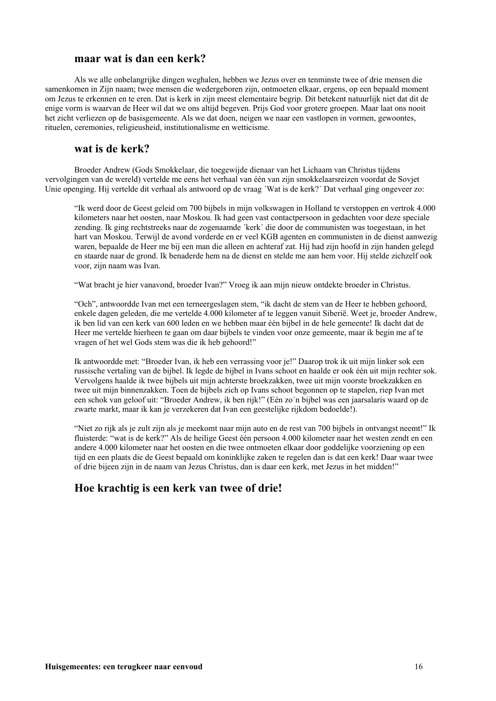## **maar wat is dan een kerk?**

Als we alle onbelangrijke dingen weghalen, hebben we Jezus over en tenminste twee of drie mensen die samenkomen in Zijn naam; twee mensen die wedergeboren zijn, ontmoeten elkaar, ergens, op een bepaald moment om Jezus te erkennen en te eren. Dat is kerk in zijn meest elementaire begrip. Dit betekent natuurlijk niet dat dit de enige vorm is waarvan de Heer wil dat we ons altijd begeven. Prijs God voor grotere groepen. Maar laat ons nooit het zicht verliezen op de basisgemeente. Als we dat doen, neigen we naar een vastlopen in vormen, gewoontes, rituelen, ceremonies, religieusheid, institutionalisme en wetticisme.

### **wat is de kerk?**

Broeder Andrew (Gods Smokkelaar, die toegewijde dienaar van het Lichaam van Christus tijdens vervolgingen van de wereld) vertelde me eens het verhaal van één van zijn smokkelaarsreizen voordat de Sovjet Unie openging. Hij vertelde dit verhaal als antwoord op de vraag ´Wat is de kerk?´ Dat verhaal ging ongeveer zo:

"Ik werd door de Geest geleid om 700 bijbels in mijn volkswagen in Holland te verstoppen en vertrok 4.000 kilometers naar het oosten, naar Moskou. Ik had geen vast contactpersoon in gedachten voor deze speciale zending. Ik ging rechtstreeks naar de zogenaamde ´kerk´ die door de communisten was toegestaan, in het hart van Moskou. Terwijl de avond vorderde en er veel KGB agenten en communisten in de dienst aanwezig waren, bepaalde de Heer me bij een man die alleen en achteraf zat. Hij had zijn hoofd in zijn handen gelegd en staarde naar de grond. Ik benaderde hem na de dienst en stelde me aan hem voor. Hij stelde zichzelf ook voor, zijn naam was Ivan.

"Wat bracht je hier vanavond, broeder Ivan?" Vroeg ik aan mijn nieuw ontdekte broeder in Christus.

"Och", antwoordde Ivan met een terneergeslagen stem, "ik dacht de stem van de Heer te hebben gehoord, enkele dagen geleden, die me vertelde 4.000 kilometer af te leggen vanuit Siberië. Weet je, broeder Andrew, ik ben lid van een kerk van 600 leden en we hebben maar één bijbel in de hele gemeente! Ik dacht dat de Heer me vertelde hierheen te gaan om daar bijbels te vinden voor onze gemeente, maar ik begin me af te vragen of het wel Gods stem was die ik heb gehoord!"

Ik antwoordde met: "Broeder Ivan, ik heb een verrassing voor je!" Daarop trok ik uit mijn linker sok een russische vertaling van de bijbel. Ik legde de bijbel in Ivans schoot en haalde er ook één uit mijn rechter sok. Vervolgens haalde ik twee bijbels uit mijn achterste broekzakken, twee uit mijn voorste broekzakken en twee uit mijn binnenzakken. Toen de bijbels zich op Ivans schoot begonnen op te stapelen, riep Ivan met een schok van geloof uit: "Broeder Andrew, ik ben rijk!" (Eén zo´n bijbel was een jaarsalaris waard op de zwarte markt, maar ik kan je verzekeren dat Ivan een geestelijke rijkdom bedoelde!).

"Niet zo rijk als je zult zijn als je meekomt naar mijn auto en de rest van 700 bijbels in ontvangst neemt!" Ik fluisterde: "wat is de kerk?" Als de heilige Geest één persoon 4.000 kilometer naar het westen zendt en een andere 4.000 kilometer naar het oosten en die twee ontmoeten elkaar door goddelijke voorziening op een tijd en een plaats die de Geest bepaald om koninklijke zaken te regelen dan is dat een kerk! Daar waar twee of drie bijeen zijn in de naam van Jezus Christus, dan is daar een kerk, met Jezus in het midden!"

## **Hoe krachtig is een kerk van twee of drie!**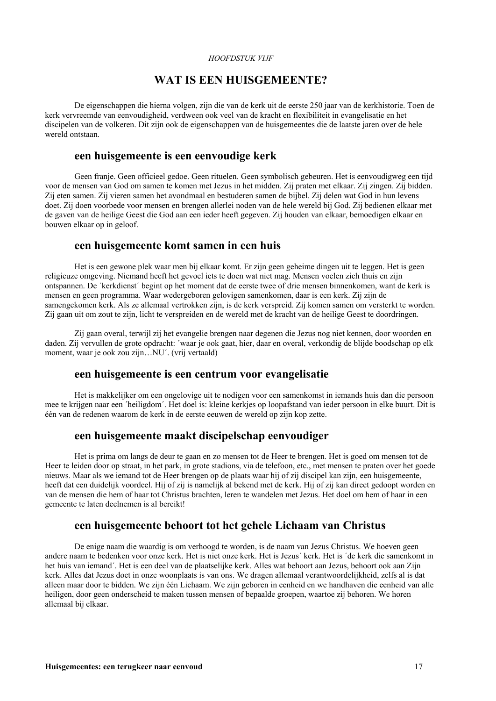#### *HOOFDSTUK VIJF*

## **WAT IS EEN HUISGEMEENTE?**

De eigenschappen die hierna volgen, zijn die van de kerk uit de eerste 250 jaar van de kerkhistorie. Toen de kerk vervreemde van eenvoudigheid, verdween ook veel van de kracht en flexibiliteit in evangelisatie en het discipelen van de volkeren. Dit zijn ook de eigenschappen van de huisgemeentes die de laatste jaren over de hele wereld ontstaan.

## **een huisgemeente is een eenvoudige kerk**

Geen franje. Geen officieel gedoe. Geen rituelen. Geen symbolisch gebeuren. Het is eenvoudigweg een tijd voor de mensen van God om samen te komen met Jezus in het midden. Zij praten met elkaar. Zij zingen. Zij bidden. Zij eten samen. Zij vieren samen het avondmaal en bestuderen samen de bijbel. Zij delen wat God in hun levens doet. Zij doen voorbede voor mensen en brengen allerlei noden van de hele wereld bij God. Zij bedienen elkaar met de gaven van de heilige Geest die God aan een ieder heeft gegeven. Zij houden van elkaar, bemoedigen elkaar en bouwen elkaar op in geloof.

## **een huisgemeente komt samen in een huis**

Het is een gewone plek waar men bij elkaar komt. Er zijn geen geheime dingen uit te leggen. Het is geen religieuze omgeving. Niemand heeft het gevoel iets te doen wat niet mag. Mensen voelen zich thuis en zijn ontspannen. De ´kerkdienst´ begint op het moment dat de eerste twee of drie mensen binnenkomen, want de kerk is mensen en geen programma. Waar wedergeboren gelovigen samenkomen, daar is een kerk. Zij zijn de samengekomen kerk. Als ze allemaal vertrokken zijn, is de kerk verspreid. Zij komen samen om versterkt te worden. Zij gaan uit om zout te zijn, licht te verspreiden en de wereld met de kracht van de heilige Geest te doordringen.

Zij gaan overal, terwijl zij het evangelie brengen naar degenen die Jezus nog niet kennen, door woorden en daden. Zij vervullen de grote opdracht: ´waar je ook gaat, hier, daar en overal, verkondig de blijde boodschap op elk moment, waar je ook zou zijn…NU´. (vrij vertaald)

### **een huisgemeente is een centrum voor evangelisatie**

Het is makkelijker om een ongelovige uit te nodigen voor een samenkomst in iemands huis dan die persoon mee te krijgen naar een ´heiligdom´. Het doel is: kleine kerkjes op loopafstand van ieder persoon in elke buurt. Dit is één van de redenen waarom de kerk in de eerste eeuwen de wereld op zijn kop zette.

## **een huisgemeente maakt discipelschap eenvoudiger**

Het is prima om langs de deur te gaan en zo mensen tot de Heer te brengen. Het is goed om mensen tot de Heer te leiden door op straat, in het park, in grote stadions, via de telefoon, etc., met mensen te praten over het goede nieuws. Maar als we iemand tot de Heer brengen op de plaats waar hij of zij discipel kan zijn, een huisgemeente, heeft dat een duidelijk voordeel. Hij of zij is namelijk al bekend met de kerk. Hij of zij kan direct gedoopt worden en van de mensen die hem of haar tot Christus brachten, leren te wandelen met Jezus. Het doel om hem of haar in een gemeente te laten deelnemen is al bereikt!

## **een huisgemeente behoort tot het gehele Lichaam van Christus**

De enige naam die waardig is om verhoogd te worden, is de naam van Jezus Christus. We hoeven geen andere naam te bedenken voor onze kerk. Het is niet onze kerk. Het is Jezus´ kerk. Het is ´de kerk die samenkomt in het huis van iemand´. Het is een deel van de plaatselijke kerk. Alles wat behoort aan Jezus, behoort ook aan Zijn kerk. Alles dat Jezus doet in onze woonplaats is van ons. We dragen allemaal verantwoordelijkheid, zelfs al is dat alleen maar door te bidden. We zijn één Lichaam. We zijn geboren in eenheid en we handhaven die eenheid van alle heiligen, door geen onderscheid te maken tussen mensen of bepaalde groepen, waartoe zij behoren. We horen allemaal bij elkaar.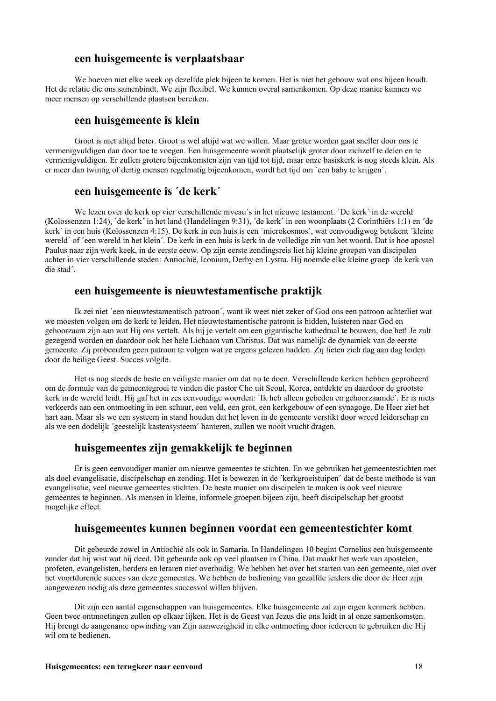## **een huisgemeente is verplaatsbaar**

We hoeven niet elke week op dezelfde plek bijeen te komen. Het is niet het gebouw wat ons bijeen houdt. Het de relatie die ons samenbindt. We zijn flexibel. We kunnen overal samenkomen. Op deze manier kunnen we meer mensen op verschillende plaatsen bereiken.

## **een huisgemeente is klein**

Groot is niet altijd beter. Groot is wel altijd wat we willen. Maar groter worden gaat sneller door ons te vermenigvuldigen dan door toe te voegen. Een huisgemeente wordt plaatselijk groter door zichzelf te delen en te vermenigvuldigen. Er zullen grotere bijeenkomsten zijn van tijd tot tijd, maar onze basiskerk is nog steeds klein. Als er meer dan twintig of dertig mensen regelmatig bijeenkomen, wordt het tijd om ´een baby te krijgen´.

## **een huisgemeente is ´de kerk´**

We lezen over de kerk op vier verschillende niveau´s in het nieuwe testament. ´De kerk´ in de wereld (Kolossenzen 1:24), ´de kerk´ in het land (Handelingen 9:31), ´de kerk´ in een woonplaats (2 Corinthiërs 1:1) en ´de kerk´ in een huis (Kolossenzen 4:15). De kerk in een huis is een ´microkosmos´, wat eenvoudigweg betekent ´kleine wereld´ of ´een wereld in het klein´. De kerk in een huis is kerk in de volledige zin van het woord. Dat is hoe apostel Paulus naar zijn werk keek, in de eerste eeuw. Op zijn eerste zendingsreis liet hij kleine groepen van discipelen achter in vier verschillende steden: Antiochië, Iconium, Derby en Lystra. Hij noemde elke kleine groep ´de kerk van die stad´.

## **een huisgemeente is nieuwtestamentische praktijk**

Ik zei niet ´een nieuwtestamentisch patroon´, want ik weet niet zeker of God ons een patroon achterliet wat we moesten volgen om de kerk te leiden. Het nieuwtestamentische patroon is bidden, luisteren naar God en gehoorzaam zijn aan wat Hij ons vertelt. Als hij je vertelt om een gigantische kathedraal te bouwen, doe het! Je zult gezegend worden en daardoor ook het hele Lichaam van Christus. Dat was namelijk de dynamiek van de eerste gemeente. Zij probeerden geen patroon te volgen wat ze ergens gelezen hadden. Zij lieten zich dag aan dag leiden door de heilige Geest. Succes volgde.

Het is nog steeds de beste en veiligste manier om dat nu te doen. Verschillende kerken hebben geprobeerd om de formule van de gemeentegroei te vinden die pastor Cho uit Seoul, Korea, ontdekte en daardoor de grootste kerk in de wereld leidt. Hij gaf het in zes eenvoudige woorden: ´Ik heb alleen gebeden en gehoorzaamde´. Er is niets verkeerds aan een ontmoeting in een schuur, een veld, een grot, een kerkgebouw of een synagoge. De Heer ziet het hart aan. Maar als we een systeem in stand houden dat het leven in de gemeente verstikt door wreed leiderschap en als we een dodelijk ´geestelijk kastensysteem´ hanteren, zullen we nooit vrucht dragen.

## **huisgemeentes zijn gemakkelijk te beginnen**

Er is geen eenvoudiger manier om nieuwe gemeentes te stichten. En we gebruiken het gemeentestichten met als doel evangelisatie, discipelschap en zending. Het is bewezen in de ´kerkgroeistuipen´ dat de beste methode is van evangelisatie, veel nieuwe gemeentes stichten. De beste manier om discipelen te maken is ook veel nieuwe gemeentes te beginnen. Als mensen in kleine, informele groepen bijeen zijn, heeft discipelschap het grootst mogelijke effect.

## **huisgemeentes kunnen beginnen voordat een gemeentestichter komt**

Dit gebeurde zowel in Antiochië als ook in Samaria. In Handelingen 10 begint Cornelius een huisgemeente zonder dat hij wist wat hij deed. Dit gebeurde ook op veel plaatsen in China. Dat maakt het werk van apostelen, profeten, evangelisten, herders en leraren niet overbodig. We hebben het over het starten van een gemeente, niet over het voortdurende succes van deze gemeentes. We hebben de bediening van gezalfde leiders die door de Heer zijn aangewezen nodig als deze gemeentes succesvol willen blijven.

Dit zijn een aantal eigenschappen van huisgemeentes. Elke huisgemeente zal zijn eigen kenmerk hebben. Geen twee ontmoetingen zullen op elkaar lijken. Het is de Geest van Jezus die ons leidt in al onze samenkomsten. Hij brengt de aangename opwinding van Zijn aanwezigheid in elke ontmoeting door iedereen te gebruiken die Hij wil om te bedienen.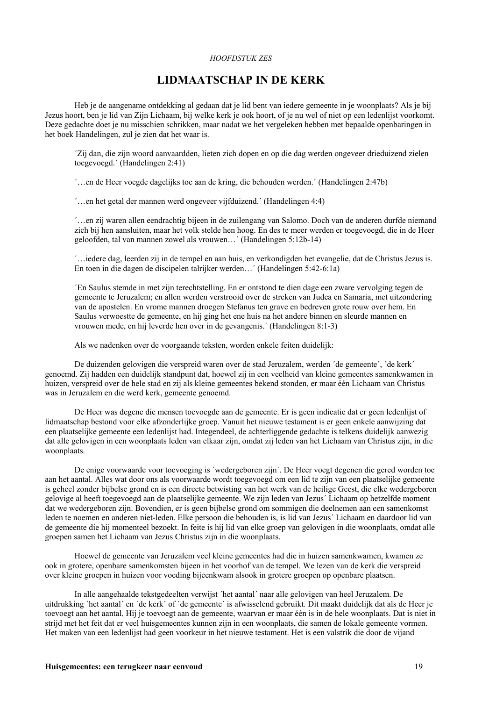#### *HOOFDSTUK ZES*

## **LIDMAATSCHAP IN DE KERK**

Heb je de aangename ontdekking al gedaan dat je lid bent van iedere gemeente in je woonplaats? Als je bij Jezus hoort, ben je lid van Zijn Lichaam, bij welke kerk je ook hoort, of je nu wel of niet op een ledenlijst voorkomt. Deze gedachte doet je nu misschien schrikken, maar nadat we het vergeleken hebben met bepaalde openbaringen in het boek Handelingen, zul je zien dat het waar is.

´Zij dan, die zijn woord aanvaardden, lieten zich dopen en op die dag werden ongeveer drieduizend zielen toegevoegd.´ (Handelingen 2:41)

´…en de Heer voegde dagelijks toe aan de kring, die behouden werden.´ (Handelingen 2:47b)

´…en het getal der mannen werd ongeveer vijfduizend.´ (Handelingen 4:4)

´…en zij waren allen eendrachtig bijeen in de zuilengang van Salomo. Doch van de anderen durfde niemand zich bij hen aansluiten, maar het volk stelde hen hoog. En des te meer werden er toegevoegd, die in de Heer geloofden, tal van mannen zowel als vrouwen…´ (Handelingen 5:12b-14)

´…iedere dag, leerden zij in de tempel en aan huis, en verkondigden het evangelie, dat de Christus Jezus is. En toen in die dagen de discipelen talrijker werden…´ (Handelingen 5:42-6:1a)

´En Saulus stemde in met zijn terechtstelling. En er ontstond te dien dage een zware vervolging tegen de gemeente te Jeruzalem; en allen werden verstrooid over de streken van Judea en Samaria, met uitzondering van de apostelen. En vrome mannen droegen Stefanus ten grave en bedreven grote rouw over hem. En Saulus verwoestte de gemeente, en hij ging het ene huis na het andere binnen en sleurde mannen en vrouwen mede, en hij leverde hen over in de gevangenis.´ (Handelingen 8:1-3)

Als we nadenken over de voorgaande teksten, worden enkele feiten duidelijk:

De duizenden gelovigen die verspreid waren over de stad Jeruzalem, werden ´de gemeente´, ´de kerk´ genoemd. Zij hadden een duidelijk standpunt dat, hoewel zij in een veelheid van kleine gemeentes samenkwamen in huizen, verspreid over de hele stad en zij als kleine gemeentes bekend stonden, er maar één Lichaam van Christus was in Jeruzalem en die werd kerk, gemeente genoemd.

De Heer was degene die mensen toevoegde aan de gemeente. Er is geen indicatie dat er geen ledenlijst of lidmaatschap bestond voor elke afzonderlijke groep. Vanuit het nieuwe testament is er geen enkele aanwijzing dat een plaatselijke gemeente een ledenlijst had. Integendeel, de achterliggende gedachte is telkens duidelijk aanwezig dat alle gelovigen in een woonplaats leden van elkaar zijn, omdat zij leden van het Lichaam van Christus zijn, in die woonplaats.

De enige voorwaarde voor toevoeging is ´wedergeboren zijn´. De Heer voegt degenen die gered worden toe aan het aantal. Alles wat door ons als voorwaarde wordt toegevoegd om een lid te zijn van een plaatselijke gemeente is geheel zonder bijbelse grond en is een directe betwisting van het werk van de heilige Geest, die elke wedergeboren gelovige al heeft toegevoegd aan de plaatselijke gemeente. We zijn leden van Jezus´ Lichaam op hetzelfde moment dat we wedergeboren zijn. Bovendien, er is geen bijbelse grond om sommigen die deelnemen aan een samenkomst leden te noemen en anderen niet-leden. Elke persoon die behouden is, is lid van Jezus´ Lichaam en daardoor lid van de gemeente die hij momenteel bezoekt. In feite is hij lid van elke groep van gelovigen in die woonplaats, omdat alle groepen samen het Lichaam van Jezus Christus zijn in die woonplaats.

Hoewel de gemeente van Jeruzalem veel kleine gemeentes had die in huizen samenkwamen, kwamen ze ook in grotere, openbare samenkomsten bijeen in het voorhof van de tempel. We lezen van de kerk die verspreid over kleine groepen in huizen voor voeding bijeenkwam alsook in grotere groepen op openbare plaatsen.

In alle aangehaalde tekstgedeelten verwijst ´het aantal´ naar alle gelovigen van heel Jeruzalem. De uitdrukking ´het aantal´ en ´de kerk´ of ´de gemeente´ is afwisselend gebruikt. Dit maakt duidelijk dat als de Heer je toevoegt aan het aantal, Hij je toevoegt aan de gemeente, waarvan er maar één is in de hele woonplaats. Dat is niet in strijd met het feit dat er veel huisgemeentes kunnen zijn in een woonplaats, die samen de lokale gemeente vormen. Het maken van een ledenlijst had geen voorkeur in het nieuwe testament. Het is een valstrik die door de vijand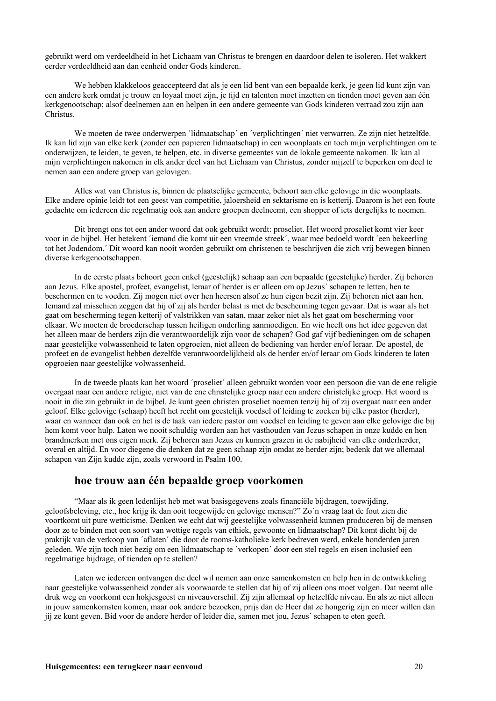gebruikt werd om verdeeldheid in het Lichaam van Christus te brengen en daardoor delen te isoleren. Het wakkert eerder verdeeldheid aan dan eenheid onder Gods kinderen.

We hebben klakkeloos geaccepteerd dat als je een lid bent van een bepaalde kerk, je geen lid kunt zijn van een andere kerk omdat je trouw en loyaal moet zijn, je tijd en talenten moet inzetten en tienden moet geven aan één kerkgenootschap; alsof deelnemen aan en helpen in een andere gemeente van Gods kinderen verraad zou zijn aan Christus.

We moeten de twee onderwerpen ´lidmaatschap´ en ´verplichtingen´ niet verwarren. Ze zijn niet hetzelfde. Ik kan lid zijn van elke kerk (zonder een papieren lidmaatschap) in een woonplaats en toch mijn verplichtingen om te onderwijzen, te leiden, te geven, te helpen, etc. in diverse gemeentes van de lokale gemeente nakomen. Ik kan al mijn verplichtingen nakomen in elk ander deel van het Lichaam van Christus, zonder mijzelf te beperken om deel te nemen aan een andere groep van gelovigen.

Alles wat van Christus is, binnen de plaatselijke gemeente, behoort aan elke gelovige in die woonplaats. Elke andere opinie leidt tot een geest van competitie, jaloersheid en sektarisme en is ketterij. Daarom is het een foute gedachte om iedereen die regelmatig ook aan andere groepen deelneemt, een shopper of iets dergelijks te noemen.

Dit brengt ons tot een ander woord dat ook gebruikt wordt: proseliet. Het woord proseliet komt vier keer voor in de bijbel. Het betekent ´iemand die komt uit een vreemde streek´, waar mee bedoeld wordt ´een bekeerling tot het Jodendom.´ Dit woord kan nooit worden gebruikt om christenen te beschrijven die zich vrij bewegen binnen diverse kerkgenootschappen.

In de eerste plaats behoort geen enkel (geestelijk) schaap aan een bepaalde (geestelijke) herder. Zij behoren aan Jezus. Elke apostel, profeet, evangelist, leraar of herder is er alleen om op Jezus´ schapen te letten, hen te beschermen en te voeden. Zij mogen niet over hen heersen alsof ze hun eigen bezit zijn. Zij behoren niet aan hen. Iemand zal misschien zeggen dat hij of zij als herder belast is met de bescherming tegen gevaar. Dat is waar als het gaat om bescherming tegen ketterij of valstrikken van satan, maar zeker niet als het gaat om bescherming voor elkaar. We moeten de broederschap tussen heiligen onderling aanmoedigen. En wie heeft ons het idee gegeven dat het alleen maar de herders zijn die verantwoordelijk zijn voor de schapen? God gaf vijf bedieningen om de schapen naar geestelijke volwassenheid te laten opgroeien, niet alleen de bediening van herder en/of leraar. De apostel, de profeet en de evangelist hebben dezelfde verantwoordelijkheid als de herder en/of leraar om Gods kinderen te laten opgroeien naar geestelijke volwassenheid.

In de tweede plaats kan het woord ´proseliet´ alleen gebruikt worden voor een persoon die van de ene religie overgaat naar een andere religie, niet van de ene christelijke groep naar een andere christelijke groep. Het woord is nooit in die zin gebruikt in de bijbel. Je kunt geen christen proseliet noemen tenzij hij of zij overgaat naar een ander geloof. Elke gelovige (schaap) heeft het recht om geestelijk voedsel of leiding te zoeken bij elke pastor (herder), waar en wanneer dan ook en het is de taak van iedere pastor om voedsel en leiding te geven aan elke gelovige die bij hem komt voor hulp. Laten we nooit schuldig worden aan het vasthouden van Jezus schapen in onze kudde en hen brandmerken met ons eigen merk. Zij behoren aan Jezus en kunnen grazen in de nabijheid van elke onderherder, overal en altijd. En voor diegene die denken dat ze geen schaap zijn omdat ze herder zijn; bedenk dat we allemaal schapen van Zijn kudde zijn, zoals verwoord in Psalm 100.

## **hoe trouw aan één bepaalde groep voorkomen**

"Maar als ik geen ledenlijst heb met wat basisgegevens zoals financiële bijdragen, toewijding, geloofsbeleving, etc., hoe krijg ik dan ooit toegewijde en gelovige mensen?" Zo´n vraag laat de fout zien die voortkomt uit pure wetticisme. Denken we echt dat wij geestelijke volwassenheid kunnen produceren bij de mensen door ze te binden met een soort van wettige regels van ethiek, gewoonte en lidmaatschap? Dit komt dicht bij de praktijk van de verkoop van ´aflaten´ die door de rooms-katholieke kerk bedreven werd, enkele honderden jaren geleden. We zijn toch niet bezig om een lidmaatschap te ´verkopen´ door een stel regels en eisen inclusief een regelmatige bijdrage, of tienden op te stellen?

Laten we iedereen ontvangen die deel wil nemen aan onze samenkomsten en help hen in de ontwikkeling naar geestelijke volwassenheid zonder als voorwaarde te stellen dat hij of zij alleen ons moet volgen. Dat neemt alle druk weg en voorkomt een hokjesgeest en niveauverschil. Zij zijn allemaal op hetzelfde niveau. En als ze niet alleen in jouw samenkomsten komen, maar ook andere bezoeken, prijs dan de Heer dat ze hongerig zijn en meer willen dan jij ze kunt geven. Bid voor de andere herder of leider die, samen met jou, Jezus´ schapen te eten geeft.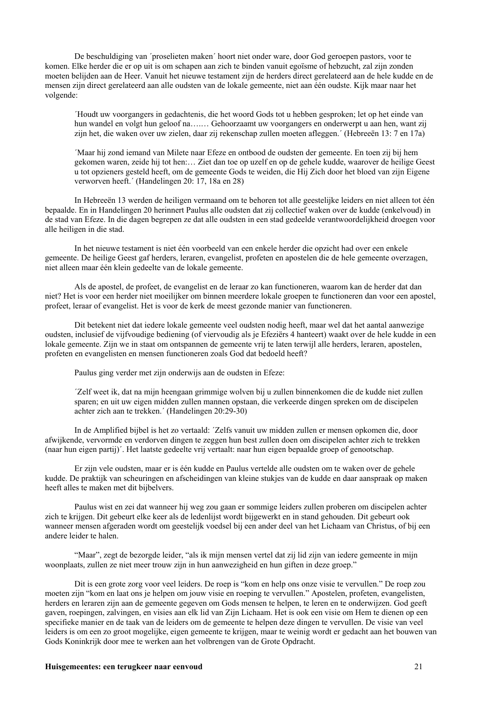De beschuldiging van ´proselieten maken´ hoort niet onder ware, door God geroepen pastors, voor te komen. Elke herder die er op uit is om schapen aan zich te binden vanuit egoïsme of hebzucht, zal zijn zonden moeten belijden aan de Heer. Vanuit het nieuwe testament zijn de herders direct gerelateerd aan de hele kudde en de mensen zijn direct gerelateerd aan alle oudsten van de lokale gemeente, niet aan één oudste. Kijk maar naar het volgende:

´Houdt uw voorgangers in gedachtenis, die het woord Gods tot u hebben gesproken; let op het einde van hun wandel en volgt hun geloof na….… Gehoorzaamt uw voorgangers en onderwerpt u aan hen, want zij zijn het, die waken over uw zielen, daar zij rekenschap zullen moeten afleggen.´ (Hebreeën 13: 7 en 17a)

´Maar hij zond iemand van Milete naar Efeze en ontbood de oudsten der gemeente. En toen zij bij hem gekomen waren, zeide hij tot hen:… Ziet dan toe op uzelf en op de gehele kudde, waarover de heilige Geest u tot opzieners gesteld heeft, om de gemeente Gods te weiden, die Hij Zich door het bloed van zijn Eigene verworven heeft.´ (Handelingen 20: 17, 18a en 28)

In Hebreeën 13 werden de heiligen vermaand om te behoren tot alle geestelijke leiders en niet alleen tot één bepaalde. En in Handelingen 20 herinnert Paulus alle oudsten dat zij collectief waken over de kudde (enkelvoud) in de stad van Efeze. In die dagen begrepen ze dat alle oudsten in een stad gedeelde verantwoordelijkheid droegen voor alle heiligen in die stad.

In het nieuwe testament is niet één voorbeeld van een enkele herder die opzicht had over een enkele gemeente. De heilige Geest gaf herders, leraren, evangelist, profeten en apostelen die de hele gemeente overzagen, niet alleen maar één klein gedeelte van de lokale gemeente.

Als de apostel, de profeet, de evangelist en de leraar zo kan functioneren, waarom kan de herder dat dan niet? Het is voor een herder niet moeilijker om binnen meerdere lokale groepen te functioneren dan voor een apostel, profeet, leraar of evangelist. Het is voor de kerk de meest gezonde manier van functioneren.

Dit betekent niet dat iedere lokale gemeente veel oudsten nodig heeft, maar wel dat het aantal aanwezige oudsten, inclusief de vijfvoudige bediening (of viervoudig als je Efeziërs 4 hanteert) waakt over de hele kudde in een lokale gemeente. Zijn we in staat om ontspannen de gemeente vrij te laten terwijl alle herders, leraren, apostelen, profeten en evangelisten en mensen functioneren zoals God dat bedoeld heeft?

Paulus ging verder met zijn onderwijs aan de oudsten in Efeze:

´Zelf weet ik, dat na mijn heengaan grimmige wolven bij u zullen binnenkomen die de kudde niet zullen sparen; en uit uw eigen midden zullen mannen opstaan, die verkeerde dingen spreken om de discipelen achter zich aan te trekken.´ (Handelingen 20:29-30)

In de Amplified bijbel is het zo vertaald: ´Zelfs vanuit uw midden zullen er mensen opkomen die, door afwijkende, vervormde en verdorven dingen te zeggen hun best zullen doen om discipelen achter zich te trekken (naar hun eigen partij)´. Het laatste gedeelte vrij vertaalt: naar hun eigen bepaalde groep of genootschap.

Er zijn vele oudsten, maar er is één kudde en Paulus vertelde alle oudsten om te waken over de gehele kudde. De praktijk van scheuringen en afscheidingen van kleine stukjes van de kudde en daar aanspraak op maken heeft alles te maken met dit bijbelvers.

Paulus wist en zei dat wanneer hij weg zou gaan er sommige leiders zullen proberen om discipelen achter zich te krijgen. Dit gebeurt elke keer als de ledenlijst wordt bijgewerkt en in stand gehouden. Dit gebeurt ook wanneer mensen afgeraden wordt om geestelijk voedsel bij een ander deel van het Lichaam van Christus, of bij een andere leider te halen.

"Maar", zegt de bezorgde leider, "als ik mijn mensen vertel dat zij lid zijn van iedere gemeente in mijn woonplaats, zullen ze niet meer trouw zijn in hun aanwezigheid en hun giften in deze groep."

Dit is een grote zorg voor veel leiders. De roep is "kom en help ons onze visie te vervullen." De roep zou moeten zijn "kom en laat ons je helpen om jouw visie en roeping te vervullen." Apostelen, profeten, evangelisten, herders en leraren zijn aan de gemeente gegeven om Gods mensen te helpen, te leren en te onderwijzen. God geeft gaven, roepingen, zalvingen, en visies aan elk lid van Zijn Lichaam. Het is ook een visie om Hem te dienen op een specifieke manier en de taak van de leiders om de gemeente te helpen deze dingen te vervullen. De visie van veel leiders is om een zo groot mogelijke, eigen gemeente te krijgen, maar te weinig wordt er gedacht aan het bouwen van Gods Koninkrijk door mee te werken aan het volbrengen van de Grote Opdracht.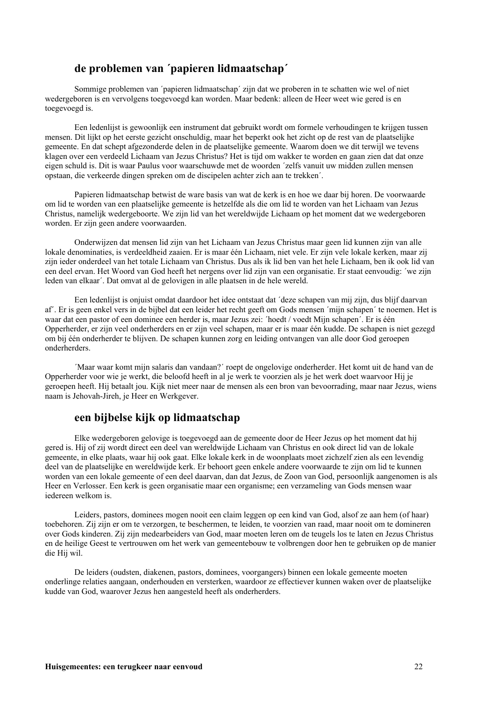## **de problemen van ´papieren lidmaatschap´**

Sommige problemen van ´papieren lidmaatschap´ zijn dat we proberen in te schatten wie wel of niet wedergeboren is en vervolgens toegevoegd kan worden. Maar bedenk: alleen de Heer weet wie gered is en toegevoegd is.

Een ledenlijst is gewoonlijk een instrument dat gebruikt wordt om formele verhoudingen te krijgen tussen mensen. Dit lijkt op het eerste gezicht onschuldig, maar het beperkt ook het zicht op de rest van de plaatselijke gemeente. En dat schept afgezonderde delen in de plaatselijke gemeente. Waarom doen we dit terwijl we tevens klagen over een verdeeld Lichaam van Jezus Christus? Het is tijd om wakker te worden en gaan zien dat dat onze eigen schuld is. Dit is waar Paulus voor waarschuwde met de woorden ´zelfs vanuit uw midden zullen mensen opstaan, die verkeerde dingen spreken om de discipelen achter zich aan te trekken´.

Papieren lidmaatschap betwist de ware basis van wat de kerk is en hoe we daar bij horen. De voorwaarde om lid te worden van een plaatselijke gemeente is hetzelfde als die om lid te worden van het Lichaam van Jezus Christus, namelijk wedergeboorte. We zijn lid van het wereldwijde Lichaam op het moment dat we wedergeboren worden. Er zijn geen andere voorwaarden.

Onderwijzen dat mensen lid zijn van het Lichaam van Jezus Christus maar geen lid kunnen zijn van alle lokale denominaties, is verdeeldheid zaaien. Er is maar één Lichaam, niet vele. Er zijn vele lokale kerken, maar zij zijn ieder onderdeel van het totale Lichaam van Christus. Dus als ik lid ben van het hele Lichaam, ben ik ook lid van een deel ervan. Het Woord van God heeft het nergens over lid zijn van een organisatie. Er staat eenvoudig: ´we zijn leden van elkaar´. Dat omvat al de gelovigen in alle plaatsen in de hele wereld.

Een ledenlijst is onjuist omdat daardoor het idee ontstaat dat ´deze schapen van mij zijn, dus blijf daarvan af´. Er is geen enkel vers in de bijbel dat een leider het recht geeft om Gods mensen ´mijn schapen´ te noemen. Het is waar dat een pastor of een dominee een herder is, maar Jezus zei: ´hoedt / voedt Mijn schapen´. Er is één Opperherder, er zijn veel onderherders en er zijn veel schapen, maar er is maar één kudde. De schapen is niet gezegd om bij één onderherder te blijven. De schapen kunnen zorg en leiding ontvangen van alle door God geroepen onderherders.

´Maar waar komt mijn salaris dan vandaan?´ roept de ongelovige onderherder. Het komt uit de hand van de Opperherder voor wie je werkt, die beloofd heeft in al je werk te voorzien als je het werk doet waarvoor Hij je geroepen heeft. Hij betaalt jou. Kijk niet meer naar de mensen als een bron van bevoorrading, maar naar Jezus, wiens naam is Jehovah-Jireh, je Heer en Werkgever.

## **een bijbelse kijk op lidmaatschap**

Elke wedergeboren gelovige is toegevoegd aan de gemeente door de Heer Jezus op het moment dat hij gered is. Hij of zij wordt direct een deel van wereldwijde Lichaam van Christus en ook direct lid van de lokale gemeente, in elke plaats, waar hij ook gaat. Elke lokale kerk in de woonplaats moet zichzelf zien als een levendig deel van de plaatselijke en wereldwijde kerk. Er behoort geen enkele andere voorwaarde te zijn om lid te kunnen worden van een lokale gemeente of een deel daarvan, dan dat Jezus, de Zoon van God, persoonlijk aangenomen is als Heer en Verlosser. Een kerk is geen organisatie maar een organisme; een verzameling van Gods mensen waar iedereen welkom is.

Leiders, pastors, dominees mogen nooit een claim leggen op een kind van God, alsof ze aan hem (of haar) toebehoren. Zij zijn er om te verzorgen, te beschermen, te leiden, te voorzien van raad, maar nooit om te domineren over Gods kinderen. Zij zijn medearbeiders van God, maar moeten leren om de teugels los te laten en Jezus Christus en de heilige Geest te vertrouwen om het werk van gemeentebouw te volbrengen door hen te gebruiken op de manier die Hij wil.

De leiders (oudsten, diakenen, pastors, dominees, voorgangers) binnen een lokale gemeente moeten onderlinge relaties aangaan, onderhouden en versterken, waardoor ze effectiever kunnen waken over de plaatselijke kudde van God, waarover Jezus hen aangesteld heeft als onderherders.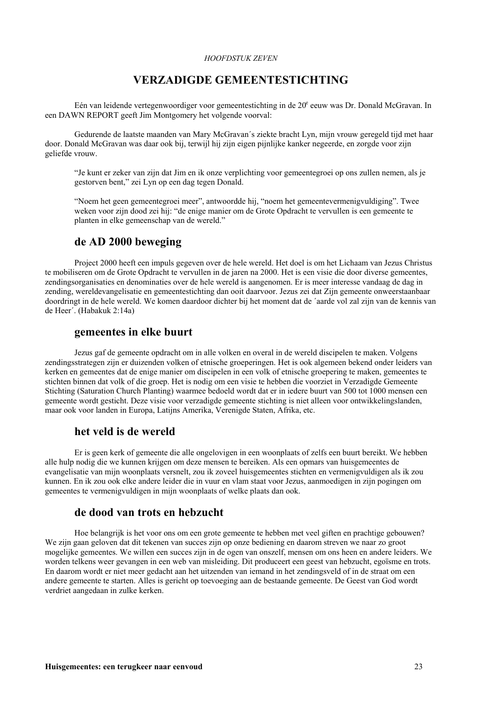#### *HOOFDSTUK ZEVEN*

## **VERZADIGDE GEMEENTESTICHTING**

Eén van leidende vertegenwoordiger voor gemeentestichting in de 20<sup>e</sup> eeuw was Dr. Donald McGravan. In een DAWN REPORT geeft Jim Montgomery het volgende voorval:

Gedurende de laatste maanden van Mary McGravan´s ziekte bracht Lyn, mijn vrouw geregeld tijd met haar door. Donald McGravan was daar ook bij, terwijl hij zijn eigen pijnlijke kanker negeerde, en zorgde voor zijn geliefde vrouw.

"Je kunt er zeker van zijn dat Jim en ik onze verplichting voor gemeentegroei op ons zullen nemen, als je gestorven bent," zei Lyn op een dag tegen Donald.

"Noem het geen gemeentegroei meer", antwoordde hij, "noem het gemeentevermenigvuldiging". Twee weken voor zijn dood zei hij: "de enige manier om de Grote Opdracht te vervullen is een gemeente te planten in elke gemeenschap van de wereld."

## **de AD 2000 beweging**

Project 2000 heeft een impuls gegeven over de hele wereld. Het doel is om het Lichaam van Jezus Christus te mobiliseren om de Grote Opdracht te vervullen in de jaren na 2000. Het is een visie die door diverse gemeentes, zendingsorganisaties en denominaties over de hele wereld is aangenomen. Er is meer interesse vandaag de dag in zending, wereldevangelisatie en gemeentestichting dan ooit daarvoor. Jezus zei dat Zijn gemeente onweerstaanbaar doordringt in de hele wereld. We komen daardoor dichter bij het moment dat de ´aarde vol zal zijn van de kennis van de Heer´. (Habakuk 2:14a)

### **gemeentes in elke buurt**

Jezus gaf de gemeente opdracht om in alle volken en overal in de wereld discipelen te maken. Volgens zendingsstrategen zijn er duizenden volken of etnische groeperingen. Het is ook algemeen bekend onder leiders van kerken en gemeentes dat de enige manier om discipelen in een volk of etnische groepering te maken, gemeentes te stichten binnen dat volk of die groep. Het is nodig om een visie te hebben die voorziet in Verzadigde Gemeente Stichting (Saturation Church Planting) waarmee bedoeld wordt dat er in iedere buurt van 500 tot 1000 mensen een gemeente wordt gesticht. Deze visie voor verzadigde gemeente stichting is niet alleen voor ontwikkelingslanden, maar ook voor landen in Europa, Latijns Amerika, Verenigde Staten, Afrika, etc.

## **het veld is de wereld**

Er is geen kerk of gemeente die alle ongelovigen in een woonplaats of zelfs een buurt bereikt. We hebben alle hulp nodig die we kunnen krijgen om deze mensen te bereiken. Als een opmars van huisgemeentes de evangelisatie van mijn woonplaats versnelt, zou ik zoveel huisgemeentes stichten en vermenigvuldigen als ik zou kunnen. En ik zou ook elke andere leider die in vuur en vlam staat voor Jezus, aanmoedigen in zijn pogingen om gemeentes te vermenigvuldigen in mijn woonplaats of welke plaats dan ook.

## **de dood van trots en hebzucht**

Hoe belangrijk is het voor ons om een grote gemeente te hebben met veel giften en prachtige gebouwen? We zijn gaan geloven dat dit tekenen van succes zijn op onze bediening en daarom streven we naar zo groot mogelijke gemeentes. We willen een succes zijn in de ogen van onszelf, mensen om ons heen en andere leiders. We worden telkens weer gevangen in een web van misleiding. Dit produceert een geest van hebzucht, egoïsme en trots. En daarom wordt er niet meer gedacht aan het uitzenden van iemand in het zendingsveld of in de straat om een andere gemeente te starten. Alles is gericht op toevoeging aan de bestaande gemeente. De Geest van God wordt verdriet aangedaan in zulke kerken.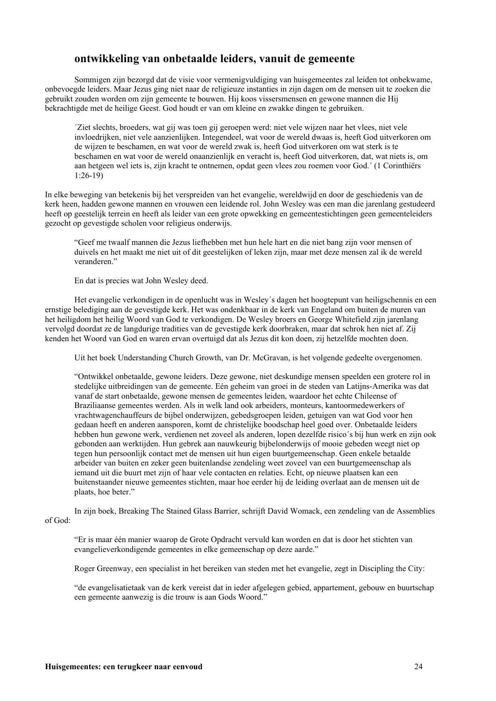## **ontwikkeling van onbetaalde leiders, vanuit de gemeente**

Sommigen zijn bezorgd dat de visie voor vermenigvuldiging van huisgemeentes zal leiden tot onbekwame, onbevoegde leiders. Maar Jezus ging niet naar de religieuze instanties in zijn dagen om de mensen uit te zoeken die gebruikt zouden worden om zijn gemeente te bouwen. Hij koos vissersmensen en gewone mannen die Hij bekrachtigde met de heilige Geest. God houdt er van om kleine en zwakke dingen te gebruiken.

´Ziet slechts, broeders, wat gij was toen gij geroepen werd: niet vele wijzen naar het vlees, niet vele invloedrijken, niet vele aanzienlijken. Integendeel, wat voor de wereld dwaas is, heeft God uitverkoren om de wijzen te beschamen, en wat voor de wereld zwak is, heeft God uitverkoren om wat sterk is te beschamen en wat voor de wereld onaanzienlijk en veracht is, heeft God uitverkoren, dat, wat niets is, om aan hetgeen wel iets is, zijn kracht te ontnemen, opdat geen vlees zou roemen voor God.´ (1 Corinthiërs 1:26-19)

In elke beweging van betekenis bij het verspreiden van het evangelie, wereldwijd en door de geschiedenis van de kerk heen, hadden gewone mannen en vrouwen een leidende rol. John Wesley was een man die jarenlang gestudeerd heeft op geestelijk terrein en heeft als leider van een grote opwekking en gemeentestichtingen geen gemeenteleiders gezocht op gevestigde scholen voor religieus onderwijs.

"Geef me twaalf mannen die Jezus liefhebben met hun hele hart en die niet bang zijn voor mensen of duivels en het maakt me niet uit of dit geestelijken of leken zijn, maar met deze mensen zal ik de wereld veranderen."

En dat is precies wat John Wesley deed.

Het evangelie verkondigen in de openlucht was in Wesley´s dagen het hoogtepunt van heiligschennis en een ernstige belediging aan de gevestigde kerk. Het was ondenkbaar in de kerk van Engeland om buiten de muren van het heiligdom het heilig Woord van God te verkondigen. De Wesley broers en George Whitefield zijn jarenlang vervolgd doordat ze de langdurige tradities van de gevestigde kerk doorbraken, maar dat schrok hen niet af. Zij kenden het Woord van God en waren ervan overtuigd dat als Jezus dit kon doen, zij hetzelfde mochten doen.

Uit het boek Understanding Church Growth, van Dr. McGravan, is het volgende gedeelte overgenomen.

"Ontwikkel onbetaalde, gewone leiders. Deze gewone, niet deskundige mensen speelden een grotere rol in stedelijke uitbreidingen van de gemeente. Eén geheim van groei in de steden van Latijns-Amerika was dat vanaf de start onbetaalde, gewone mensen de gemeentes leiden, waardoor het echte Chileense of Braziliaanse gemeentes werden. Als in welk land ook arbeiders, monteurs, kantoormedewerkers of vrachtwagenchauffeurs de bijbel onderwijzen, gebedsgroepen leiden, getuigen van wat God voor hen gedaan heeft en anderen aansporen, komt de christelijke boodschap heel goed over. Onbetaalde leiders hebben hun gewone werk, verdienen net zoveel als anderen, lopen dezelfde risico´s bij hun werk en zijn ook gebonden aan werktijden. Hun gebrek aan nauwkeurig bijbelonderwijs of mooie gebeden weegt niet op tegen hun persoonlijk contact met de mensen uit hun eigen buurtgemeenschap. Geen enkele betaalde arbeider van buiten en zeker geen buitenlandse zendeling weet zoveel van een buurtgemeenschap als iemand uit die buurt met zijn of haar vele contacten en relaties. Echt, op nieuwe plaatsen kan een buitenstaander nieuwe gemeentes stichten, maar hoe eerder hij de leiding overlaat aan de mensen uit de plaats, hoe beter."

In zijn boek, Breaking The Stained Glass Barrier, schrijft David Womack, een zendeling van de Assemblies of God:

"Er is maar één manier waarop de Grote Opdracht vervuld kan worden en dat is door het stichten van evangelieverkondigende gemeentes in elke gemeenschap op deze aarde."

Roger Greenway, een specialist in het bereiken van steden met het evangelie, zegt in Discipling the City:

"de evangelisatietaak van de kerk vereist dat in ieder afgelegen gebied, appartement, gebouw en buurtschap een gemeente aanwezig is die trouw is aan Gods Woord."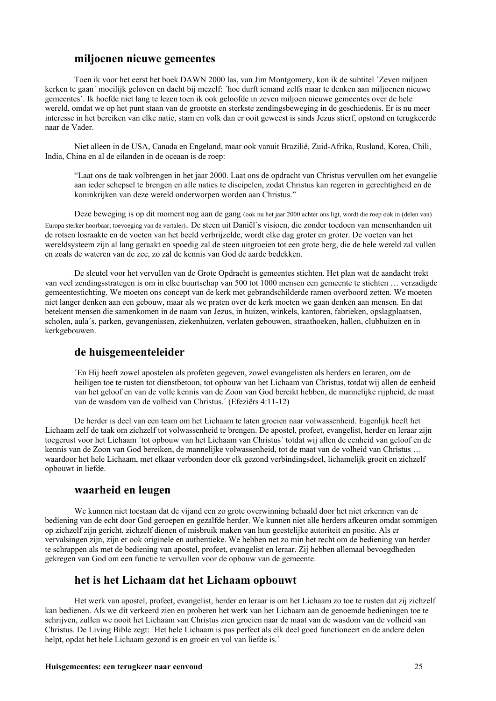## **miljoenen nieuwe gemeentes**

Toen ik voor het eerst het boek DAWN 2000 las, van Jim Montgomery, kon ik de subtitel ´Zeven miljoen kerken te gaan´ moeilijk geloven en dacht bij mezelf: ´hoe durft iemand zelfs maar te denken aan miljoenen nieuwe gemeentes´. Ik hoefde niet lang te lezen toen ik ook geloofde in zeven miljoen nieuwe gemeentes over de hele wereld, omdat we op het punt staan van de grootste en sterkste zendingsbeweging in de geschiedenis. Er is nu meer interesse in het bereiken van elke natie, stam en volk dan er ooit geweest is sinds Jezus stierf, opstond en terugkeerde naar de Vader.

Niet alleen in de USA, Canada en Engeland, maar ook vanuit Brazilië, Zuid-Afrika, Rusland, Korea, Chili, India, China en al de eilanden in de oceaan is de roep:

"Laat ons de taak volbrengen in het jaar 2000. Laat ons de opdracht van Christus vervullen om het evangelie aan ieder schepsel te brengen en alle naties te discipelen, zodat Christus kan regeren in gerechtigheid en de koninkrijken van deze wereld onderworpen worden aan Christus."

Deze beweging is op dit moment nog aan de gang (ook nu het jaar 2000 achter ons ligt, wordt die roep ook in (delen van) Europa sterker hoorbaar; toevoeging van de vertaler). De steen uit Daniël´s visioen, die zonder toedoen van mensenhanden uit de rotsen losraakte en de voeten van het beeld verbrijzelde, wordt elke dag groter en groter. De voeten van het wereldsysteem zijn al lang geraakt en spoedig zal de steen uitgroeien tot een grote berg, die de hele wereld zal vullen en zoals de wateren van de zee, zo zal de kennis van God de aarde bedekken.

De sleutel voor het vervullen van de Grote Opdracht is gemeentes stichten. Het plan wat de aandacht trekt van veel zendingsstrategen is om in elke buurtschap van 500 tot 1000 mensen een gemeente te stichten … verzadigde gemeentestichting. We moeten ons concept van de kerk met gebrandschilderde ramen overboord zetten. We moeten niet langer denken aan een gebouw, maar als we praten over de kerk moeten we gaan denken aan mensen. En dat betekent mensen die samenkomen in de naam van Jezus, in huizen, winkels, kantoren, fabrieken, opslagplaatsen, scholen, aula´s, parken, gevangenissen, ziekenhuizen, verlaten gebouwen, straathoeken, hallen, clubhuizen en in kerkgebouwen.

## **de huisgemeenteleider**

´En Hij heeft zowel apostelen als profeten gegeven, zowel evangelisten als herders en leraren, om de heiligen toe te rusten tot dienstbetoon, tot opbouw van het Lichaam van Christus, totdat wij allen de eenheid van het geloof en van de volle kennis van de Zoon van God bereikt hebben, de mannelijke rijpheid, de maat van de wasdom van de volheid van Christus.´ (Efeziërs 4:11-12)

De herder is deel van een team om het Lichaam te laten groeien naar volwassenheid. Eigenlijk heeft het Lichaam zelf de taak om zichzelf tot volwassenheid te brengen. De apostel, profeet, evangelist, herder en leraar zijn toegerust voor het Lichaam ´tot opbouw van het Lichaam van Christus´ totdat wij allen de eenheid van geloof en de kennis van de Zoon van God bereiken, de mannelijke volwassenheid, tot de maat van de volheid van Christus … waardoor het hele Lichaam, met elkaar verbonden door elk gezond verbindingsdeel, lichamelijk groeit en zichzelf opbouwt in liefde.

## **waarheid en leugen**

We kunnen niet toestaan dat de vijand een zo grote overwinning behaald door het niet erkennen van de bediening van de echt door God geroepen en gezalfde herder. We kunnen niet alle herders afkeuren omdat sommigen op zichzelf zijn gericht, zichzelf dienen of misbruik maken van hun geestelijke autoriteit en positie. Als er vervalsingen zijn, zijn er ook originele en authentieke. We hebben net zo min het recht om de bediening van herder te schrappen als met de bediening van apostel, profeet, evangelist en leraar. Zij hebben allemaal bevoegdheden gekregen van God om een functie te vervullen voor de opbouw van de gemeente.

## **het is het Lichaam dat het Lichaam opbouwt**

Het werk van apostel, profeet, evangelist, herder en leraar is om het Lichaam zo toe te rusten dat zij zichzelf kan bedienen. Als we dit verkeerd zien en proberen het werk van het Lichaam aan de genoemde bedieningen toe te schrijven, zullen we nooit het Lichaam van Christus zien groeien naar de maat van de wasdom van de volheid van Christus. De Living Bible zegt: ´Het hele Lichaam is pas perfect als elk deel goed functioneert en de andere delen helpt, opdat het hele Lichaam gezond is en groeit en vol van liefde is.´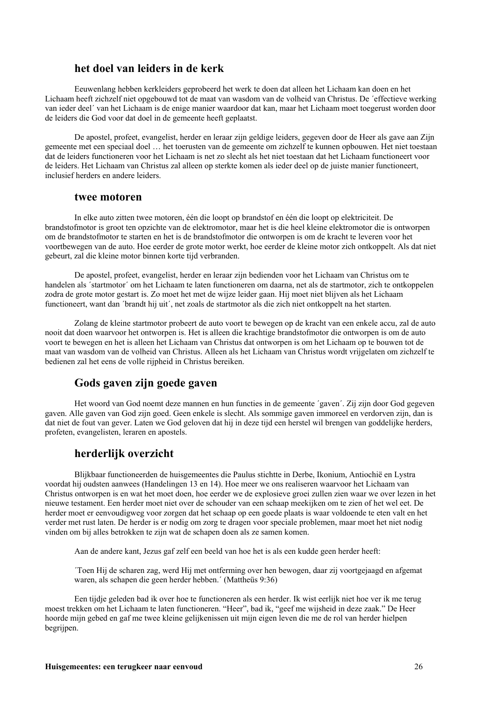## **het doel van leiders in de kerk**

Eeuwenlang hebben kerkleiders geprobeerd het werk te doen dat alleen het Lichaam kan doen en het Lichaam heeft zichzelf niet opgebouwd tot de maat van wasdom van de volheid van Christus. De ´effectieve werking van ieder deel´ van het Lichaam is de enige manier waardoor dat kan, maar het Lichaam moet toegerust worden door de leiders die God voor dat doel in de gemeente heeft geplaatst.

De apostel, profeet, evangelist, herder en leraar zijn geldige leiders, gegeven door de Heer als gave aan Zijn gemeente met een speciaal doel … het toerusten van de gemeente om zichzelf te kunnen opbouwen. Het niet toestaan dat de leiders functioneren voor het Lichaam is net zo slecht als het niet toestaan dat het Lichaam functioneert voor de leiders. Het Lichaam van Christus zal alleen op sterkte komen als ieder deel op de juiste manier functioneert, inclusief herders en andere leiders.

#### **twee motoren**

In elke auto zitten twee motoren, één die loopt op brandstof en één die loopt op elektriciteit. De brandstofmotor is groot ten opzichte van de elektromotor, maar het is die heel kleine elektromotor die is ontworpen om de brandstofmotor te starten en het is de brandstofmotor die ontworpen is om de kracht te leveren voor het voortbewegen van de auto. Hoe eerder de grote motor werkt, hoe eerder de kleine motor zich ontkoppelt. Als dat niet gebeurt, zal die kleine motor binnen korte tijd verbranden.

De apostel, profeet, evangelist, herder en leraar zijn bedienden voor het Lichaam van Christus om te handelen als ´startmotor´ om het Lichaam te laten functioneren om daarna, net als de startmotor, zich te ontkoppelen zodra de grote motor gestart is. Zo moet het met de wijze leider gaan. Hij moet niet blijven als het Lichaam functioneert, want dan ´brandt hij uit´, net zoals de startmotor als die zich niet ontkoppelt na het starten.

Zolang de kleine startmotor probeert de auto voort te bewegen op de kracht van een enkele accu, zal de auto nooit dat doen waarvoor het ontworpen is. Het is alleen die krachtige brandstofmotor die ontworpen is om de auto voort te bewegen en het is alleen het Lichaam van Christus dat ontworpen is om het Lichaam op te bouwen tot de maat van wasdom van de volheid van Christus. Alleen als het Lichaam van Christus wordt vrijgelaten om zichzelf te bedienen zal het eens de volle rijpheid in Christus bereiken.

## **Gods gaven zijn goede gaven**

Het woord van God noemt deze mannen en hun functies in de gemeente ´gaven´. Zij zijn door God gegeven gaven. Alle gaven van God zijn goed. Geen enkele is slecht. Als sommige gaven immoreel en verdorven zijn, dan is dat niet de fout van gever. Laten we God geloven dat hij in deze tijd een herstel wil brengen van goddelijke herders, profeten, evangelisten, leraren en apostels.

## **herderlijk overzicht**

Blijkbaar functioneerden de huisgemeentes die Paulus stichtte in Derbe, Ikonium, Antiochië en Lystra voordat hij oudsten aanwees (Handelingen 13 en 14). Hoe meer we ons realiseren waarvoor het Lichaam van Christus ontworpen is en wat het moet doen, hoe eerder we de explosieve groei zullen zien waar we over lezen in het nieuwe testament. Een herder moet niet over de schouder van een schaap meekijken om te zien of het wel eet. De herder moet er eenvoudigweg voor zorgen dat het schaap op een goede plaats is waar voldoende te eten valt en het verder met rust laten. De herder is er nodig om zorg te dragen voor speciale problemen, maar moet het niet nodig vinden om bij alles betrokken te zijn wat de schapen doen als ze samen komen.

Aan de andere kant, Jezus gaf zelf een beeld van hoe het is als een kudde geen herder heeft:

´Toen Hij de scharen zag, werd Hij met ontferming over hen bewogen, daar zij voortgejaagd en afgemat waren, als schapen die geen herder hebben.´ (Mattheüs 9:36)

Een tijdje geleden bad ik over hoe te functioneren als een herder. Ik wist eerlijk niet hoe ver ik me terug moest trekken om het Lichaam te laten functioneren. "Heer", bad ik, "geef me wijsheid in deze zaak." De Heer hoorde mijn gebed en gaf me twee kleine gelijkenissen uit mijn eigen leven die me de rol van herder hielpen begrijpen.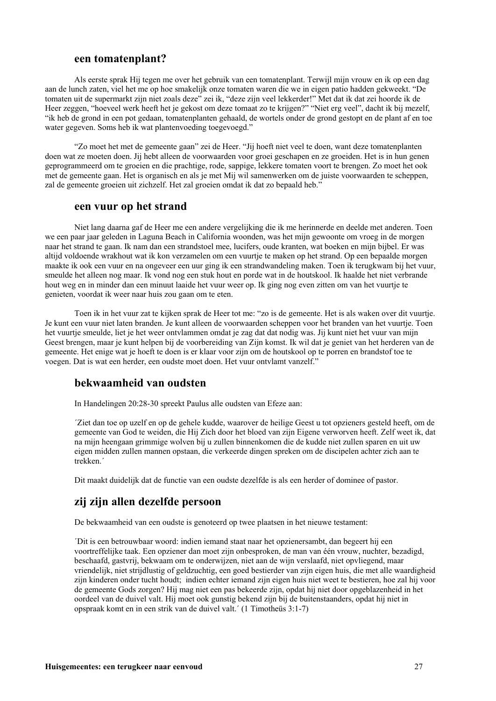## **een tomatenplant?**

Als eerste sprak Hij tegen me over het gebruik van een tomatenplant. Terwijl mijn vrouw en ik op een dag aan de lunch zaten, viel het me op hoe smakelijk onze tomaten waren die we in eigen patio hadden gekweekt. "De tomaten uit de supermarkt zijn niet zoals deze" zei ik, "deze zijn veel lekkerder!" Met dat ik dat zei hoorde ik de Heer zeggen, "hoeveel werk heeft het je gekost om deze tomaat zo te krijgen?" "Niet erg veel", dacht ik bij mezelf, "ik heb de grond in een pot gedaan, tomatenplanten gehaald, de wortels onder de grond gestopt en de plant af en toe water gegeven. Soms heb ik wat plantenvoeding toegevoegd."

"Zo moet het met de gemeente gaan" zei de Heer. "Jij hoeft niet veel te doen, want deze tomatenplanten doen wat ze moeten doen. Jij hebt alleen de voorwaarden voor groei geschapen en ze groeiden. Het is in hun genen geprogrammeerd om te groeien en die prachtige, rode, sappige, lekkere tomaten voort te brengen. Zo moet het ook met de gemeente gaan. Het is organisch en als je met Mij wil samenwerken om de juiste voorwaarden te scheppen, zal de gemeente groeien uit zichzelf. Het zal groeien omdat ik dat zo bepaald heb."

## **een vuur op het strand**

Niet lang daarna gaf de Heer me een andere vergelijking die ik me herinnerde en deelde met anderen. Toen we een paar jaar geleden in Laguna Beach in California woonden, was het mijn gewoonte om vroeg in de morgen naar het strand te gaan. Ik nam dan een strandstoel mee, lucifers, oude kranten, wat boeken en mijn bijbel. Er was altijd voldoende wrakhout wat ik kon verzamelen om een vuurtje te maken op het strand. Op een bepaalde morgen maakte ik ook een vuur en na ongeveer een uur ging ik een strandwandeling maken. Toen ik terugkwam bij het vuur, smeulde het alleen nog maar. Ik vond nog een stuk hout en porde wat in de houtskool. Ik haalde het niet verbrande hout weg en in minder dan een minuut laaide het vuur weer op. Ik ging nog even zitten om van het vuurtje te genieten, voordat ik weer naar huis zou gaan om te eten.

Toen ik in het vuur zat te kijken sprak de Heer tot me: "zo is de gemeente. Het is als waken over dit vuurtje. Je kunt een vuur niet laten branden. Je kunt alleen de voorwaarden scheppen voor het branden van het vuurtje. Toen het vuurtje smeulde, liet je het weer ontvlammen omdat je zag dat dat nodig was. Jij kunt niet het vuur van mijn Geest brengen, maar je kunt helpen bij de voorbereiding van Zijn komst. Ik wil dat je geniet van het herderen van de gemeente. Het enige wat je hoeft te doen is er klaar voor zijn om de houtskool op te porren en brandstof toe te voegen. Dat is wat een herder, een oudste moet doen. Het vuur ontvlamt vanzelf."

## **bekwaamheid van oudsten**

In Handelingen 20:28-30 spreekt Paulus alle oudsten van Efeze aan:

´Ziet dan toe op uzelf en op de gehele kudde, waarover de heilige Geest u tot opzieners gesteld heeft, om de gemeente van God te weiden, die Hij Zich door het bloed van zijn Eigene verworven heeft. Zelf weet ik, dat na mijn heengaan grimmige wolven bij u zullen binnenkomen die de kudde niet zullen sparen en uit uw eigen midden zullen mannen opstaan, die verkeerde dingen spreken om de discipelen achter zich aan te trekken.´

Dit maakt duidelijk dat de functie van een oudste dezelfde is als een herder of dominee of pastor.

## **zij zijn allen dezelfde persoon**

De bekwaamheid van een oudste is genoteerd op twee plaatsen in het nieuwe testament:

´Dit is een betrouwbaar woord: indien iemand staat naar het opzienersambt, dan begeert hij een voortreffelijke taak. Een opziener dan moet zijn onbesproken, de man van één vrouw, nuchter, bezadigd, beschaafd, gastvrij, bekwaam om te onderwijzen, niet aan de wijn verslaafd, niet opvliegend, maar vriendelijk, niet strijdlustig of geldzuchtig, een goed bestierder van zijn eigen huis, die met alle waardigheid zijn kinderen onder tucht houdt; indien echter iemand zijn eigen huis niet weet te bestieren, hoe zal hij voor de gemeente Gods zorgen? Hij mag niet een pas bekeerde zijn, opdat hij niet door opgeblazenheid in het oordeel van de duivel valt. Hij moet ook gunstig bekend zijn bij de buitenstaanders, opdat hij niet in opspraak komt en in een strik van de duivel valt.´ (1 Timotheüs 3:1-7)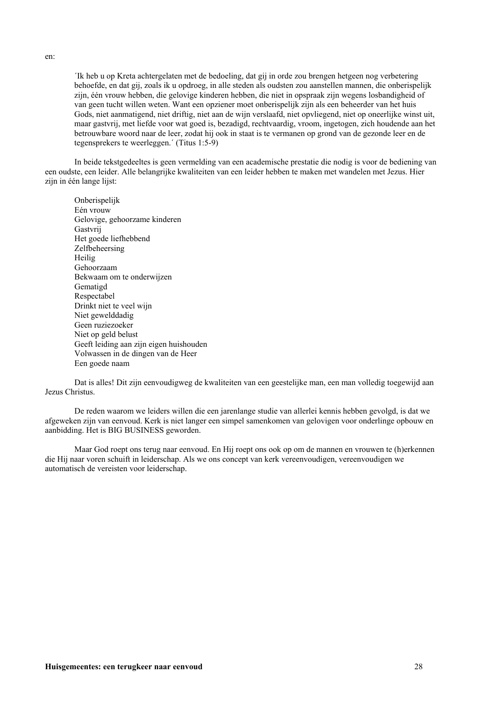´Ik heb u op Kreta achtergelaten met de bedoeling, dat gij in orde zou brengen hetgeen nog verbetering behoefde, en dat gij, zoals ik u opdroeg, in alle steden als oudsten zou aanstellen mannen, die onberispelijk zijn, één vrouw hebben, die gelovige kinderen hebben, die niet in opspraak zijn wegens losbandigheid of van geen tucht willen weten. Want een opziener moet onberispelijk zijn als een beheerder van het huis Gods, niet aanmatigend, niet driftig, niet aan de wijn verslaafd, niet opvliegend, niet op oneerlijke winst uit, maar gastvrij, met liefde voor wat goed is, bezadigd, rechtvaardig, vroom, ingetogen, zich houdende aan het betrouwbare woord naar de leer, zodat hij ook in staat is te vermanen op grond van de gezonde leer en de tegensprekers te weerleggen.´ (Titus 1:5-9)

In beide tekstgedeeltes is geen vermelding van een academische prestatie die nodig is voor de bediening van een oudste, een leider. Alle belangrijke kwaliteiten van een leider hebben te maken met wandelen met Jezus. Hier zijn in één lange lijst:

Onberispelijk Eén vrouw Gelovige, gehoorzame kinderen Gastvrij Het goede liefhebbend Zelfbeheersing Heilig Gehoorzaam Bekwaam om te onderwijzen Gematigd Respectabel Drinkt niet te veel wijn Niet gewelddadig Geen ruziezoeker Niet op geld belust Geeft leiding aan zijn eigen huishouden Volwassen in de dingen van de Heer Een goede naam

Dat is alles! Dit zijn eenvoudigweg de kwaliteiten van een geestelijke man, een man volledig toegewijd aan Jezus Christus.

De reden waarom we leiders willen die een jarenlange studie van allerlei kennis hebben gevolgd, is dat we afgeweken zijn van eenvoud. Kerk is niet langer een simpel samenkomen van gelovigen voor onderlinge opbouw en aanbidding. Het is BIG BUSINESS geworden.

Maar God roept ons terug naar eenvoud. En Hij roept ons ook op om de mannen en vrouwen te (h)erkennen die Hij naar voren schuift in leiderschap. Als we ons concept van kerk vereenvoudigen, vereenvoudigen we automatisch de vereisten voor leiderschap.

en: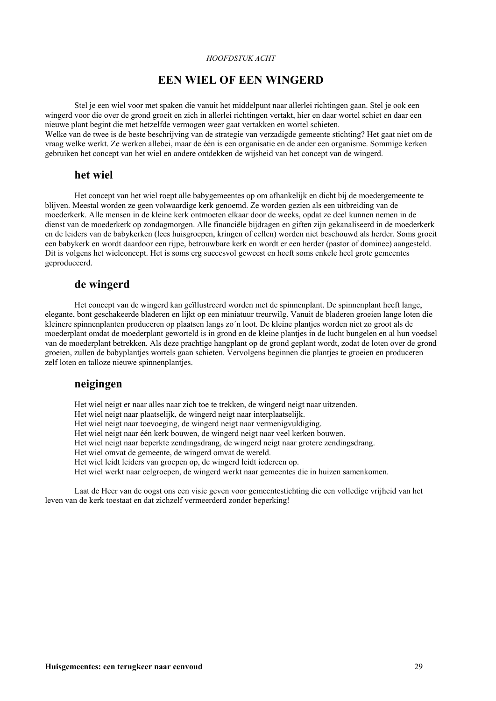#### *HOOFDSTUK ACHT*

## **EEN WIEL OF EEN WINGERD**

Stel je een wiel voor met spaken die vanuit het middelpunt naar allerlei richtingen gaan. Stel je ook een wingerd voor die over de grond groeit en zich in allerlei richtingen vertakt, hier en daar wortel schiet en daar een nieuwe plant begint die met hetzelfde vermogen weer gaat vertakken en wortel schieten. Welke van de twee is de beste beschrijving van de strategie van verzadigde gemeente stichting? Het gaat niet om de vraag welke werkt. Ze werken allebei, maar de één is een organisatie en de ander een organisme. Sommige kerken

gebruiken het concept van het wiel en andere ontdekken de wijsheid van het concept van de wingerd.

### **het wiel**

Het concept van het wiel roept alle babygemeentes op om afhankelijk en dicht bij de moedergemeente te blijven. Meestal worden ze geen volwaardige kerk genoemd. Ze worden gezien als een uitbreiding van de moederkerk. Alle mensen in de kleine kerk ontmoeten elkaar door de weeks, opdat ze deel kunnen nemen in de dienst van de moederkerk op zondagmorgen. Alle financiële bijdragen en giften zijn gekanaliseerd in de moederkerk en de leiders van de babykerken (lees huisgroepen, kringen of cellen) worden niet beschouwd als herder. Soms groeit een babykerk en wordt daardoor een rijpe, betrouwbare kerk en wordt er een herder (pastor of dominee) aangesteld. Dit is volgens het wielconcept. Het is soms erg succesvol geweest en heeft soms enkele heel grote gemeentes geproduceerd.

### **de wingerd**

Het concept van de wingerd kan geïllustreerd worden met de spinnenplant. De spinnenplant heeft lange, elegante, bont geschakeerde bladeren en lijkt op een miniatuur treurwilg. Vanuit de bladeren groeien lange loten die kleinere spinnenplanten produceren op plaatsen langs zo´n loot. De kleine plantjes worden niet zo groot als de moederplant omdat de moederplant geworteld is in grond en de kleine plantjes in de lucht bungelen en al hun voedsel van de moederplant betrekken. Als deze prachtige hangplant op de grond geplant wordt, zodat de loten over de grond groeien, zullen de babyplantjes wortels gaan schieten. Vervolgens beginnen die plantjes te groeien en produceren zelf loten en talloze nieuwe spinnenplantjes.

## **neigingen**

Het wiel neigt er naar alles naar zich toe te trekken, de wingerd neigt naar uitzenden. Het wiel neigt naar plaatselijk, de wingerd neigt naar interplaatselijk. Het wiel neigt naar toevoeging, de wingerd neigt naar vermenigvuldiging. Het wiel neigt naar één kerk bouwen, de wingerd neigt naar veel kerken bouwen. Het wiel neigt naar beperkte zendingsdrang, de wingerd neigt naar grotere zendingsdrang. Het wiel omvat de gemeente, de wingerd omvat de wereld. Het wiel leidt leiders van groepen op, de wingerd leidt iedereen op. Het wiel werkt naar celgroepen, de wingerd werkt naar gemeentes die in huizen samenkomen.

Laat de Heer van de oogst ons een visie geven voor gemeentestichting die een volledige vrijheid van het leven van de kerk toestaat en dat zichzelf vermeerderd zonder beperking!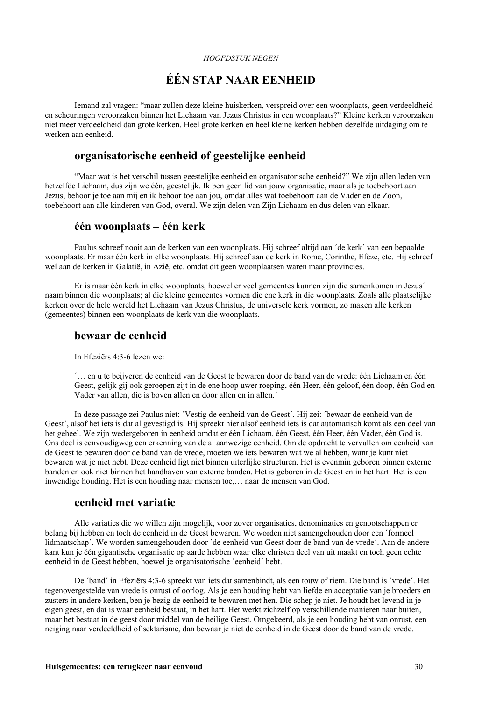#### *HOOFDSTUK NEGEN*

## **ÉÉN STAP NAAR EENHEID**

Iemand zal vragen: "maar zullen deze kleine huiskerken, verspreid over een woonplaats, geen verdeeldheid en scheuringen veroorzaken binnen het Lichaam van Jezus Christus in een woonplaats?" Kleine kerken veroorzaken niet meer verdeeldheid dan grote kerken. Heel grote kerken en heel kleine kerken hebben dezelfde uitdaging om te werken aan eenheid.

## **organisatorische eenheid of geestelijke eenheid**

"Maar wat is het verschil tussen geestelijke eenheid en organisatorische eenheid?" We zijn allen leden van hetzelfde Lichaam, dus zijn we één, geestelijk. Ik ben geen lid van jouw organisatie, maar als je toebehoort aan Jezus, behoor je toe aan mij en ik behoor toe aan jou, omdat alles wat toebehoort aan de Vader en de Zoon, toebehoort aan alle kinderen van God, overal. We zijn delen van Zijn Lichaam en dus delen van elkaar.

## **één woonplaats – één kerk**

Paulus schreef nooit aan de kerken van een woonplaats. Hij schreef altijd aan ´de kerk´ van een bepaalde woonplaats. Er maar één kerk in elke woonplaats. Hij schreef aan de kerk in Rome, Corinthe, Efeze, etc. Hij schreef wel aan de kerken in Galatië, in Azië, etc. omdat dit geen woonplaatsen waren maar provincies.

Er is maar één kerk in elke woonplaats, hoewel er veel gemeentes kunnen zijn die samenkomen in Jezus´ naam binnen die woonplaats; al die kleine gemeentes vormen die ene kerk in die woonplaats. Zoals alle plaatselijke kerken over de hele wereld het Lichaam van Jezus Christus, de universele kerk vormen, zo maken alle kerken (gemeentes) binnen een woonplaats de kerk van die woonplaats.

### **bewaar de eenheid**

In Efeziërs 4:3-6 lezen we:

´… en u te beijveren de eenheid van de Geest te bewaren door de band van de vrede: één Lichaam en één Geest, gelijk gij ook geroepen zijt in de ene hoop uwer roeping, één Heer, één geloof, één doop, één God en Vader van allen, die is boven allen en door allen en in allen.´

In deze passage zei Paulus niet: ´Vestig de eenheid van de Geest´. Hij zei: ´bewaar de eenheid van de Geest´, alsof het iets is dat al gevestigd is. Hij spreekt hier alsof eenheid iets is dat automatisch komt als een deel van het geheel. We zijn wedergeboren in eenheid omdat er één Lichaam, één Geest, één Heer, één Vader, één God is. Ons deel is eenvoudigweg een erkenning van de al aanwezige eenheid. Om de opdracht te vervullen om eenheid van de Geest te bewaren door de band van de vrede, moeten we iets bewaren wat we al hebben, want je kunt niet bewaren wat je niet hebt. Deze eenheid ligt niet binnen uiterlijke structuren. Het is evenmin geboren binnen externe banden en ook niet binnen het handhaven van externe banden. Het is geboren in de Geest en in het hart. Het is een inwendige houding. Het is een houding naar mensen toe,… naar de mensen van God.

### **eenheid met variatie**

Alle variaties die we willen zijn mogelijk, voor zover organisaties, denominaties en genootschappen er belang bij hebben en toch de eenheid in de Geest bewaren. We worden niet samengehouden door een ´formeel lidmaatschap´. We worden samengehouden door ´de eenheid van Geest door de band van de vrede´. Aan de andere kant kun je één gigantische organisatie op aarde hebben waar elke christen deel van uit maakt en toch geen echte eenheid in de Geest hebben, hoewel je organisatorische ´eenheid´ hebt.

De ´band´ in Efeziërs 4:3-6 spreekt van iets dat samenbindt, als een touw of riem. Die band is ´vrede´. Het tegenovergestelde van vrede is onrust of oorlog. Als je een houding hebt van liefde en acceptatie van je broeders en zusters in andere kerken, ben je bezig de eenheid te bewaren met hen. Die schep je niet. Je houdt het levend in je eigen geest, en dat is waar eenheid bestaat, in het hart. Het werkt zichzelf op verschillende manieren naar buiten, maar het bestaat in de geest door middel van de heilige Geest. Omgekeerd, als je een houding hebt van onrust, een neiging naar verdeeldheid of sektarisme, dan bewaar je niet de eenheid in de Geest door de band van de vrede.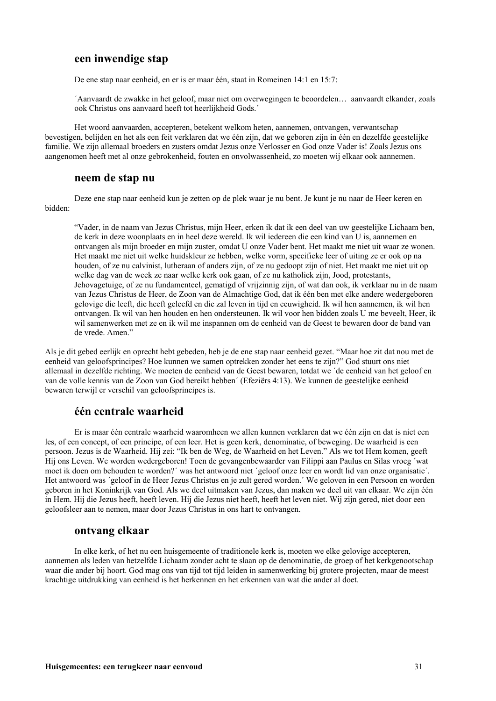## **een inwendige stap**

De ene stap naar eenheid, en er is er maar één, staat in Romeinen 14:1 en 15:7:

´Aanvaardt de zwakke in het geloof, maar niet om overwegingen te beoordelen… aanvaardt elkander, zoals ook Christus ons aanvaard heeft tot heerlijkheid Gods.´

Het woord aanvaarden, accepteren, betekent welkom heten, aannemen, ontvangen, verwantschap bevestigen, belijden en het als een feit verklaren dat we één zijn, dat we geboren zijn in één en dezelfde geestelijke familie. We zijn allemaal broeders en zusters omdat Jezus onze Verlosser en God onze Vader is! Zoals Jezus ons aangenomen heeft met al onze gebrokenheid, fouten en onvolwassenheid, zo moeten wij elkaar ook aannemen.

### **neem de stap nu**

Deze ene stap naar eenheid kun je zetten op de plek waar je nu bent. Je kunt je nu naar de Heer keren en bidden:

"Vader, in de naam van Jezus Christus, mijn Heer, erken ik dat ik een deel van uw geestelijke Lichaam ben, de kerk in deze woonplaats en in heel deze wereld. Ik wil iedereen die een kind van U is, aannemen en ontvangen als mijn broeder en mijn zuster, omdat U onze Vader bent. Het maakt me niet uit waar ze wonen. Het maakt me niet uit welke huidskleur ze hebben, welke vorm, specifieke leer of uiting ze er ook op na houden, of ze nu calvinist, lutheraan of anders zijn, of ze nu gedoopt zijn of niet. Het maakt me niet uit op welke dag van de week ze naar welke kerk ook gaan, of ze nu katholiek zijn, Jood, protestants, Jehovagetuige, of ze nu fundamenteel, gematigd of vrijzinnig zijn, of wat dan ook, ik verklaar nu in de naam van Jezus Christus de Heer, de Zoon van de Almachtige God, dat ik één ben met elke andere wedergeboren gelovige die leeft, die heeft geleefd en die zal leven in tijd en eeuwigheid. Ik wil hen aannemen, ik wil hen ontvangen. Ik wil van hen houden en hen ondersteunen. Ik wil voor hen bidden zoals U me beveelt, Heer, ik wil samenwerken met ze en ik wil me inspannen om de eenheid van de Geest te bewaren door de band van de vrede. Amen."

Als je dit gebed eerlijk en oprecht hebt gebeden, heb je de ene stap naar eenheid gezet. "Maar hoe zit dat nou met de eenheid van geloofsprincipes? Hoe kunnen we samen optrekken zonder het eens te zijn?" God stuurt ons niet allemaal in dezelfde richting. We moeten de eenheid van de Geest bewaren, totdat we ´de eenheid van het geloof en van de volle kennis van de Zoon van God bereikt hebben´ (Efeziërs 4:13). We kunnen de geestelijke eenheid bewaren terwijl er verschil van geloofsprincipes is.

## **één centrale waarheid**

Er is maar één centrale waarheid waaromheen we allen kunnen verklaren dat we één zijn en dat is niet een les, of een concept, of een principe, of een leer. Het is geen kerk, denominatie, of beweging. De waarheid is een persoon. Jezus is de Waarheid. Hij zei: "Ik ben de Weg, de Waarheid en het Leven." Als we tot Hem komen, geeft Hij ons Leven. We worden wedergeboren! Toen de gevangenbewaarder van Filippi aan Paulus en Silas vroeg ´wat moet ik doen om behouden te worden?´ was het antwoord niet ´geloof onze leer en wordt lid van onze organisatie´. Het antwoord was ´geloof in de Heer Jezus Christus en je zult gered worden.´ We geloven in een Persoon en worden geboren in het Koninkrijk van God. Als we deel uitmaken van Jezus, dan maken we deel uit van elkaar. We zijn één in Hem. Hij die Jezus heeft, heeft leven. Hij die Jezus niet heeft, heeft het leven niet. Wij zijn gered, niet door een geloofsleer aan te nemen, maar door Jezus Christus in ons hart te ontvangen.

#### **ontvang elkaar**

In elke kerk, of het nu een huisgemeente of traditionele kerk is, moeten we elke gelovige accepteren, aannemen als leden van hetzelfde Lichaam zonder acht te slaan op de denominatie, de groep of het kerkgenootschap waar die ander bij hoort. God mag ons van tijd tot tijd leiden in samenwerking bij grotere projecten, maar de meest krachtige uitdrukking van eenheid is het herkennen en het erkennen van wat die ander al doet.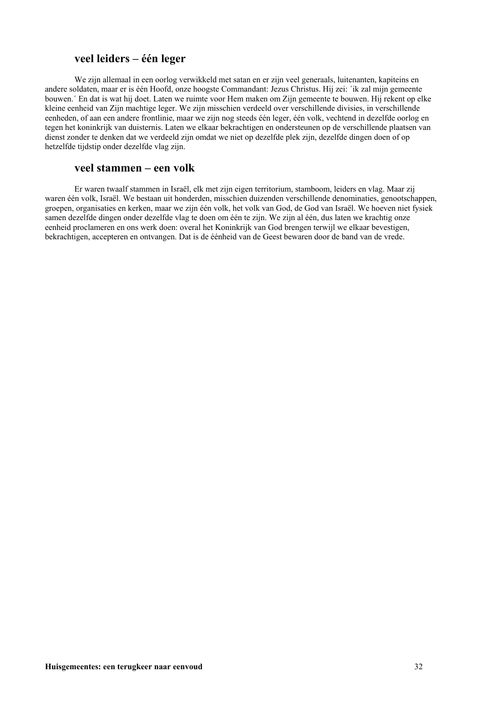## **veel leiders – één leger**

We zijn allemaal in een oorlog verwikkeld met satan en er zijn veel generaals, luitenanten, kapiteins en andere soldaten, maar er is één Hoofd, onze hoogste Commandant: Jezus Christus. Hij zei: ´ik zal mijn gemeente bouwen.´ En dat is wat hij doet. Laten we ruimte voor Hem maken om Zijn gemeente te bouwen. Hij rekent op elke kleine eenheid van Zijn machtige leger. We zijn misschien verdeeld over verschillende divisies, in verschillende eenheden, of aan een andere frontlinie, maar we zijn nog steeds één leger, één volk, vechtend in dezelfde oorlog en tegen het koninkrijk van duisternis. Laten we elkaar bekrachtigen en ondersteunen op de verschillende plaatsen van dienst zonder te denken dat we verdeeld zijn omdat we niet op dezelfde plek zijn, dezelfde dingen doen of op hetzelfde tijdstip onder dezelfde vlag zijn.

### **veel stammen – een volk**

Er waren twaalf stammen in Israël, elk met zijn eigen territorium, stamboom, leiders en vlag. Maar zij waren één volk, Israël. We bestaan uit honderden, misschien duizenden verschillende denominaties, genootschappen, groepen, organisaties en kerken, maar we zijn één volk, het volk van God, de God van Israël. We hoeven niet fysiek samen dezelfde dingen onder dezelfde vlag te doen om één te zijn. We zijn al één, dus laten we krachtig onze eenheid proclameren en ons werk doen: overal het Koninkrijk van God brengen terwijl we elkaar bevestigen, bekrachtigen, accepteren en ontvangen. Dat is de éénheid van de Geest bewaren door de band van de vrede.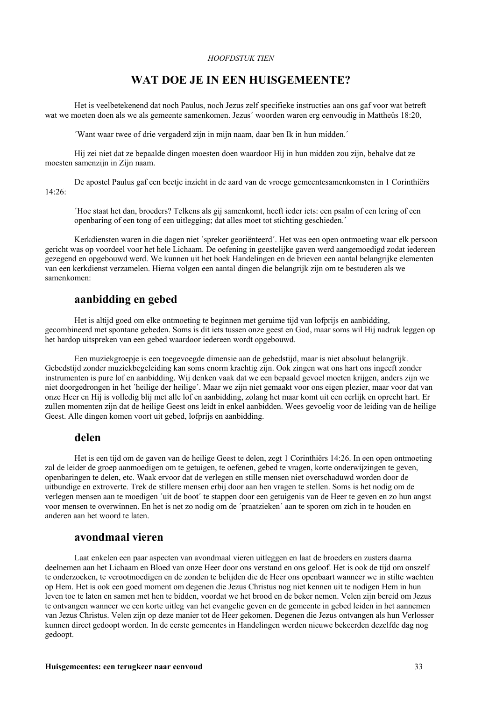#### *HOOFDSTUK TIEN*

## **WAT DOE JE IN EEN HUISGEMEENTE?**

Het is veelbetekenend dat noch Paulus, noch Jezus zelf specifieke instructies aan ons gaf voor wat betreft wat we moeten doen als we als gemeente samenkomen. Jezus´ woorden waren erg eenvoudig in Mattheüs 18:20,

´Want waar twee of drie vergaderd zijn in mijn naam, daar ben Ik in hun midden.´

Hij zei niet dat ze bepaalde dingen moesten doen waardoor Hij in hun midden zou zijn, behalve dat ze moesten samenzijn in Zijn naam.

De apostel Paulus gaf een beetje inzicht in de aard van de vroege gemeentesamenkomsten in 1 Corinthiërs 14:26:

´Hoe staat het dan, broeders? Telkens als gij samenkomt, heeft ieder iets: een psalm of een lering of een openbaring of een tong of een uitlegging; dat alles moet tot stichting geschieden.´

Kerkdiensten waren in die dagen niet ´spreker georiënteerd´. Het was een open ontmoeting waar elk persoon gericht was op voordeel voor het hele Lichaam. De oefening in geestelijke gaven werd aangemoedigd zodat iedereen gezegend en opgebouwd werd. We kunnen uit het boek Handelingen en de brieven een aantal belangrijke elementen van een kerkdienst verzamelen. Hierna volgen een aantal dingen die belangrijk zijn om te bestuderen als we samenkomen:

## **aanbidding en gebed**

Het is altijd goed om elke ontmoeting te beginnen met geruime tijd van lofprijs en aanbidding, gecombineerd met spontane gebeden. Soms is dit iets tussen onze geest en God, maar soms wil Hij nadruk leggen op het hardop uitspreken van een gebed waardoor iedereen wordt opgebouwd.

Een muziekgroepje is een toegevoegde dimensie aan de gebedstijd, maar is niet absoluut belangrijk. Gebedstijd zonder muziekbegeleiding kan soms enorm krachtig zijn. Ook zingen wat ons hart ons ingeeft zonder instrumenten is pure lof en aanbidding. Wij denken vaak dat we een bepaald gevoel moeten krijgen, anders zijn we niet doorgedrongen in het ´heilige der heilige´. Maar we zijn niet gemaakt voor ons eigen plezier, maar voor dat van onze Heer en Hij is volledig blij met alle lof en aanbidding, zolang het maar komt uit een eerlijk en oprecht hart. Er zullen momenten zijn dat de heilige Geest ons leidt in enkel aanbidden. Wees gevoelig voor de leiding van de heilige Geest. Alle dingen komen voort uit gebed, lofprijs en aanbidding.

## **delen**

Het is een tijd om de gaven van de heilige Geest te delen, zegt 1 Corinthiërs 14:26. In een open ontmoeting zal de leider de groep aanmoedigen om te getuigen, te oefenen, gebed te vragen, korte onderwijzingen te geven, openbaringen te delen, etc. Waak ervoor dat de verlegen en stille mensen niet overschaduwd worden door de uitbundige en extroverte. Trek de stillere mensen erbij door aan hen vragen te stellen. Soms is het nodig om de verlegen mensen aan te moedigen ´uit de boot´ te stappen door een getuigenis van de Heer te geven en zo hun angst voor mensen te overwinnen. En het is net zo nodig om de ´praatzieken´ aan te sporen om zich in te houden en anderen aan het woord te laten.

### **avondmaal vieren**

Laat enkelen een paar aspecten van avondmaal vieren uitleggen en laat de broeders en zusters daarna deelnemen aan het Lichaam en Bloed van onze Heer door ons verstand en ons geloof. Het is ook de tijd om onszelf te onderzoeken, te verootmoedigen en de zonden te belijden die de Heer ons openbaart wanneer we in stilte wachten op Hem. Het is ook een goed moment om degenen die Jezus Christus nog niet kennen uit te nodigen Hem in hun leven toe te laten en samen met hen te bidden, voordat we het brood en de beker nemen. Velen zijn bereid om Jezus te ontvangen wanneer we een korte uitleg van het evangelie geven en de gemeente in gebed leiden in het aannemen van Jezus Christus. Velen zijn op deze manier tot de Heer gekomen. Degenen die Jezus ontvangen als hun Verlosser kunnen direct gedoopt worden. In de eerste gemeentes in Handelingen werden nieuwe bekeerden dezelfde dag nog gedoopt.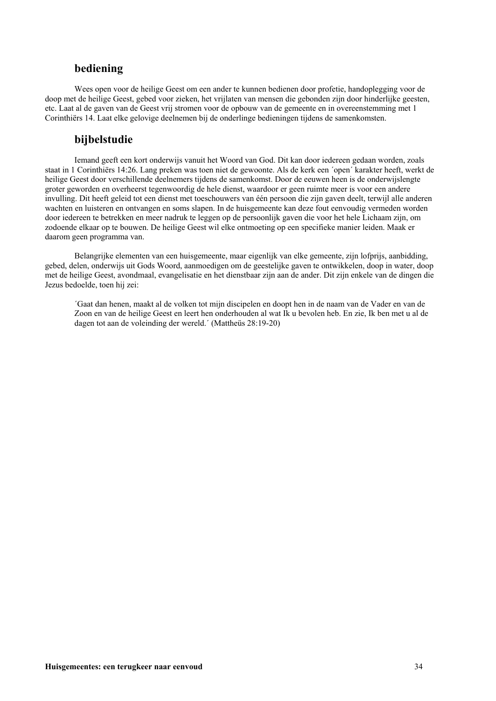## **bediening**

Wees open voor de heilige Geest om een ander te kunnen bedienen door profetie, handoplegging voor de doop met de heilige Geest, gebed voor zieken, het vrijlaten van mensen die gebonden zijn door hinderlijke geesten, etc. Laat al de gaven van de Geest vrij stromen voor de opbouw van de gemeente en in overeenstemming met 1 Corinthiërs 14. Laat elke gelovige deelnemen bij de onderlinge bedieningen tijdens de samenkomsten.

## **bijbelstudie**

Iemand geeft een kort onderwijs vanuit het Woord van God. Dit kan door iedereen gedaan worden, zoals staat in 1 Corinthiërs 14:26. Lang preken was toen niet de gewoonte. Als de kerk een ´open´ karakter heeft, werkt de heilige Geest door verschillende deelnemers tijdens de samenkomst. Door de eeuwen heen is de onderwijslengte groter geworden en overheerst tegenwoordig de hele dienst, waardoor er geen ruimte meer is voor een andere invulling. Dit heeft geleid tot een dienst met toeschouwers van één persoon die zijn gaven deelt, terwijl alle anderen wachten en luisteren en ontvangen en soms slapen. In de huisgemeente kan deze fout eenvoudig vermeden worden door iedereen te betrekken en meer nadruk te leggen op de persoonlijk gaven die voor het hele Lichaam zijn, om zodoende elkaar op te bouwen. De heilige Geest wil elke ontmoeting op een specifieke manier leiden. Maak er daarom geen programma van.

Belangrijke elementen van een huisgemeente, maar eigenlijk van elke gemeente, zijn lofprijs, aanbidding, gebed, delen, onderwijs uit Gods Woord, aanmoedigen om de geestelijke gaven te ontwikkelen, doop in water, doop met de heilige Geest, avondmaal, evangelisatie en het dienstbaar zijn aan de ander. Dit zijn enkele van de dingen die Jezus bedoelde, toen hij zei:

´Gaat dan henen, maakt al de volken tot mijn discipelen en doopt hen in de naam van de Vader en van de Zoon en van de heilige Geest en leert hen onderhouden al wat Ik u bevolen heb. En zie, Ik ben met u al de dagen tot aan de voleinding der wereld.´ (Mattheüs 28:19-20)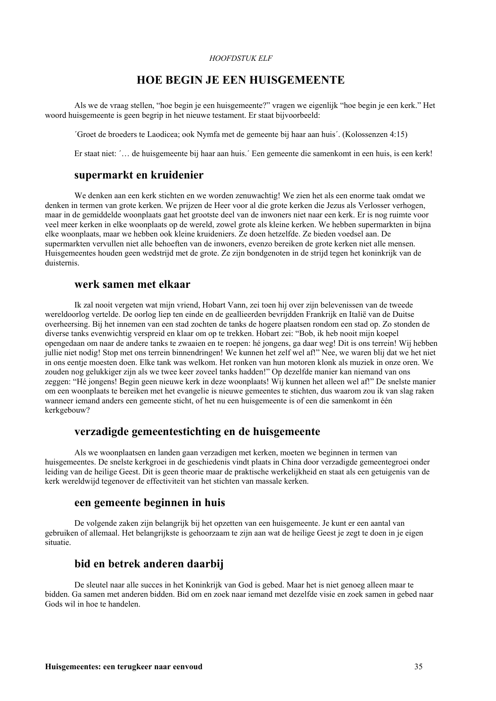#### *HOOFDSTUK ELF*

## **HOE BEGIN JE EEN HUISGEMEENTE**

Als we de vraag stellen, "hoe begin je een huisgemeente?" vragen we eigenlijk "hoe begin je een kerk." Het woord huisgemeente is geen begrip in het nieuwe testament. Er staat bijvoorbeeld:

´Groet de broeders te Laodicea; ook Nymfa met de gemeente bij haar aan huis´. (Kolossenzen 4:15)

Er staat niet: ´… de huisgemeente bij haar aan huis.´ Een gemeente die samenkomt in een huis, is een kerk!

## **supermarkt en kruidenier**

We denken aan een kerk stichten en we worden zenuwachtig! We zien het als een enorme taak omdat we denken in termen van grote kerken. We prijzen de Heer voor al die grote kerken die Jezus als Verlosser verhogen, maar in de gemiddelde woonplaats gaat het grootste deel van de inwoners niet naar een kerk. Er is nog ruimte voor veel meer kerken in elke woonplaats op de wereld, zowel grote als kleine kerken. We hebben supermarkten in bijna elke woonplaats, maar we hebben ook kleine kruideniers. Ze doen hetzelfde. Ze bieden voedsel aan. De supermarkten vervullen niet alle behoeften van de inwoners, evenzo bereiken de grote kerken niet alle mensen. Huisgemeentes houden geen wedstrijd met de grote. Ze zijn bondgenoten in de strijd tegen het koninkrijk van de duisternis.

## **werk samen met elkaar**

Ik zal nooit vergeten wat mijn vriend, Hobart Vann, zei toen hij over zijn belevenissen van de tweede wereldoorlog vertelde. De oorlog liep ten einde en de geallieerden bevrijdden Frankrijk en Italië van de Duitse overheersing. Bij het innemen van een stad zochten de tanks de hogere plaatsen rondom een stad op. Zo stonden de diverse tanks evenwichtig verspreid en klaar om op te trekken. Hobart zei: "Bob, ik heb nooit mijn koepel opengedaan om naar de andere tanks te zwaaien en te roepen: hé jongens, ga daar weg! Dit is ons terrein! Wij hebben jullie niet nodig! Stop met ons terrein binnendringen! We kunnen het zelf wel af!" Nee, we waren blij dat we het niet in ons eentje moesten doen. Elke tank was welkom. Het ronken van hun motoren klonk als muziek in onze oren. We zouden nog gelukkiger zijn als we twee keer zoveel tanks hadden!" Op dezelfde manier kan niemand van ons zeggen: "Hé jongens! Begin geen nieuwe kerk in deze woonplaats! Wij kunnen het alleen wel af!" De snelste manier om een woonplaats te bereiken met het evangelie is nieuwe gemeentes te stichten, dus waarom zou ik van slag raken wanneer iemand anders een gemeente sticht, of het nu een huisgemeente is of een die samenkomt in één kerkgebouw?

## **verzadigde gemeentestichting en de huisgemeente**

Als we woonplaatsen en landen gaan verzadigen met kerken, moeten we beginnen in termen van huisgemeentes. De snelste kerkgroei in de geschiedenis vindt plaats in China door verzadigde gemeentegroei onder leiding van de heilige Geest. Dit is geen theorie maar de praktische werkelijkheid en staat als een getuigenis van de kerk wereldwijd tegenover de effectiviteit van het stichten van massale kerken.

### **een gemeente beginnen in huis**

De volgende zaken zijn belangrijk bij het opzetten van een huisgemeente. Je kunt er een aantal van gebruiken of allemaal. Het belangrijkste is gehoorzaam te zijn aan wat de heilige Geest je zegt te doen in je eigen situatie.

## **bid en betrek anderen daarbij**

De sleutel naar alle succes in het Koninkrijk van God is gebed. Maar het is niet genoeg alleen maar te bidden. Ga samen met anderen bidden. Bid om en zoek naar iemand met dezelfde visie en zoek samen in gebed naar Gods wil in hoe te handelen.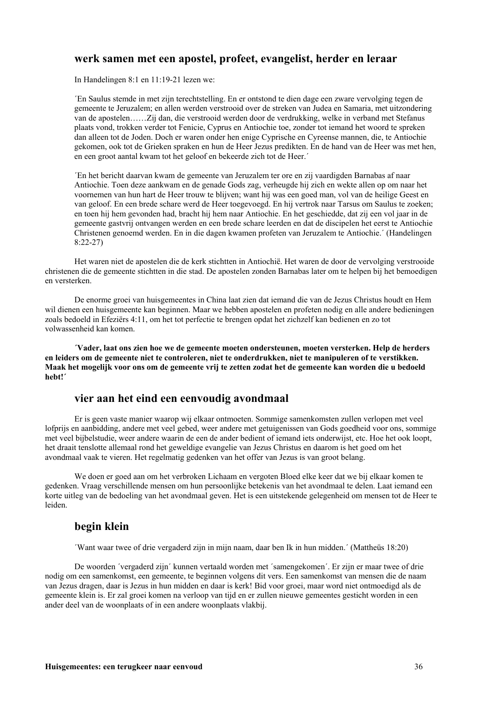## **werk samen met een apostel, profeet, evangelist, herder en leraar**

In Handelingen 8:1 en 11:19-21 lezen we:

´En Saulus stemde in met zijn terechtstelling. En er ontstond te dien dage een zware vervolging tegen de gemeente te Jeruzalem; en allen werden verstrooid over de streken van Judea en Samaria, met uitzondering van de apostelen……Zij dan, die verstrooid werden door de verdrukking, welke in verband met Stefanus plaats vond, trokken verder tot Fenicie, Cyprus en Antiochie toe, zonder tot iemand het woord te spreken dan alleen tot de Joden. Doch er waren onder hen enige Cyprische en Cyreense mannen, die, te Antiochie gekomen, ook tot de Grieken spraken en hun de Heer Jezus predikten. En de hand van de Heer was met hen, en een groot aantal kwam tot het geloof en bekeerde zich tot de Heer.´

´En het bericht daarvan kwam de gemeente van Jeruzalem ter ore en zij vaardigden Barnabas af naar Antiochie. Toen deze aankwam en de genade Gods zag, verheugde hij zich en wekte allen op om naar het voornemen van hun hart de Heer trouw te blijven; want hij was een goed man, vol van de heilige Geest en van geloof. En een brede schare werd de Heer toegevoegd. En hij vertrok naar Tarsus om Saulus te zoeken; en toen hij hem gevonden had, bracht hij hem naar Antiochie. En het geschiedde, dat zij een vol jaar in de gemeente gastvrij ontvangen werden en een brede schare leerden en dat de discipelen het eerst te Antiochie Christenen genoemd werden. En in die dagen kwamen profeten van Jeruzalem te Antiochie.´ (Handelingen 8:22-27)

Het waren niet de apostelen die de kerk stichtten in Antiochië. Het waren de door de vervolging verstrooide christenen die de gemeente stichtten in die stad. De apostelen zonden Barnabas later om te helpen bij het bemoedigen en versterken.

De enorme groei van huisgemeentes in China laat zien dat iemand die van de Jezus Christus houdt en Hem wil dienen een huisgemeente kan beginnen. Maar we hebben apostelen en profeten nodig en alle andere bedieningen zoals bedoeld in Efeziërs 4:11, om het tot perfectie te brengen opdat het zichzelf kan bedienen en zo tot volwassenheid kan komen.

**´Vader, laat ons zien hoe we de gemeente moeten ondersteunen, moeten versterken. Help de herders en leiders om de gemeente niet te controleren, niet te onderdrukken, niet te manipuleren of te verstikken. Maak het mogelijk voor ons om de gemeente vrij te zetten zodat het de gemeente kan worden die u bedoeld hebt!´** 

## **vier aan het eind een eenvoudig avondmaal**

Er is geen vaste manier waarop wij elkaar ontmoeten. Sommige samenkomsten zullen verlopen met veel lofprijs en aanbidding, andere met veel gebed, weer andere met getuigenissen van Gods goedheid voor ons, sommige met veel bijbelstudie, weer andere waarin de een de ander bedient of iemand iets onderwijst, etc. Hoe het ook loopt, het draait tenslotte allemaal rond het geweldige evangelie van Jezus Christus en daarom is het goed om het avondmaal vaak te vieren. Het regelmatig gedenken van het offer van Jezus is van groot belang.

We doen er goed aan om het verbroken Lichaam en vergoten Bloed elke keer dat we bij elkaar komen te gedenken. Vraag verschillende mensen om hun persoonlijke betekenis van het avondmaal te delen. Laat iemand een korte uitleg van de bedoeling van het avondmaal geven. Het is een uitstekende gelegenheid om mensen tot de Heer te leiden.

## **begin klein**

´Want waar twee of drie vergaderd zijn in mijn naam, daar ben Ik in hun midden.´ (Mattheüs 18:20)

De woorden ´vergaderd zijn´ kunnen vertaald worden met ´samengekomen´. Er zijn er maar twee of drie nodig om een samenkomst, een gemeente, te beginnen volgens dit vers. Een samenkomst van mensen die de naam van Jezus dragen, daar is Jezus in hun midden en daar is kerk! Bid voor groei, maar word niet ontmoedigd als de gemeente klein is. Er zal groei komen na verloop van tijd en er zullen nieuwe gemeentes gesticht worden in een ander deel van de woonplaats of in een andere woonplaats vlakbij.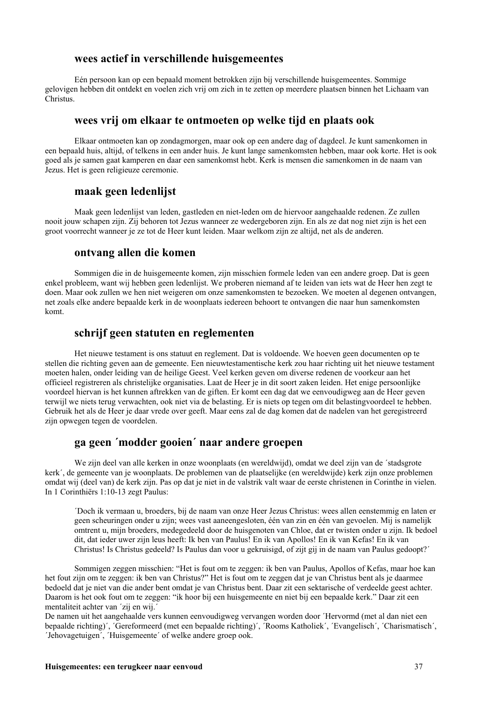## **wees actief in verschillende huisgemeentes**

Eén persoon kan op een bepaald moment betrokken zijn bij verschillende huisgemeentes. Sommige gelovigen hebben dit ontdekt en voelen zich vrij om zich in te zetten op meerdere plaatsen binnen het Lichaam van Christus.

## **wees vrij om elkaar te ontmoeten op welke tijd en plaats ook**

Elkaar ontmoeten kan op zondagmorgen, maar ook op een andere dag of dagdeel. Je kunt samenkomen in een bepaald huis, altijd, of telkens in een ander huis. Je kunt lange samenkomsten hebben, maar ook korte. Het is ook goed als je samen gaat kamperen en daar een samenkomst hebt. Kerk is mensen die samenkomen in de naam van Jezus. Het is geen religieuze ceremonie.

## **maak geen ledenlijst**

Maak geen ledenlijst van leden, gastleden en niet-leden om de hiervoor aangehaalde redenen. Ze zullen nooit jouw schapen zijn. Zij behoren tot Jezus wanneer ze wedergeboren zijn. En als ze dat nog niet zijn is het een groot voorrecht wanneer je ze tot de Heer kunt leiden. Maar welkom zijn ze altijd, net als de anderen.

## **ontvang allen die komen**

Sommigen die in de huisgemeente komen, zijn misschien formele leden van een andere groep. Dat is geen enkel probleem, want wij hebben geen ledenlijst. We proberen niemand af te leiden van iets wat de Heer hen zegt te doen. Maar ook zullen we hen niet weigeren om onze samenkomsten te bezoeken. We moeten al degenen ontvangen, net zoals elke andere bepaalde kerk in de woonplaats iedereen behoort te ontvangen die naar hun samenkomsten komt.

## **schrijf geen statuten en reglementen**

Het nieuwe testament is ons statuut en reglement. Dat is voldoende. We hoeven geen documenten op te stellen die richting geven aan de gemeente. Een nieuwtestamentische kerk zou haar richting uit het nieuwe testament moeten halen, onder leiding van de heilige Geest. Veel kerken geven om diverse redenen de voorkeur aan het officieel registreren als christelijke organisaties. Laat de Heer je in dit soort zaken leiden. Het enige persoonlijke voordeel hiervan is het kunnen aftrekken van de giften. Er komt een dag dat we eenvoudigweg aan de Heer geven terwijl we niets terug verwachten, ook niet via de belasting. Er is niets op tegen om dit belastingvoordeel te hebben. Gebruik het als de Heer je daar vrede over geeft. Maar eens zal de dag komen dat de nadelen van het geregistreerd zijn opwegen tegen de voordelen.

## **ga geen ´modder gooien´ naar andere groepen**

We zijn deel van alle kerken in onze woonplaats (en wereldwijd), omdat we deel zijn van de ´stadsgrote kerk´, de gemeente van je woonplaats. De problemen van de plaatselijke (en wereldwijde) kerk zijn onze problemen omdat wij (deel van) de kerk zijn. Pas op dat je niet in de valstrik valt waar de eerste christenen in Corinthe in vielen. In 1 Corinthiërs 1:10-13 zegt Paulus:

´Doch ik vermaan u, broeders, bij de naam van onze Heer Jezus Christus: wees allen eenstemmig en laten er geen scheuringen onder u zijn; wees vast aaneengesloten, één van zin en één van gevoelen. Mij is namelijk omtrent u, mijn broeders, medegedeeld door de huisgenoten van Chloe, dat er twisten onder u zijn. Ik bedoel dit, dat ieder uwer zijn leus heeft: Ik ben van Paulus! En ik van Apollos! En ik van Kefas! En ik van Christus! Is Christus gedeeld? Is Paulus dan voor u gekruisigd, of zijt gij in de naam van Paulus gedoopt?´

Sommigen zeggen misschien: "Het is fout om te zeggen: ik ben van Paulus, Apollos of Kefas, maar hoe kan het fout zijn om te zeggen: ik ben van Christus?" Het is fout om te zeggen dat je van Christus bent als je daarmee bedoeld dat je niet van die ander bent omdat je van Christus bent. Daar zit een sektarische of verdeelde geest achter. Daarom is het ook fout om te zeggen: "ik hoor bij een huisgemeente en niet bij een bepaalde kerk." Daar zit een mentaliteit achter van ´zij en wij.´

De namen uit het aangehaalde vers kunnen eenvoudigweg vervangen worden door ´Hervormd (met al dan niet een bepaalde richting)´, ´Gereformeerd (met een bepaalde richting)´, ´Rooms Katholiek´, ´Evangelisch´, ´Charismatisch´, ´Jehovagetuigen´, ´Huisgemeente´ of welke andere groep ook.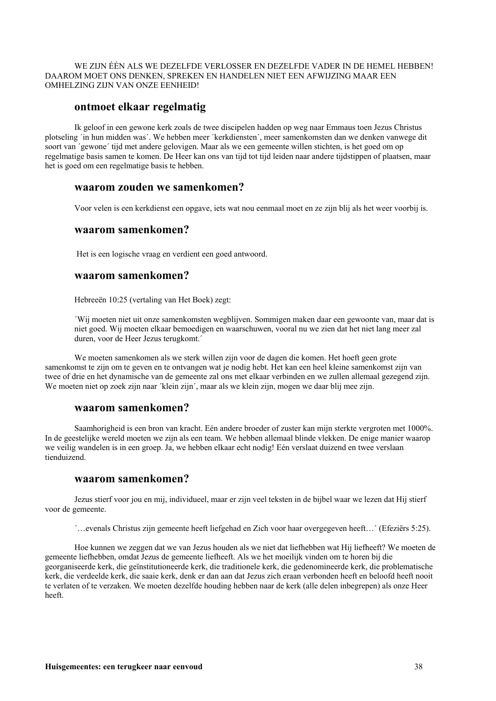#### WE ZIJN ÉÉN ALS WE DEZELFDE VERLOSSER EN DEZELFDE VADER IN DE HEMEL HEBBEN! DAAROM MOET ONS DENKEN, SPREKEN EN HANDELEN NIET EEN AFWIJZING MAAR EEN OMHELZING ZIJN VAN ONZE EENHEID!

## **ontmoet elkaar regelmatig**

Ik geloof in een gewone kerk zoals de twee discipelen hadden op weg naar Emmaus toen Jezus Christus plotseling ´in hun midden was´. We hebben meer ´kerkdiensten´, meer samenkomsten dan we denken vanwege dit soort van ´gewone´ tijd met andere gelovigen. Maar als we een gemeente willen stichten, is het goed om op regelmatige basis samen te komen. De Heer kan ons van tijd tot tijd leiden naar andere tijdstippen of plaatsen, maar het is goed om een regelmatige basis te hebben.

## **waarom zouden we samenkomen?**

Voor velen is een kerkdienst een opgave, iets wat nou eenmaal moet en ze zijn blij als het weer voorbij is.

### **waarom samenkomen?**

Het is een logische vraag en verdient een goed antwoord.

## **waarom samenkomen?**

Hebreeën 10:25 (vertaling van Het Boek) zegt:

´Wij moeten niet uit onze samenkomsten wegblijven. Sommigen maken daar een gewoonte van, maar dat is niet goed. Wij moeten elkaar bemoedigen en waarschuwen, vooral nu we zien dat het niet lang meer zal duren, voor de Heer Jezus terugkomt.´

We moeten samenkomen als we sterk willen zijn voor de dagen die komen. Het hoeft geen grote samenkomst te zijn om te geven en te ontvangen wat je nodig hebt. Het kan een heel kleine samenkomst zijn van twee of drie en het dynamische van de gemeente zal ons met elkaar verbinden en we zullen allemaal gezegend zijn. We moeten niet op zoek zijn naar ´klein zijn´, maar als we klein zijn, mogen we daar blij mee zijn.

### **waarom samenkomen?**

Saamhorigheid is een bron van kracht. Eén andere broeder of zuster kan mijn sterkte vergroten met 1000%. In de geestelijke wereld moeten we zijn als een team. We hebben allemaal blinde vlekken. De enige manier waarop we veilig wandelen is in een groep. Ja, we hebben elkaar echt nodig! Eén verslaat duizend en twee verslaan tienduizend.

## **waarom samenkomen?**

Jezus stierf voor jou en mij, individueel, maar er zijn veel teksten in de bijbel waar we lezen dat Hij stierf voor de gemeente.

´…evenals Christus zijn gemeente heeft liefgehad en Zich voor haar overgegeven heeft…´ (Efeziërs 5:25).

Hoe kunnen we zeggen dat we van Jezus houden als we niet dat liefhebben wat Hij liefheeft? We moeten de gemeente liefhebben, omdat Jezus de gemeente liefheeft. Als we het moeilijk vinden om te horen bij die georganiseerde kerk, die geïnstitutioneerde kerk, die traditionele kerk, die gedenomineerde kerk, die problematische kerk, die verdeelde kerk, die saaie kerk, denk er dan aan dat Jezus zich eraan verbonden heeft en beloofd heeft nooit te verlaten of te verzaken. We moeten dezelfde houding hebben naar de kerk (alle delen inbegrepen) als onze Heer heeft.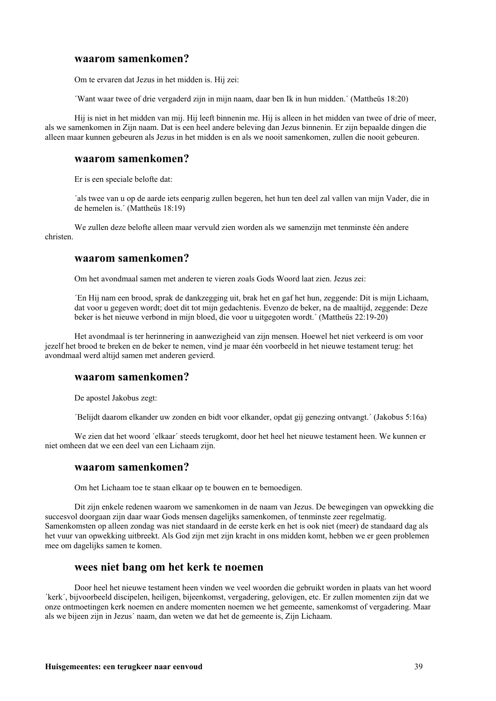## **waarom samenkomen?**

Om te ervaren dat Jezus in het midden is. Hij zei:

´Want waar twee of drie vergaderd zijn in mijn naam, daar ben Ik in hun midden.´ (Mattheüs 18:20)

Hij is niet in het midden van mij. Hij leeft binnenin me. Hij is alleen in het midden van twee of drie of meer, als we samenkomen in Zijn naam. Dat is een heel andere beleving dan Jezus binnenin. Er zijn bepaalde dingen die alleen maar kunnen gebeuren als Jezus in het midden is en als we nooit samenkomen, zullen die nooit gebeuren.

### **waarom samenkomen?**

Er is een speciale belofte dat:

´als twee van u op de aarde iets eenparig zullen begeren, het hun ten deel zal vallen van mijn Vader, die in de hemelen is.´ (Mattheüs 18:19)

We zullen deze belofte alleen maar vervuld zien worden als we samenzijn met tenminste één andere christen.

## **waarom samenkomen?**

Om het avondmaal samen met anderen te vieren zoals Gods Woord laat zien. Jezus zei:

´En Hij nam een brood, sprak de dankzegging uit, brak het en gaf het hun, zeggende: Dit is mijn Lichaam, dat voor u gegeven wordt; doet dit tot mijn gedachtenis. Evenzo de beker, na de maaltijd, zeggende: Deze beker is het nieuwe verbond in mijn bloed, die voor u uitgegoten wordt.´ (Mattheüs 22:19-20)

Het avondmaal is ter herinnering in aanwezigheid van zijn mensen. Hoewel het niet verkeerd is om voor jezelf het brood te breken en de beker te nemen, vind je maar één voorbeeld in het nieuwe testament terug: het avondmaal werd altijd samen met anderen gevierd.

### **waarom samenkomen?**

De apostel Jakobus zegt:

´Belijdt daarom elkander uw zonden en bidt voor elkander, opdat gij genezing ontvangt.´ (Jakobus 5:16a)

We zien dat het woord ´elkaar´ steeds terugkomt, door het heel het nieuwe testament heen. We kunnen er niet omheen dat we een deel van een Lichaam zijn.

### **waarom samenkomen?**

Om het Lichaam toe te staan elkaar op te bouwen en te bemoedigen.

Dit zijn enkele redenen waarom we samenkomen in de naam van Jezus. De bewegingen van opwekking die succesvol doorgaan zijn daar waar Gods mensen dagelijks samenkomen, of tenminste zeer regelmatig. Samenkomsten op alleen zondag was niet standaard in de eerste kerk en het is ook niet (meer) de standaard dag als het vuur van opwekking uitbreekt. Als God zijn met zijn kracht in ons midden komt, hebben we er geen problemen mee om dagelijks samen te komen.

## **wees niet bang om het kerk te noemen**

Door heel het nieuwe testament heen vinden we veel woorden die gebruikt worden in plaats van het woord ´kerk´, bijvoorbeeld discipelen, heiligen, bijeenkomst, vergadering, gelovigen, etc. Er zullen momenten zijn dat we onze ontmoetingen kerk noemen en andere momenten noemen we het gemeente, samenkomst of vergadering. Maar als we bijeen zijn in Jezus´ naam, dan weten we dat het de gemeente is, Zijn Lichaam.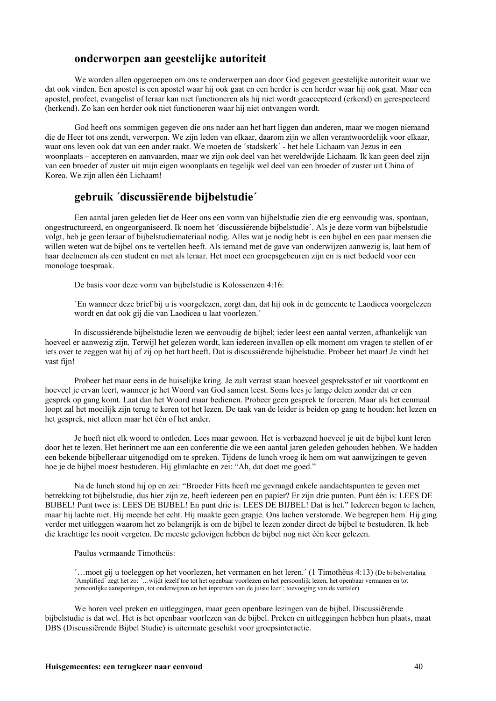## **onderworpen aan geestelijke autoriteit**

We worden allen opgeroepen om ons te onderwerpen aan door God gegeven geestelijke autoriteit waar we dat ook vinden. Een apostel is een apostel waar hij ook gaat en een herder is een herder waar hij ook gaat. Maar een apostel, profeet, evangelist of leraar kan niet functioneren als hij niet wordt geaccepteerd (erkend) en gerespecteerd (herkend). Zo kan een herder ook niet functioneren waar hij niet ontvangen wordt.

God heeft ons sommigen gegeven die ons nader aan het hart liggen dan anderen, maar we mogen niemand die de Heer tot ons zendt, verwerpen. We zijn leden van elkaar, daarom zijn we allen verantwoordelijk voor elkaar, waar ons leven ook dat van een ander raakt. We moeten de ´stadskerk´ - het hele Lichaam van Jezus in een woonplaats – accepteren en aanvaarden, maar we zijn ook deel van het wereldwijde Lichaam. Ik kan geen deel zijn van een broeder of zuster uit mijn eigen woonplaats en tegelijk wel deel van een broeder of zuster uit China of Korea. We zijn allen één Lichaam!

## **gebruik ´discussiërende bijbelstudie´**

Een aantal jaren geleden liet de Heer ons een vorm van bijbelstudie zien die erg eenvoudig was, spontaan, ongestructureerd, en ongeorganiseerd. Ik noem het ´discussiërende bijbelstudie´. Als je deze vorm van bijbelstudie volgt, heb je geen leraar of bijbelstudiemateriaal nodig. Alles wat je nodig hebt is een bijbel en een paar mensen die willen weten wat de bijbel ons te vertellen heeft. Als iemand met de gave van onderwijzen aanwezig is, laat hem of haar deelnemen als een student en niet als leraar. Het moet een groepsgebeuren zijn en is niet bedoeld voor een monologe toespraak.

De basis voor deze vorm van bijbelstudie is Kolossenzen 4:16:

´En wanneer deze brief bij u is voorgelezen, zorgt dan, dat hij ook in de gemeente te Laodicea voorgelezen wordt en dat ook gij die van Laodicea u laat voorlezen.´

In discussiërende bijbelstudie lezen we eenvoudig de bijbel; ieder leest een aantal verzen, afhankelijk van hoeveel er aanwezig zijn. Terwijl het gelezen wordt, kan iedereen invallen op elk moment om vragen te stellen of er iets over te zeggen wat hij of zij op het hart heeft. Dat is discussiërende bijbelstudie. Probeer het maar! Je vindt het vast fijn!

Probeer het maar eens in de huiselijke kring. Je zult verrast staan hoeveel gespreksstof er uit voortkomt en hoeveel je ervan leert, wanneer je het Woord van God samen leest. Soms lees je lange delen zonder dat er een gesprek op gang komt. Laat dan het Woord maar bedienen. Probeer geen gesprek te forceren. Maar als het eenmaal loopt zal het moeilijk zijn terug te keren tot het lezen. De taak van de leider is beiden op gang te houden: het lezen en het gesprek, niet alleen maar het één of het ander.

Je hoeft niet elk woord te ontleden. Lees maar gewoon. Het is verbazend hoeveel je uit de bijbel kunt leren door het te lezen. Het herinnert me aan een conferentie die we een aantal jaren geleden gehouden hebben. We hadden een bekende bijbelleraar uitgenodigd om te spreken. Tijdens de lunch vroeg ik hem om wat aanwijzingen te geven hoe je de bijbel moest bestuderen. Hij glimlachte en zei: "Ah, dat doet me goed."

Na de lunch stond hij op en zei: "Broeder Fitts heeft me gevraagd enkele aandachtspunten te geven met betrekking tot bijbelstudie, dus hier zijn ze, heeft iedereen pen en papier? Er zijn drie punten. Punt één is: LEES DE BIJBEL! Punt twee is: LEES DE BIJBEL! En punt drie is: LEES DE BIJBEL! Dat is het." Iedereen begon te lachen, maar hij lachte niet. Hij meende het echt. Hij maakte geen grapje. Ons lachen verstomde. We begrepen hem. Hij ging verder met uitleggen waarom het zo belangrijk is om de bijbel te lezen zonder direct de bijbel te bestuderen. Ik heb die krachtige les nooit vergeten. De meeste gelovigen hebben de bijbel nog niet één keer gelezen.

#### Paulus vermaande Timotheüs:

´…moet gij u toeleggen op het voorlezen, het vermanen en het leren.´ (1 Timothëus 4:13) (De bijbelvertaling ´Amplified´ zegt het zo: ´…wijdt jezelf toe tot het openbaar voorlezen en het persoonlijk lezen, het openbaar vermanen en tot persoonlijke aansporingen, tot onderwijzen en het inprenten van de juiste leer´; toevoeging van de vertaler)

We horen veel preken en uitleggingen, maar geen openbare lezingen van de bijbel. Discussiërende bijbelstudie is dat wel. Het is het openbaar voorlezen van de bijbel. Preken en uitleggingen hebben hun plaats, maat DBS (Discussiërende Bijbel Studie) is uitermate geschikt voor groepsinteractie.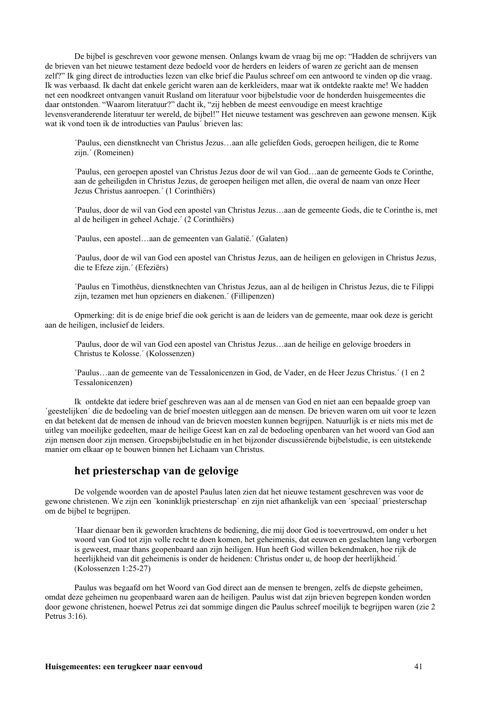De bijbel is geschreven voor gewone mensen. Onlangs kwam de vraag bij me op: "Hadden de schrijvers van de brieven van het nieuwe testament deze bedoeld voor de herders en leiders of waren ze gericht aan de mensen zelf?" Ik ging direct de introducties lezen van elke brief die Paulus schreef om een antwoord te vinden op die vraag. Ik was verbaasd. Ik dacht dat enkele gericht waren aan de kerkleiders, maar wat ik ontdekte raakte me! We hadden net een noodkreet ontvangen vanuit Rusland om literatuur voor bijbelstudie voor de honderden huisgemeentes die daar ontstonden. "Waarom literatuur?" dacht ik, "zij hebben de meest eenvoudige en meest krachtige levensveranderende literatuur ter wereld, de bijbel!" Het nieuwe testament was geschreven aan gewone mensen. Kijk wat ik vond toen ik de introducties van Paulus´ brieven las:

´Paulus, een dienstknecht van Christus Jezus…aan alle geliefden Gods, geroepen heiligen, die te Rome zijn.<sup>'</sup> (Romeinen)

´Paulus, een geroepen apostel van Christus Jezus door de wil van God…aan de gemeente Gods te Corinthe, aan de geheiligden in Christus Jezus, de geroepen heiligen met allen, die overal de naam van onze Heer Jezus Christus aanroepen.´ (1 Corinthiërs)

´Paulus, door de wil van God een apostel van Christus Jezus…aan de gemeente Gods, die te Corinthe is, met al de heiligen in geheel Achaje.´ (2 Corinthiërs)

´Paulus, een apostel…aan de gemeenten van Galatië.´ (Galaten)

´Paulus, door de wil van God een apostel van Christus Jezus, aan de heiligen en gelovigen in Christus Jezus, die te Efeze zijn.´ (Efeziërs)

´Paulus en Timothëus, dienstknechten van Christus Jezus, aan al de heiligen in Christus Jezus, die te Filippi zijn, tezamen met hun opzieners en diakenen.´ (Fillipenzen)

Opmerking: dit is de enige brief die ook gericht is aan de leiders van de gemeente, maar ook deze is gericht aan de heiligen, inclusief de leiders.

´Paulus, door de wil van God een apostel van Christus Jezus…aan de heilige en gelovige broeders in Christus te Kolosse.´ (Kolossenzen)

´Paulus…aan de gemeente van de Tessalonicenzen in God, de Vader, en de Heer Jezus Christus.´ (1 en 2 Tessalonicenzen)

Ik ontdekte dat iedere brief geschreven was aan al de mensen van God en niet aan een bepaalde groep van ´geestelijken´ die de bedoeling van de brief moesten uitleggen aan de mensen. De brieven waren om uit voor te lezen en dat betekent dat de mensen de inhoud van de brieven moesten kunnen begrijpen. Natuurlijk is er niets mis met de uitleg van moeilijke gedeelten, maar de heilige Geest kan en zal de bedoeling openbaren van het woord van God aan zijn mensen door zijn mensen. Groepsbijbelstudie en in het bijzonder discussiërende bijbelstudie, is een uitstekende manier om elkaar op te bouwen binnen het Lichaam van Christus.

## **het priesterschap van de gelovige**

De volgende woorden van de apostel Paulus laten zien dat het nieuwe testament geschreven was voor de gewone christenen. We zijn een ´koninklijk priesterschap´ en zijn niet afhankelijk van een ´speciaal´ priesterschap om de bijbel te begrijpen.

´Haar dienaar ben ik geworden krachtens de bediening, die mij door God is toevertrouwd, om onder u het woord van God tot zijn volle recht te doen komen, het geheimenis, dat eeuwen en geslachten lang verborgen is geweest, maar thans geopenbaard aan zijn heiligen. Hun heeft God willen bekendmaken, hoe rijk de heerlijkheid van dit geheimenis is onder de heidenen: Christus onder u, de hoop der heerlijkheid.´ (Kolossenzen 1:25-27)

Paulus was begaafd om het Woord van God direct aan de mensen te brengen, zelfs de diepste geheimen, omdat deze geheimen nu geopenbaard waren aan de heiligen. Paulus wist dat zijn brieven begrepen konden worden door gewone christenen, hoewel Petrus zei dat sommige dingen die Paulus schreef moeilijk te begrijpen waren (zie 2 Petrus 3:16).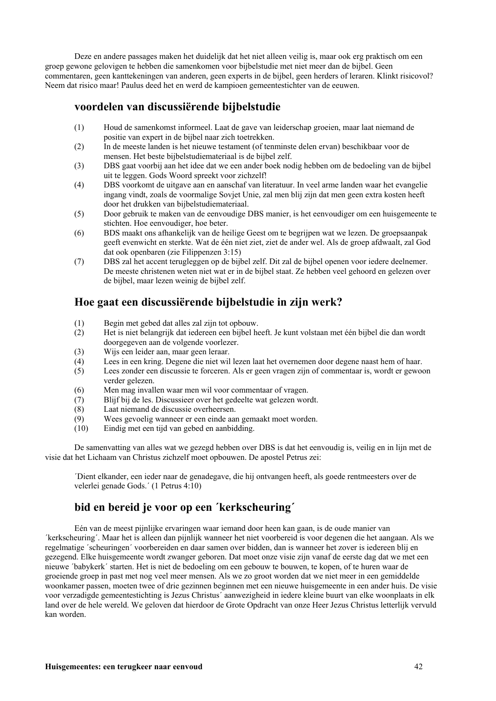Deze en andere passages maken het duidelijk dat het niet alleen veilig is, maar ook erg praktisch om een groep gewone gelovigen te hebben die samenkomen voor bijbelstudie met niet meer dan de bijbel. Geen commentaren, geen kanttekeningen van anderen, geen experts in de bijbel, geen herders of leraren. Klinkt risicovol? Neem dat risico maar! Paulus deed het en werd de kampioen gemeentestichter van de eeuwen.

## **voordelen van discussiërende bijbelstudie**

- (1) Houd de samenkomst informeel. Laat de gave van leiderschap groeien, maar laat niemand de positie van expert in de bijbel naar zich toetrekken.
- (2) In de meeste landen is het nieuwe testament (of tenminste delen ervan) beschikbaar voor de mensen. Het beste bijbelstudiemateriaal is de bijbel zelf.
- (3) DBS gaat voorbij aan het idee dat we een ander boek nodig hebben om de bedoeling van de bijbel uit te leggen. Gods Woord spreekt voor zichzelf!
- (4) DBS voorkomt de uitgave aan en aanschaf van literatuur. In veel arme landen waar het evangelie ingang vindt, zoals de voormalige Sovjet Unie, zal men blij zijn dat men geen extra kosten heeft door het drukken van bijbelstudiemateriaal.
- (5) Door gebruik te maken van de eenvoudige DBS manier, is het eenvoudiger om een huisgemeente te stichten. Hoe eenvoudiger, hoe beter.
- (6) BDS maakt ons afhankelijk van de heilige Geest om te begrijpen wat we lezen. De groepsaanpak geeft evenwicht en sterkte. Wat de één niet ziet, ziet de ander wel. Als de groep afdwaalt, zal God dat ook openbaren (zie Filippenzen 3:15)
- (7) DBS zal het accent terugleggen op de bijbel zelf. Dit zal de bijbel openen voor iedere deelnemer. De meeste christenen weten niet wat er in de bijbel staat. Ze hebben veel gehoord en gelezen over de bijbel, maar lezen weinig de bijbel zelf.

## **Hoe gaat een discussiërende bijbelstudie in zijn werk?**

- (1) Begin met gebed dat alles zal zijn tot opbouw.
- (2) Het is niet belangrijk dat iedereen een bijbel heeft. Je kunt volstaan met één bijbel die dan wordt doorgegeven aan de volgende voorlezer.
- (3) Wijs een leider aan, maar geen leraar.
- (4) Lees in een kring. Degene die niet wil lezen laat het overnemen door degene naast hem of haar.
- (5) Lees zonder een discussie te forceren. Als er geen vragen zijn of commentaar is, wordt er gewoon verder gelezen.
- (6) Men mag invallen waar men wil voor commentaar of vragen.
- (7) Blijf bij de les. Discussieer over het gedeelte wat gelezen wordt.
- (8) Laat niemand de discussie overheersen.
- (9) Wees gevoelig wanneer er een einde aan gemaakt moet worden.
- (10) Eindig met een tijd van gebed en aanbidding.

De samenvatting van alles wat we gezegd hebben over DBS is dat het eenvoudig is, veilig en in lijn met de visie dat het Lichaam van Christus zichzelf moet opbouwen. De apostel Petrus zei:

´Dient elkander, een ieder naar de genadegave, die hij ontvangen heeft, als goede rentmeesters over de velerlei genade Gods.´ (1 Petrus 4:10)

## **bid en bereid je voor op een ´kerkscheuring´**

Eén van de meest pijnlijke ervaringen waar iemand door heen kan gaan, is de oude manier van ´kerkscheuring´. Maar het is alleen dan pijnlijk wanneer het niet voorbereid is voor degenen die het aangaan. Als we regelmatige ´scheuringen´ voorbereiden en daar samen over bidden, dan is wanneer het zover is iedereen blij en gezegend. Elke huisgemeente wordt zwanger geboren. Dat moet onze visie zijn vanaf de eerste dag dat we met een nieuwe ´babykerk´ starten. Het is niet de bedoeling om een gebouw te bouwen, te kopen, of te huren waar de groeiende groep in past met nog veel meer mensen. Als we zo groot worden dat we niet meer in een gemiddelde woonkamer passen, moeten twee of drie gezinnen beginnen met een nieuwe huisgemeente in een ander huis. De visie voor verzadigde gemeentestichting is Jezus Christus´ aanwezigheid in iedere kleine buurt van elke woonplaats in elk land over de hele wereld. We geloven dat hierdoor de Grote Opdracht van onze Heer Jezus Christus letterlijk vervuld kan worden.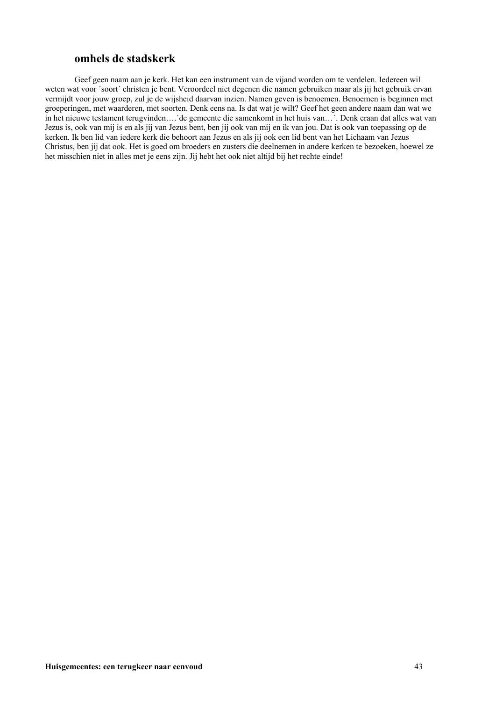## **omhels de stadskerk**

Geef geen naam aan je kerk. Het kan een instrument van de vijand worden om te verdelen. Iedereen wil weten wat voor ´soort´ christen je bent. Veroordeel niet degenen die namen gebruiken maar als jij het gebruik ervan vermijdt voor jouw groep, zul je de wijsheid daarvan inzien. Namen geven is benoemen. Benoemen is beginnen met groeperingen, met waarderen, met soorten. Denk eens na. Is dat wat je wilt? Geef het geen andere naam dan wat we in het nieuwe testament terugvinden….´de gemeente die samenkomt in het huis van…´. Denk eraan dat alles wat van Jezus is, ook van mij is en als jij van Jezus bent, ben jij ook van mij en ik van jou. Dat is ook van toepassing op de kerken. Ik ben lid van iedere kerk die behoort aan Jezus en als jij ook een lid bent van het Lichaam van Jezus Christus, ben jij dat ook. Het is goed om broeders en zusters die deelnemen in andere kerken te bezoeken, hoewel ze het misschien niet in alles met je eens zijn. Jij hebt het ook niet altijd bij het rechte einde!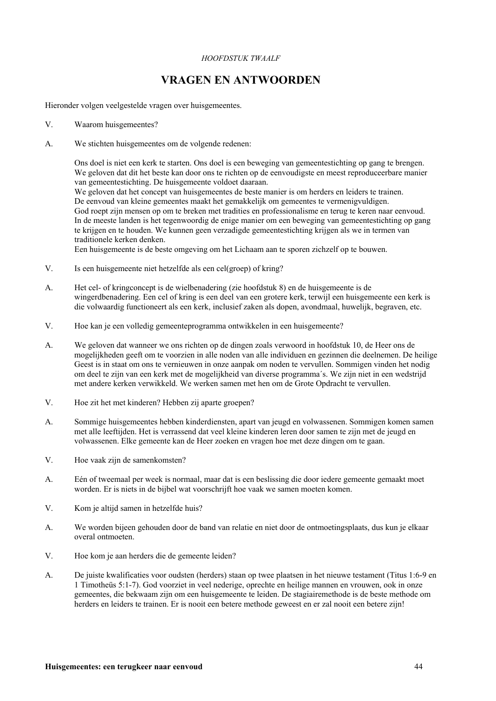#### *HOOFDSTUK TWAALF*

## **VRAGEN EN ANTWOORDEN**

Hieronder volgen veelgestelde vragen over huisgemeentes.

- V. Waarom huisgemeentes?
- A. We stichten huisgemeentes om de volgende redenen:

Ons doel is niet een kerk te starten. Ons doel is een beweging van gemeentestichting op gang te brengen. We geloven dat dit het beste kan door ons te richten op de eenvoudigste en meest reproduceerbare manier van gemeentestichting. De huisgemeente voldoet daaraan. We geloven dat het concept van huisgemeentes de beste manier is om herders en leiders te trainen. De eenvoud van kleine gemeentes maakt het gemakkelijk om gemeentes te vermenigvuldigen.

God roept zijn mensen op om te breken met tradities en professionalisme en terug te keren naar eenvoud. In de meeste landen is het tegenwoordig de enige manier om een beweging van gemeentestichting op gang te krijgen en te houden. We kunnen geen verzadigde gemeentestichting krijgen als we in termen van traditionele kerken denken.

Een huisgemeente is de beste omgeving om het Lichaam aan te sporen zichzelf op te bouwen.

- V. Is een huisgemeente niet hetzelfde als een cel(groep) of kring?
- A. Het cel- of kringconcept is de wielbenadering (zie hoofdstuk 8) en de huisgemeente is de wingerdbenadering. Een cel of kring is een deel van een grotere kerk, terwijl een huisgemeente een kerk is die volwaardig functioneert als een kerk, inclusief zaken als dopen, avondmaal, huwelijk, begraven, etc.
- V. Hoe kan je een volledig gemeenteprogramma ontwikkelen in een huisgemeente?
- A. We geloven dat wanneer we ons richten op de dingen zoals verwoord in hoofdstuk 10, de Heer ons de mogelijkheden geeft om te voorzien in alle noden van alle individuen en gezinnen die deelnemen. De heilige Geest is in staat om ons te vernieuwen in onze aanpak om noden te vervullen. Sommigen vinden het nodig om deel te zijn van een kerk met de mogelijkheid van diverse programma´s. We zijn niet in een wedstrijd met andere kerken verwikkeld. We werken samen met hen om de Grote Opdracht te vervullen.
- V. Hoe zit het met kinderen? Hebben zij aparte groepen?
- A. Sommige huisgemeentes hebben kinderdiensten, apart van jeugd en volwassenen. Sommigen komen samen met alle leeftijden. Het is verrassend dat veel kleine kinderen leren door samen te zijn met de jeugd en volwassenen. Elke gemeente kan de Heer zoeken en vragen hoe met deze dingen om te gaan.
- V. Hoe vaak zijn de samenkomsten?
- A. Eén of tweemaal per week is normaal, maar dat is een beslissing die door iedere gemeente gemaakt moet worden. Er is niets in de bijbel wat voorschrijft hoe vaak we samen moeten komen.
- V. Kom je altijd samen in hetzelfde huis?
- A. We worden bijeen gehouden door de band van relatie en niet door de ontmoetingsplaats, dus kun je elkaar overal ontmoeten.
- V. Hoe kom je aan herders die de gemeente leiden?
- A. De juiste kwalificaties voor oudsten (herders) staan op twee plaatsen in het nieuwe testament (Titus 1:6-9 en 1 Timotheüs 5:1-7). God voorziet in veel nederige, oprechte en heilige mannen en vrouwen, ook in onze gemeentes, die bekwaam zijn om een huisgemeente te leiden. De stagiairemethode is de beste methode om herders en leiders te trainen. Er is nooit een betere methode geweest en er zal nooit een betere zijn!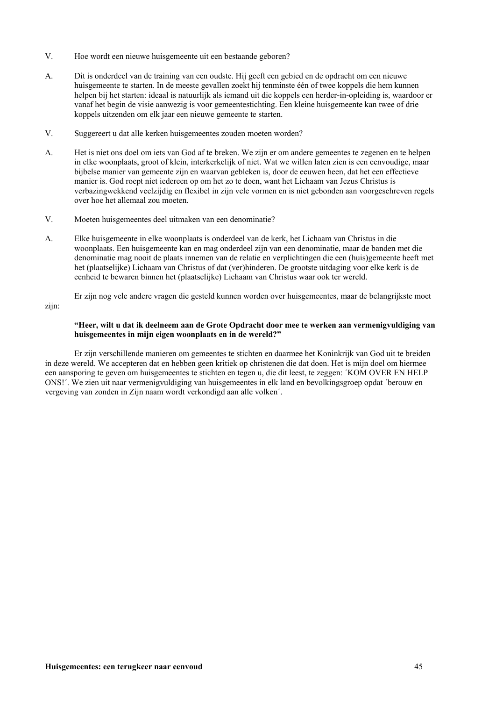- V. Hoe wordt een nieuwe huisgemeente uit een bestaande geboren?
- A. Dit is onderdeel van de training van een oudste. Hij geeft een gebied en de opdracht om een nieuwe huisgemeente te starten. In de meeste gevallen zoekt hij tenminste één of twee koppels die hem kunnen helpen bij het starten: ideaal is natuurlijk als iemand uit die koppels een herder-in-opleiding is, waardoor er vanaf het begin de visie aanwezig is voor gemeentestichting. Een kleine huisgemeente kan twee of drie koppels uitzenden om elk jaar een nieuwe gemeente te starten.
- V. Suggereert u dat alle kerken huisgemeentes zouden moeten worden?
- A. Het is niet ons doel om iets van God af te breken. We zijn er om andere gemeentes te zegenen en te helpen in elke woonplaats, groot of klein, interkerkelijk of niet. Wat we willen laten zien is een eenvoudige, maar bijbelse manier van gemeente zijn en waarvan gebleken is, door de eeuwen heen, dat het een effectieve manier is. God roept niet iedereen op om het zo te doen, want het Lichaam van Jezus Christus is verbazingwekkend veelzijdig en flexibel in zijn vele vormen en is niet gebonden aan voorgeschreven regels over hoe het allemaal zou moeten.
- V. Moeten huisgemeentes deel uitmaken van een denominatie?
- A. Elke huisgemeente in elke woonplaats is onderdeel van de kerk, het Lichaam van Christus in die woonplaats. Een huisgemeente kan en mag onderdeel zijn van een denominatie, maar de banden met die denominatie mag nooit de plaats innemen van de relatie en verplichtingen die een (huis)gemeente heeft met het (plaatselijke) Lichaam van Christus of dat (ver)hinderen. De grootste uitdaging voor elke kerk is de eenheid te bewaren binnen het (plaatselijke) Lichaam van Christus waar ook ter wereld.
- Er zijn nog vele andere vragen die gesteld kunnen worden over huisgemeentes, maar de belangrijkste moet zijn:

#### **"Heer, wilt u dat ik deelneem aan de Grote Opdracht door mee te werken aan vermenigvuldiging van huisgemeentes in mijn eigen woonplaats en in de wereld?"**

Er zijn verschillende manieren om gemeentes te stichten en daarmee het Koninkrijk van God uit te breiden in deze wereld. We accepteren dat en hebben geen kritiek op christenen die dat doen. Het is mijn doel om hiermee een aansporing te geven om huisgemeentes te stichten en tegen u, die dit leest, te zeggen: ´KOM OVER EN HELP ONS!´. We zien uit naar vermenigvuldiging van huisgemeentes in elk land en bevolkingsgroep opdat ´berouw en vergeving van zonden in Zijn naam wordt verkondigd aan alle volken´.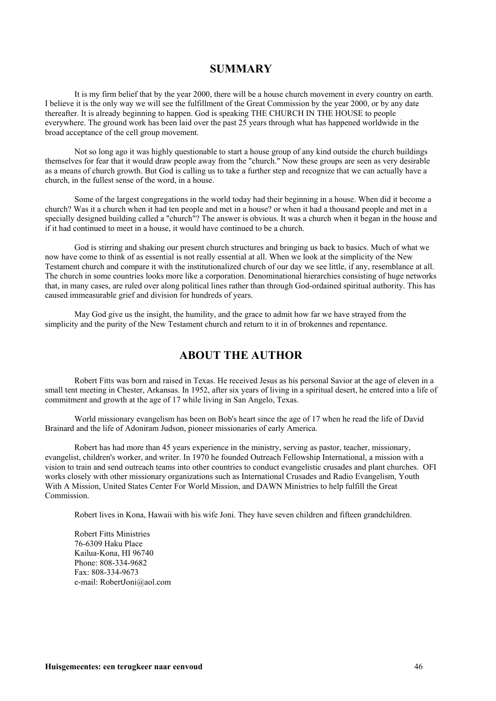## **SUMMARY**

It is my firm belief that by the year 2000, there will be a house church movement in every country on earth. I believe it is the only way we will see the fulfillment of the Great Commission by the year 2000, or by any date thereafter. It is already beginning to happen. God is speaking THE CHURCH IN THE HOUSE to people everywhere. The ground work has been laid over the past 25 years through what has happened worldwide in the broad acceptance of the cell group movement.

Not so long ago it was highly questionable to start a house group of any kind outside the church buildings themselves for fear that it would draw people away from the "church." Now these groups are seen as very desirable as a means of church growth. But God is calling us to take a further step and recognize that we can actually have a church, in the fullest sense of the word, in a house.

Some of the largest congregations in the world today had their beginning in a house. When did it become a church? Was it a church when it had ten people and met in a house? or when it had a thousand people and met in a specially designed building called a "church"? The answer is obvious. It was a church when it began in the house and if it had continued to meet in a house, it would have continued to be a church.

God is stirring and shaking our present church structures and bringing us back to basics. Much of what we now have come to think of as essential is not really essential at all. When we look at the simplicity of the New Testament church and compare it with the institutionalized church of our day we see little, if any, resemblance at all. The church in some countries looks more like a corporation. Denominational hierarchies consisting of huge networks that, in many cases, are ruled over along political lines rather than through God-ordained spiritual authority. This has caused immeasurable grief and division for hundreds of years.

May God give us the insight, the humility, and the grace to admit how far we have strayed from the simplicity and the purity of the New Testament church and return to it in of brokennes and repentance.

## **ABOUT THE AUTHOR**

Robert Fitts was born and raised in Texas. He received Jesus as his personal Savior at the age of eleven in a small tent meeting in Chester, Arkansas. In 1952, after six years of living in a spiritual desert, he entered into a life of commitment and growth at the age of 17 while living in San Angelo, Texas.

World missionary evangelism has been on Bob's heart since the age of 17 when he read the life of David Brainard and the life of Adoniram Judson, pioneer missionaries of early America.

Robert has had more than 45 years experience in the ministry, serving as pastor, teacher, missionary, evangelist, children's worker, and writer. In 1970 he founded Outreach Fellowship International, a mission with a vision to train and send outreach teams into other countries to conduct evangelistic crusades and plant churches. OFI works closely with other missionary organizations such as International Crusades and Radio Evangelism, Youth With A Mission, United States Center For World Mission, and DAWN Ministries to help fulfill the Great Commission.

Robert lives in Kona, Hawaii with his wife Joni. They have seven children and fifteen grandchildren.

Robert Fitts Ministries 76-6309 Haku Place Kailua-Kona, HI 96740 Phone: 808-334-9682 Fax: 808-334-9673 e-mail: RobertJoni@aol.com